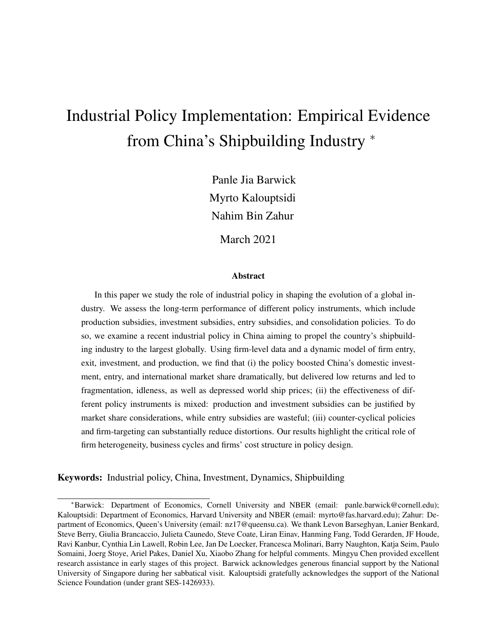# Industrial Policy Implementation: Empirical Evidence from China's Shipbuilding Industry <sup>∗</sup>

Panle Jia Barwick Myrto Kalouptsidi Nahim Bin Zahur

March 2021

#### Abstract

In this paper we study the role of industrial policy in shaping the evolution of a global industry. We assess the long-term performance of different policy instruments, which include production subsidies, investment subsidies, entry subsidies, and consolidation policies. To do so, we examine a recent industrial policy in China aiming to propel the country's shipbuilding industry to the largest globally. Using firm-level data and a dynamic model of firm entry, exit, investment, and production, we find that (i) the policy boosted China's domestic investment, entry, and international market share dramatically, but delivered low returns and led to fragmentation, idleness, as well as depressed world ship prices; (ii) the effectiveness of different policy instruments is mixed: production and investment subsidies can be justified by market share considerations, while entry subsidies are wasteful; (iii) counter-cyclical policies and firm-targeting can substantially reduce distortions. Our results highlight the critical role of firm heterogeneity, business cycles and firms' cost structure in policy design.

Keywords: Industrial policy, China, Investment, Dynamics, Shipbuilding

<sup>∗</sup>Barwick: Department of Economics, Cornell University and NBER (email: panle.barwick@cornell.edu); Kalouptsidi: Department of Economics, Harvard University and NBER (email: myrto@fas.harvard.edu); Zahur: Department of Economics, Queen's University (email: nz17@queensu.ca). We thank Levon Barseghyan, Lanier Benkard, Steve Berry, Giulia Brancaccio, Julieta Caunedo, Steve Coate, Liran Einav, Hanming Fang, Todd Gerarden, JF Houde, Ravi Kanbur, Cynthia Lin Lawell, Robin Lee, Jan De Loecker, Francesca Molinari, Barry Naughton, Katja Seim, Paulo Somaini, Joerg Stoye, Ariel Pakes, Daniel Xu, Xiaobo Zhang for helpful comments. Mingyu Chen provided excellent research assistance in early stages of this project. Barwick acknowledges generous financial support by the National University of Singapore during her sabbatical visit. Kalouptsidi gratefully acknowledges the support of the National Science Foundation (under grant SES-1426933).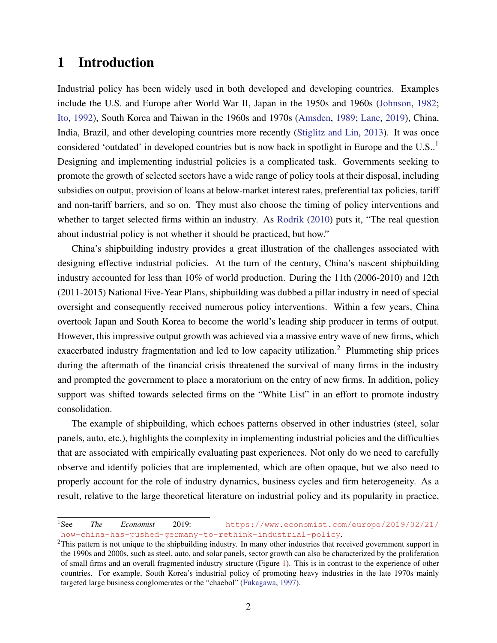# 1 Introduction

Industrial policy has been widely used in both developed and developing countries. Examples include the U.S. and Europe after World War II, Japan in the 1950s and 1960s [\(Johnson,](#page-38-0) [1982;](#page-38-0) [Ito,](#page-38-1) [1992\)](#page-38-1), South Korea and Taiwan in the 1960s and 1970s [\(Amsden,](#page-35-0) [1989;](#page-35-0) [Lane,](#page-38-2) [2019\)](#page-38-2), China, India, Brazil, and other developing countries more recently [\(Stiglitz and Lin,](#page-40-0) [2013\)](#page-40-0). It was once considered 'outdated' in developed countries but is now back in spotlight in Europe and the  $U.S.$ <sup>1</sup> Designing and implementing industrial policies is a complicated task. Governments seeking to promote the growth of selected sectors have a wide range of policy tools at their disposal, including subsidies on output, provision of loans at below-market interest rates, preferential tax policies, tariff and non-tariff barriers, and so on. They must also choose the timing of policy interventions and whether to target selected firms within an industry. As [Rodrik](#page-39-0) [\(2010\)](#page-39-0) puts it, "The real question about industrial policy is not whether it should be practiced, but how."

China's shipbuilding industry provides a great illustration of the challenges associated with designing effective industrial policies. At the turn of the century, China's nascent shipbuilding industry accounted for less than 10% of world production. During the 11th (2006-2010) and 12th (2011-2015) National Five-Year Plans, shipbuilding was dubbed a pillar industry in need of special oversight and consequently received numerous policy interventions. Within a few years, China overtook Japan and South Korea to become the world's leading ship producer in terms of output. However, this impressive output growth was achieved via a massive entry wave of new firms, which exacerbated industry fragmentation and led to low capacity utilization.<sup>2</sup> Plummeting ship prices during the aftermath of the financial crisis threatened the survival of many firms in the industry and prompted the government to place a moratorium on the entry of new firms. In addition, policy support was shifted towards selected firms on the "White List" in an effort to promote industry consolidation.

The example of shipbuilding, which echoes patterns observed in other industries (steel, solar panels, auto, etc.), highlights the complexity in implementing industrial policies and the difficulties that are associated with empirically evaluating past experiences. Not only do we need to carefully observe and identify policies that are implemented, which are often opaque, but we also need to properly account for the role of industry dynamics, business cycles and firm heterogeneity. As a result, relative to the large theoretical literature on industrial policy and its popularity in practice,

<sup>1</sup>See *The Economist* 2019: [https://www.economist.com/europe/2019/02/21/](https://www.economist.com/europe/2019/02/21/how-china-has-pushed-germany-to-rethink-industrial-policy) [how-china-has-pushed-germany-to-rethink-industrial-policy](https://www.economist.com/europe/2019/02/21/how-china-has-pushed-germany-to-rethink-industrial-policy).

 $^{2}$ This pattern is not unique to the shipbuilding industry. In many other industries that received government support in the 1990s and 2000s, such as steel, auto, and solar panels, sector growth can also be characterized by the proliferation of small firms and an overall fragmented industry structure (Figure [1\)](#page-45-0). This is in contrast to the experience of other countries. For example, South Korea's industrial policy of promoting heavy industries in the late 1970s mainly targeted large business conglomerates or the "chaebol" [\(Fukagawa,](#page-37-0) [1997\)](#page-37-0).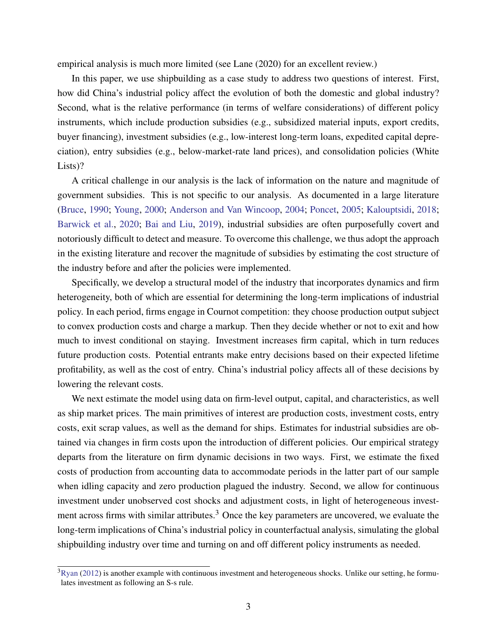empirical analysis is much more limited (see Lane (2020) for an excellent review.)

In this paper, we use shipbuilding as a case study to address two questions of interest. First, how did China's industrial policy affect the evolution of both the domestic and global industry? Second, what is the relative performance (in terms of welfare considerations) of different policy instruments, which include production subsidies (e.g., subsidized material inputs, export credits, buyer financing), investment subsidies (e.g., low-interest long-term loans, expedited capital depreciation), entry subsidies (e.g., below-market-rate land prices), and consolidation policies (White Lists)?

A critical challenge in our analysis is the lack of information on the nature and magnitude of government subsidies. This is not specific to our analysis. As documented in a large literature [\(Bruce,](#page-36-0) [1990;](#page-36-0) [Young,](#page-40-1) [2000;](#page-40-1) [Anderson and Van Wincoop,](#page-35-1) [2004;](#page-35-1) [Poncet,](#page-39-1) [2005;](#page-39-1) [Kalouptsidi,](#page-38-3) [2018;](#page-38-3) [Barwick et al.,](#page-35-2) [2020;](#page-35-2) [Bai and Liu,](#page-35-3) [2019\)](#page-35-3), industrial subsidies are often purposefully covert and notoriously difficult to detect and measure. To overcome this challenge, we thus adopt the approach in the existing literature and recover the magnitude of subsidies by estimating the cost structure of the industry before and after the policies were implemented.

Specifically, we develop a structural model of the industry that incorporates dynamics and firm heterogeneity, both of which are essential for determining the long-term implications of industrial policy. In each period, firms engage in Cournot competition: they choose production output subject to convex production costs and charge a markup. Then they decide whether or not to exit and how much to invest conditional on staying. Investment increases firm capital, which in turn reduces future production costs. Potential entrants make entry decisions based on their expected lifetime profitability, as well as the cost of entry. China's industrial policy affects all of these decisions by lowering the relevant costs.

We next estimate the model using data on firm-level output, capital, and characteristics, as well as ship market prices. The main primitives of interest are production costs, investment costs, entry costs, exit scrap values, as well as the demand for ships. Estimates for industrial subsidies are obtained via changes in firm costs upon the introduction of different policies. Our empirical strategy departs from the literature on firm dynamic decisions in two ways. First, we estimate the fixed costs of production from accounting data to accommodate periods in the latter part of our sample when idling capacity and zero production plagued the industry. Second, we allow for continuous investment under unobserved cost shocks and adjustment costs, in light of heterogeneous investment across firms with similar attributes. $3$  Once the key parameters are uncovered, we evaluate the long-term implications of China's industrial policy in counterfactual analysis, simulating the global shipbuilding industry over time and turning on and off different policy instruments as needed.

 $3R$ yan [\(2012\)](#page-39-2) is another example with continuous investment and heterogeneous shocks. Unlike our setting, he formulates investment as following an S-s rule.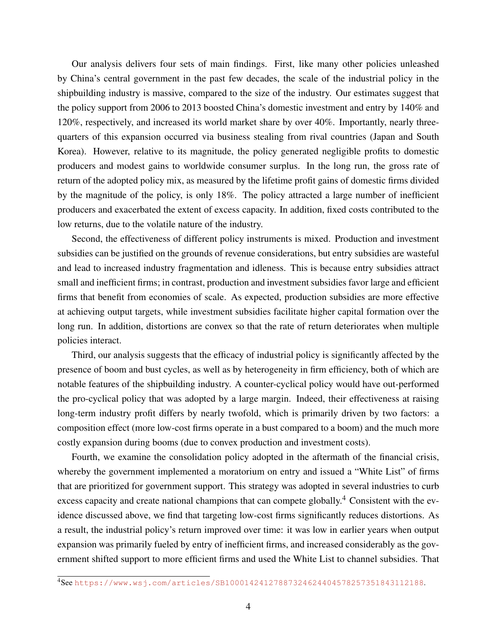Our analysis delivers four sets of main findings. First, like many other policies unleashed by China's central government in the past few decades, the scale of the industrial policy in the shipbuilding industry is massive, compared to the size of the industry. Our estimates suggest that the policy support from 2006 to 2013 boosted China's domestic investment and entry by 140% and 120%, respectively, and increased its world market share by over 40%. Importantly, nearly threequarters of this expansion occurred via business stealing from rival countries (Japan and South Korea). However, relative to its magnitude, the policy generated negligible profits to domestic producers and modest gains to worldwide consumer surplus. In the long run, the gross rate of return of the adopted policy mix, as measured by the lifetime profit gains of domestic firms divided by the magnitude of the policy, is only 18%. The policy attracted a large number of inefficient producers and exacerbated the extent of excess capacity. In addition, fixed costs contributed to the low returns, due to the volatile nature of the industry.

Second, the effectiveness of different policy instruments is mixed. Production and investment subsidies can be justified on the grounds of revenue considerations, but entry subsidies are wasteful and lead to increased industry fragmentation and idleness. This is because entry subsidies attract small and inefficient firms; in contrast, production and investment subsidies favor large and efficient firms that benefit from economies of scale. As expected, production subsidies are more effective at achieving output targets, while investment subsidies facilitate higher capital formation over the long run. In addition, distortions are convex so that the rate of return deteriorates when multiple policies interact.

Third, our analysis suggests that the efficacy of industrial policy is significantly affected by the presence of boom and bust cycles, as well as by heterogeneity in firm efficiency, both of which are notable features of the shipbuilding industry. A counter-cyclical policy would have out-performed the pro-cyclical policy that was adopted by a large margin. Indeed, their effectiveness at raising long-term industry profit differs by nearly twofold, which is primarily driven by two factors: a composition effect (more low-cost firms operate in a bust compared to a boom) and the much more costly expansion during booms (due to convex production and investment costs).

Fourth, we examine the consolidation policy adopted in the aftermath of the financial crisis, whereby the government implemented a moratorium on entry and issued a "White List" of firms that are prioritized for government support. This strategy was adopted in several industries to curb excess capacity and create national champions that can compete globally.<sup>4</sup> Consistent with the evidence discussed above, we find that targeting low-cost firms significantly reduces distortions. As a result, the industrial policy's return improved over time: it was low in earlier years when output expansion was primarily fueled by entry of inefficient firms, and increased considerably as the government shifted support to more efficient firms and used the White List to channel subsidies. That

<sup>4</sup>See <https://www.wsj.com/articles/SB10001424127887324624404578257351843112188>.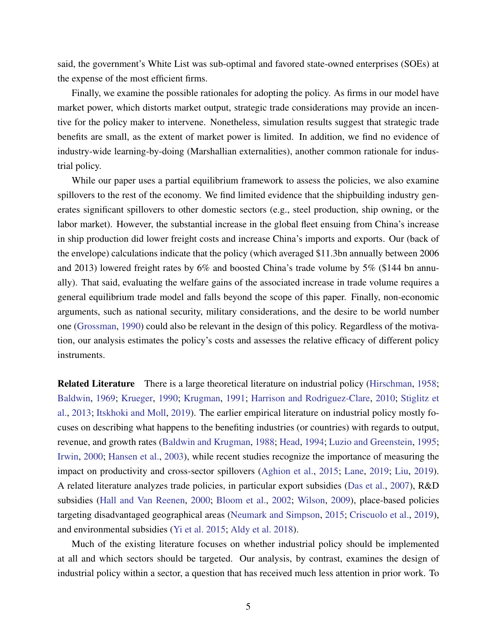said, the government's White List was sub-optimal and favored state-owned enterprises (SOEs) at the expense of the most efficient firms.

Finally, we examine the possible rationales for adopting the policy. As firms in our model have market power, which distorts market output, strategic trade considerations may provide an incentive for the policy maker to intervene. Nonetheless, simulation results suggest that strategic trade benefits are small, as the extent of market power is limited. In addition, we find no evidence of industry-wide learning-by-doing (Marshallian externalities), another common rationale for industrial policy.

While our paper uses a partial equilibrium framework to assess the policies, we also examine spillovers to the rest of the economy. We find limited evidence that the shipbuilding industry generates significant spillovers to other domestic sectors (e.g., steel production, ship owning, or the labor market). However, the substantial increase in the global fleet ensuing from China's increase in ship production did lower freight costs and increase China's imports and exports. Our (back of the envelope) calculations indicate that the policy (which averaged \$11.3bn annually between 2006 and 2013) lowered freight rates by 6% and boosted China's trade volume by 5% (\$144 bn annually). That said, evaluating the welfare gains of the associated increase in trade volume requires a general equilibrium trade model and falls beyond the scope of this paper. Finally, non-economic arguments, such as national security, military considerations, and the desire to be world number one [\(Grossman,](#page-37-1) [1990\)](#page-37-1) could also be relevant in the design of this policy. Regardless of the motivation, our analysis estimates the policy's costs and assesses the relative efficacy of different policy instruments.

Related Literature There is a large theoretical literature on industrial policy [\(Hirschman,](#page-37-2) [1958;](#page-37-2) [Baldwin,](#page-35-4) [1969;](#page-35-4) [Krueger,](#page-38-4) [1990;](#page-38-4) [Krugman,](#page-38-5) [1991;](#page-38-5) [Harrison and Rodriguez-Clare,](#page-37-3) [2010;](#page-37-3) [Stiglitz et](#page-39-3) [al.,](#page-39-3) [2013;](#page-39-3) [Itskhoki and Moll,](#page-38-6) [2019\)](#page-38-6). The earlier empirical literature on industrial policy mostly focuses on describing what happens to the benefiting industries (or countries) with regards to output, revenue, and growth rates [\(Baldwin and Krugman,](#page-35-5) [1988;](#page-35-5) [Head,](#page-37-4) [1994;](#page-37-4) [Luzio and Greenstein,](#page-39-4) [1995;](#page-39-4) [Irwin,](#page-38-7) [2000;](#page-38-7) [Hansen et al.,](#page-37-5) [2003\)](#page-37-5), while recent studies recognize the importance of measuring the impact on productivity and cross-sector spillovers [\(Aghion et al.,](#page-34-0) [2015;](#page-34-0) [Lane,](#page-38-2) [2019;](#page-38-2) [Liu,](#page-38-8) [2019\)](#page-38-8). A related literature analyzes trade policies, in particular export subsidies [\(Das et al.,](#page-36-1) [2007\)](#page-36-1), R&D subsidies [\(Hall and Van Reenen,](#page-37-6) [2000;](#page-37-6) [Bloom et al.,](#page-36-2) [2002;](#page-36-2) [Wilson,](#page-40-2) [2009\)](#page-40-2), place-based policies targeting disadvantaged geographical areas [\(Neumark and Simpson,](#page-39-5) [2015;](#page-39-5) [Criscuolo et al.,](#page-36-3) [2019\)](#page-36-3), and environmental subsidies [\(Yi et al.](#page-40-3) [2015;](#page-40-3) [Aldy et al.](#page-35-6) [2018\)](#page-35-6).

Much of the existing literature focuses on whether industrial policy should be implemented at all and which sectors should be targeted. Our analysis, by contrast, examines the design of industrial policy within a sector, a question that has received much less attention in prior work. To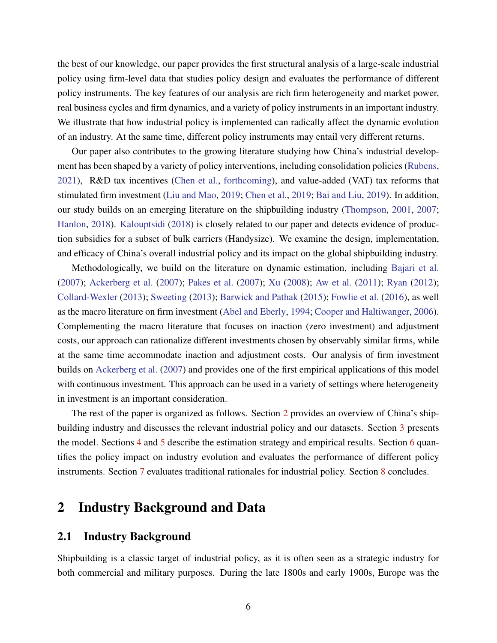the best of our knowledge, our paper provides the first structural analysis of a large-scale industrial policy using firm-level data that studies policy design and evaluates the performance of different policy instruments. The key features of our analysis are rich firm heterogeneity and market power, real business cycles and firm dynamics, and a variety of policy instruments in an important industry. We illustrate that how industrial policy is implemented can radically affect the dynamic evolution of an industry. At the same time, different policy instruments may entail very different returns.

Our paper also contributes to the growing literature studying how China's industrial development has been shaped by a variety of policy interventions, including consolidation policies [\(Rubens,](#page-39-6) [2021\)](#page-39-6), R&D tax incentives [\(Chen et al.,](#page-36-4) [forthcoming\)](#page-36-4), and value-added (VAT) tax reforms that stimulated firm investment [\(Liu and Mao,](#page-38-9) [2019;](#page-38-9) [Chen et al.,](#page-36-5) [2019;](#page-36-5) [Bai and Liu,](#page-35-3) [2019\)](#page-35-3). In addition, our study builds on an emerging literature on the shipbuilding industry [\(Thompson,](#page-40-4) [2001,](#page-40-4) [2007;](#page-40-5) [Hanlon,](#page-37-7) [2018\)](#page-37-7). [Kalouptsidi](#page-38-3) [\(2018\)](#page-38-3) is closely related to our paper and detects evidence of production subsidies for a subset of bulk carriers (Handysize). We examine the design, implementation, and efficacy of China's overall industrial policy and its impact on the global shipbuilding industry.

Methodologically, we build on the literature on dynamic estimation, including [Bajari et al.](#page-35-7) [\(2007\)](#page-35-7); [Ackerberg et al.](#page-34-1) [\(2007\)](#page-34-1); [Pakes et al.](#page-39-7) [\(2007\)](#page-39-7); [Xu](#page-40-6) [\(2008\)](#page-40-6); [Aw et al.](#page-35-8) [\(2011\)](#page-35-8); [Ryan](#page-39-2) [\(2012\)](#page-39-2); [Collard-Wexler](#page-36-6) [\(2013\)](#page-36-6); [Sweeting](#page-40-7) [\(2013\)](#page-40-7); [Barwick and Pathak](#page-35-9) [\(2015\)](#page-35-9); [Fowlie et al.](#page-37-8) [\(2016\)](#page-37-8), as well as the macro literature on firm investment [\(Abel and Eberly,](#page-34-2) [1994;](#page-34-2) [Cooper and Haltiwanger,](#page-36-7) [2006\)](#page-36-7). Complementing the macro literature that focuses on inaction (zero investment) and adjustment costs, our approach can rationalize different investments chosen by observably similar firms, while at the same time accommodate inaction and adjustment costs. Our analysis of firm investment builds on [Ackerberg et al.](#page-34-1) [\(2007\)](#page-34-1) and provides one of the first empirical applications of this model with continuous investment. This approach can be used in a variety of settings where heterogeneity in investment is an important consideration.

The rest of the paper is organized as follows. Section [2](#page-5-0) provides an overview of China's shipbuilding industry and discusses the relevant industrial policy and our datasets. Section [3](#page-9-0) presents the model. Sections [4](#page-15-0) and [5](#page-21-0) describe the estimation strategy and empirical results. Section [6](#page-26-0) quantifies the policy impact on industry evolution and evaluates the performance of different policy instruments. Section [7](#page-32-0) evaluates traditional rationales for industrial policy. Section [8](#page-34-3) concludes.

# <span id="page-5-0"></span>2 Industry Background and Data

### 2.1 Industry Background

Shipbuilding is a classic target of industrial policy, as it is often seen as a strategic industry for both commercial and military purposes. During the late 1800s and early 1900s, Europe was the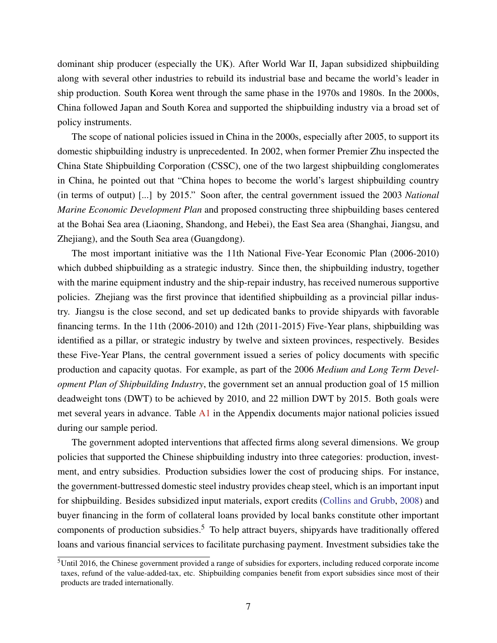dominant ship producer (especially the UK). After World War II, Japan subsidized shipbuilding along with several other industries to rebuild its industrial base and became the world's leader in ship production. South Korea went through the same phase in the 1970s and 1980s. In the 2000s, China followed Japan and South Korea and supported the shipbuilding industry via a broad set of policy instruments.

The scope of national policies issued in China in the 2000s, especially after 2005, to support its domestic shipbuilding industry is unprecedented. In 2002, when former Premier Zhu inspected the China State Shipbuilding Corporation (CSSC), one of the two largest shipbuilding conglomerates in China, he pointed out that "China hopes to become the world's largest shipbuilding country (in terms of output) [...] by 2015." Soon after, the central government issued the 2003 *National Marine Economic Development Plan* and proposed constructing three shipbuilding bases centered at the Bohai Sea area (Liaoning, Shandong, and Hebei), the East Sea area (Shanghai, Jiangsu, and Zhejiang), and the South Sea area (Guangdong).

The most important initiative was the 11th National Five-Year Economic Plan (2006-2010) which dubbed shipbuilding as a strategic industry. Since then, the shipbuilding industry, together with the marine equipment industry and the ship-repair industry, has received numerous supportive policies. Zhejiang was the first province that identified shipbuilding as a provincial pillar industry. Jiangsu is the close second, and set up dedicated banks to provide shipyards with favorable financing terms. In the 11th (2006-2010) and 12th (2011-2015) Five-Year plans, shipbuilding was identified as a pillar, or strategic industry by twelve and sixteen provinces, respectively. Besides these Five-Year Plans, the central government issued a series of policy documents with specific production and capacity quotas. For example, as part of the 2006 *Medium and Long Term Development Plan of Shipbuilding Industry*, the government set an annual production goal of 15 million deadweight tons (DWT) to be achieved by 2010, and 22 million DWT by 2015. Both goals were met several years in advance. Table  $\Delta 1$  in the Appendix documents major national policies issued during our sample period.

The government adopted interventions that affected firms along several dimensions. We group policies that supported the Chinese shipbuilding industry into three categories: production, investment, and entry subsidies. Production subsidies lower the cost of producing ships. For instance, the government-buttressed domestic steel industry provides cheap steel, which is an important input for shipbuilding. Besides subsidized input materials, export credits [\(Collins and Grubb,](#page-36-8) [2008\)](#page-36-8) and buyer financing in the form of collateral loans provided by local banks constitute other important components of production subsidies.<sup>5</sup> To help attract buyers, shipyards have traditionally offered loans and various financial services to facilitate purchasing payment. Investment subsidies take the

<sup>5</sup>Until 2016, the Chinese government provided a range of subsidies for exporters, including reduced corporate income taxes, refund of the value-added-tax, etc. Shipbuilding companies benefit from export subsidies since most of their products are traded internationally.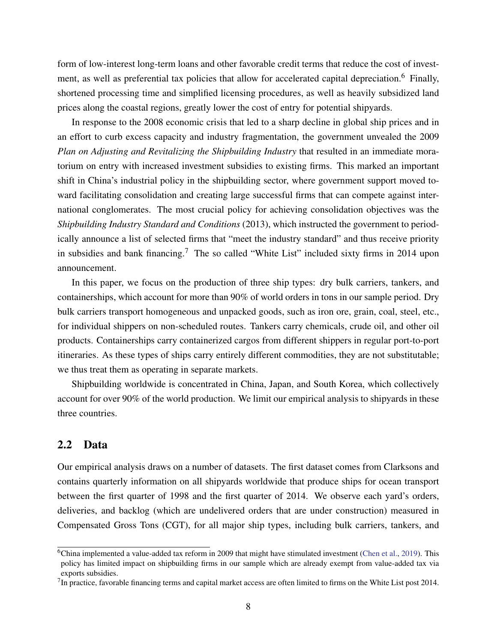form of low-interest long-term loans and other favorable credit terms that reduce the cost of investment, as well as preferential tax policies that allow for accelerated capital depreciation.<sup>6</sup> Finally, shortened processing time and simplified licensing procedures, as well as heavily subsidized land prices along the coastal regions, greatly lower the cost of entry for potential shipyards.

In response to the 2008 economic crisis that led to a sharp decline in global ship prices and in an effort to curb excess capacity and industry fragmentation, the government unvealed the 2009 *Plan on Adjusting and Revitalizing the Shipbuilding Industry* that resulted in an immediate moratorium on entry with increased investment subsidies to existing firms. This marked an important shift in China's industrial policy in the shipbuilding sector, where government support moved toward facilitating consolidation and creating large successful firms that can compete against international conglomerates. The most crucial policy for achieving consolidation objectives was the *Shipbuilding Industry Standard and Conditions* (2013), which instructed the government to periodically announce a list of selected firms that "meet the industry standard" and thus receive priority in subsidies and bank financing.<sup>7</sup> The so called "White List" included sixty firms in 2014 upon announcement.

In this paper, we focus on the production of three ship types: dry bulk carriers, tankers, and containerships, which account for more than 90% of world orders in tons in our sample period. Dry bulk carriers transport homogeneous and unpacked goods, such as iron ore, grain, coal, steel, etc., for individual shippers on non-scheduled routes. Tankers carry chemicals, crude oil, and other oil products. Containerships carry containerized cargos from different shippers in regular port-to-port itineraries. As these types of ships carry entirely different commodities, they are not substitutable; we thus treat them as operating in separate markets.

Shipbuilding worldwide is concentrated in China, Japan, and South Korea, which collectively account for over 90% of the world production. We limit our empirical analysis to shipyards in these three countries.

### 2.2 Data

Our empirical analysis draws on a number of datasets. The first dataset comes from Clarksons and contains quarterly information on all shipyards worldwide that produce ships for ocean transport between the first quarter of 1998 and the first quarter of 2014. We observe each yard's orders, deliveries, and backlog (which are undelivered orders that are under construction) measured in Compensated Gross Tons (CGT), for all major ship types, including bulk carriers, tankers, and

 $6$ China implemented a value-added tax reform in 2009 that might have stimulated investment [\(Chen et al.,](#page-36-5) [2019\)](#page-36-5). This policy has limited impact on shipbuilding firms in our sample which are already exempt from value-added tax via exports subsidies.

 $<sup>7</sup>$ In practice, favorable financing terms and capital market access are often limited to firms on the White List post 2014.</sup>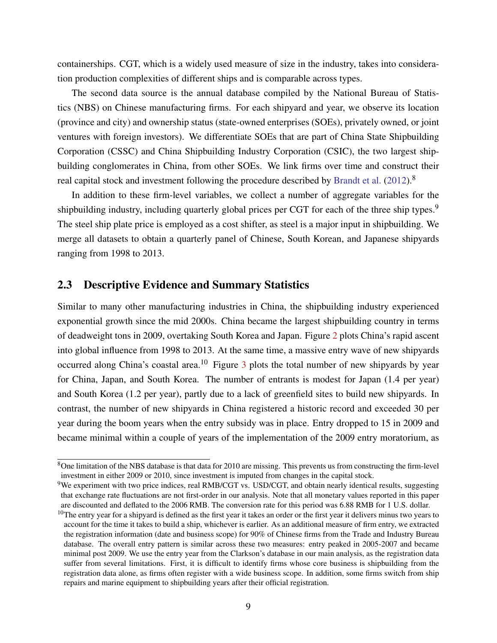containerships. CGT, which is a widely used measure of size in the industry, takes into consideration production complexities of different ships and is comparable across types.

The second data source is the annual database compiled by the National Bureau of Statistics (NBS) on Chinese manufacturing firms. For each shipyard and year, we observe its location (province and city) and ownership status (state-owned enterprises (SOEs), privately owned, or joint ventures with foreign investors). We differentiate SOEs that are part of China State Shipbuilding Corporation (CSSC) and China Shipbuilding Industry Corporation (CSIC), the two largest shipbuilding conglomerates in China, from other SOEs. We link firms over time and construct their real capital stock and investment following the procedure described by [Brandt et al.](#page-36-9) [\(2012\)](#page-36-9).<sup>8</sup>

In addition to these firm-level variables, we collect a number of aggregate variables for the shipbuilding industry, including quarterly global prices per CGT for each of the three ship types.<sup>9</sup> The steel ship plate price is employed as a cost shifter, as steel is a major input in shipbuilding. We merge all datasets to obtain a quarterly panel of Chinese, South Korean, and Japanese shipyards ranging from 1998 to 2013.

### <span id="page-8-0"></span>2.3 Descriptive Evidence and Summary Statistics

Similar to many other manufacturing industries in China, the shipbuilding industry experienced exponential growth since the mid 2000s. China became the largest shipbuilding country in terms of deadweight tons in 2009, overtaking South Korea and Japan. Figure [2](#page-46-0) plots China's rapid ascent into global influence from 1998 to 2013. At the same time, a massive entry wave of new shipyards occurred along China's coastal area.<sup>10</sup> Figure  $\frac{3}{10}$  $\frac{3}{10}$  $\frac{3}{10}$  plots the total number of new shipyards by year for China, Japan, and South Korea. The number of entrants is modest for Japan (1.4 per year) and South Korea (1.2 per year), partly due to a lack of greenfield sites to build new shipyards. In contrast, the number of new shipyards in China registered a historic record and exceeded 30 per year during the boom years when the entry subsidy was in place. Entry dropped to 15 in 2009 and became minimal within a couple of years of the implementation of the 2009 entry moratorium, as

<sup>8</sup>One limitation of the NBS database is that data for 2010 are missing. This prevents us from constructing the firm-level investment in either 2009 or 2010, since investment is imputed from changes in the capital stock.

<sup>&</sup>lt;sup>9</sup>We experiment with two price indices, real RMB/CGT vs. USD/CGT, and obtain nearly identical results, suggesting that exchange rate fluctuations are not first-order in our analysis. Note that all monetary values reported in this paper are discounted and deflated to the 2006 RMB. The conversion rate for this period was 6.88 RMB for 1 U.S. dollar.

 $10$ The entry year for a shipyard is defined as the first year it takes an order or the first year it delivers minus two years to account for the time it takes to build a ship, whichever is earlier. As an additional measure of firm entry, we extracted the registration information (date and business scope) for 90% of Chinese firms from the Trade and Industry Bureau database. The overall entry pattern is similar across these two measures: entry peaked in 2005-2007 and became minimal post 2009. We use the entry year from the Clarkson's database in our main analysis, as the registration data suffer from several limitations. First, it is difficult to identify firms whose core business is shipbuilding from the registration data alone, as firms often register with a wide business scope. In addition, some firms switch from ship repairs and marine equipment to shipbuilding years after their official registration.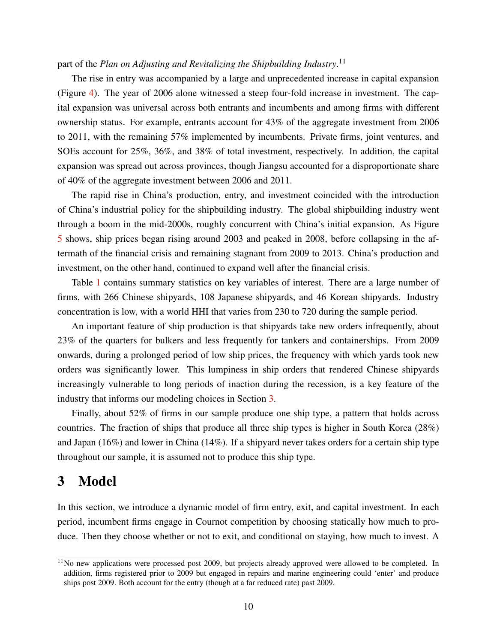### part of the *Plan on Adjusting and Revitalizing the Shipbuilding Industry*. 11

The rise in entry was accompanied by a large and unprecedented increase in capital expansion (Figure [4\)](#page-47-0). The year of 2006 alone witnessed a steep four-fold increase in investment. The capital expansion was universal across both entrants and incumbents and among firms with different ownership status. For example, entrants account for 43% of the aggregate investment from 2006 to 2011, with the remaining 57% implemented by incumbents. Private firms, joint ventures, and SOEs account for 25%, 36%, and 38% of total investment, respectively. In addition, the capital expansion was spread out across provinces, though Jiangsu accounted for a disproportionate share of 40% of the aggregate investment between 2006 and 2011.

The rapid rise in China's production, entry, and investment coincided with the introduction of China's industrial policy for the shipbuilding industry. The global shipbuilding industry went through a boom in the mid-2000s, roughly concurrent with China's initial expansion. As Figure [5](#page-47-0) shows, ship prices began rising around 2003 and peaked in 2008, before collapsing in the aftermath of the financial crisis and remaining stagnant from 2009 to 2013. China's production and investment, on the other hand, continued to expand well after the financial crisis.

Table [1](#page-41-0) contains summary statistics on key variables of interest. There are a large number of firms, with 266 Chinese shipyards, 108 Japanese shipyards, and 46 Korean shipyards. Industry concentration is low, with a world HHI that varies from 230 to 720 during the sample period.

An important feature of ship production is that shipyards take new orders infrequently, about 23% of the quarters for bulkers and less frequently for tankers and containerships. From 2009 onwards, during a prolonged period of low ship prices, the frequency with which yards took new orders was significantly lower. This lumpiness in ship orders that rendered Chinese shipyards increasingly vulnerable to long periods of inaction during the recession, is a key feature of the industry that informs our modeling choices in Section [3.](#page-9-0)

Finally, about 52% of firms in our sample produce one ship type, a pattern that holds across countries. The fraction of ships that produce all three ship types is higher in South Korea (28%) and Japan (16%) and lower in China (14%). If a shipyard never takes orders for a certain ship type throughout our sample, it is assumed not to produce this ship type.

## <span id="page-9-0"></span>3 Model

In this section, we introduce a dynamic model of firm entry, exit, and capital investment. In each period, incumbent firms engage in Cournot competition by choosing statically how much to produce. Then they choose whether or not to exit, and conditional on staying, how much to invest. A

<sup>&</sup>lt;sup>11</sup>No new applications were processed post 2009, but projects already approved were allowed to be completed. In addition, firms registered prior to 2009 but engaged in repairs and marine engineering could 'enter' and produce ships post 2009. Both account for the entry (though at a far reduced rate) past 2009.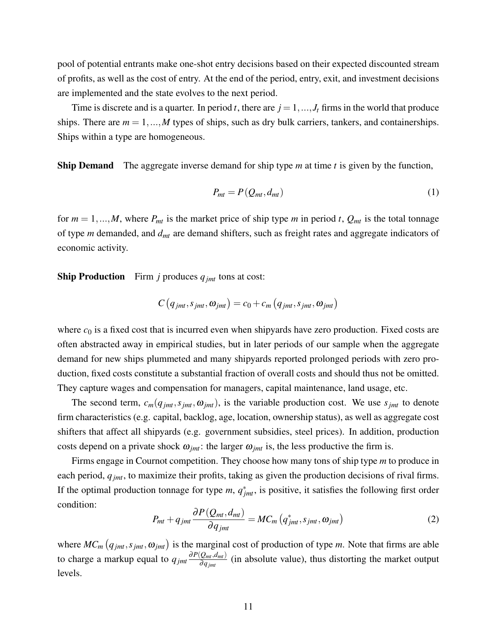pool of potential entrants make one-shot entry decisions based on their expected discounted stream of profits, as well as the cost of entry. At the end of the period, entry, exit, and investment decisions are implemented and the state evolves to the next period.

Time is discrete and is a quarter. In period *t*, there are  $j = 1, ..., J_t$  firms in the world that produce ships. There are  $m = 1, ..., M$  types of ships, such as dry bulk carriers, tankers, and containerships. Ships within a type are homogeneous.

Ship Demand The aggregate inverse demand for ship type *m* at time *t* is given by the function,

<span id="page-10-1"></span>
$$
P_{mt} = P(Q_{mt}, d_{mt}) \tag{1}
$$

for  $m = 1, ..., M$ , where  $P_{mt}$  is the market price of ship type *m* in period *t*,  $Q_{mt}$  is the total tonnage of type *m* demanded, and *dmt* are demand shifters, such as freight rates and aggregate indicators of economic activity.

**Ship Production** Firm *j* produces  $q_{jmt}$  tons at cost:

$$
C(q_{jmt}, s_{jmt}, \omega_{jmt}) = c_0 + c_m(q_{jmt}, s_{jmt}, \omega_{jmt})
$$

where  $c_0$  is a fixed cost that is incurred even when shipyards have zero production. Fixed costs are often abstracted away in empirical studies, but in later periods of our sample when the aggregate demand for new ships plummeted and many shipyards reported prolonged periods with zero production, fixed costs constitute a substantial fraction of overall costs and should thus not be omitted. They capture wages and compensation for managers, capital maintenance, land usage, etc.

The second term,  $c_m(q_{jmt}, s_{jmt}, \omega_{jmt})$ , is the variable production cost. We use  $s_{jmt}$  to denote firm characteristics (e.g. capital, backlog, age, location, ownership status), as well as aggregate cost shifters that affect all shipyards (e.g. government subsidies, steel prices). In addition, production costs depend on a private shock  $\omega_{imt}$ : the larger  $\omega_{imt}$  is, the less productive the firm is.

<span id="page-10-0"></span>Firms engage in Cournot competition. They choose how many tons of ship type *m* to produce in each period, *qjmt*, to maximize their profits, taking as given the production decisions of rival firms. If the optimal production tonnage for type  $m$ ,  $q_{jmt}^*$ , is positive, it satisfies the following first order condition:

$$
P_{mt} + q_{jmt} \frac{\partial P(Q_{mt}, d_{mt})}{\partial q_{jmt}} = MC_m\left(q_{jmt}^*, s_{jmt}, \omega_{jmt}\right)
$$
(2)

where  $MC_m(q_{jmt}, s_{jmt}, \omega_{jmt})$  is the marginal cost of production of type *m*. Note that firms are able to charge a markup equal to  $q_{jmt} \frac{\partial P(Q_{mt}, d_{mt})}{\partial q_{jmt}}$  $\frac{Q_{mt}, d_{mt}}{\partial q_{jmt}}$  (in absolute value), thus distorting the market output levels.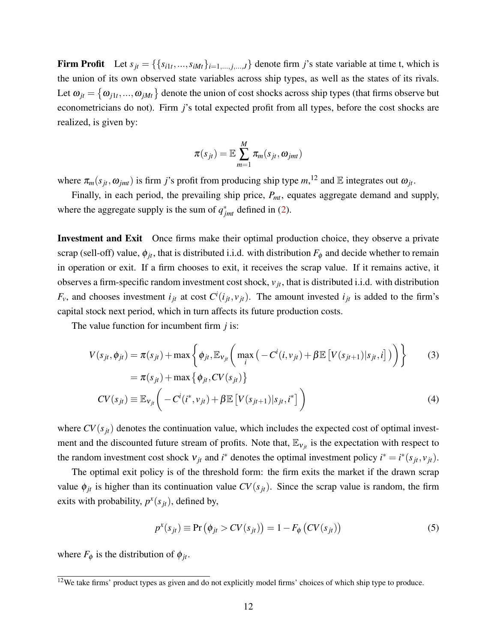Firm Profit Let  $s_{jt} = \{\{s_{i1t},...,s_{iMt}\}_{i=1,...,j,...,J}\}$  denote firm *j*'s state variable at time t, which is the union of its own observed state variables across ship types, as well as the states of its rivals. Let  $\omega_{jt} = \{\omega_{j1t},...,\omega_{jMt}\}\$ denote the union of cost shocks across ship types (that firms observe but econometricians do not). Firm *j*'s total expected profit from all types, before the cost shocks are realized, is given by:

<span id="page-11-1"></span>
$$
\pi(s_{jt}) = \mathbb{E}\sum_{m=1}^{M} \pi_m(s_{jt}, \omega_{jmt})
$$

where  $\pi_m(s_{jt}, \omega_{jmt})$  is firm *j*'s profit from producing ship type  $m$ ,<sup>12</sup> and  $\mathbb E$  integrates out  $\omega_{jt}$ .

Finally, in each period, the prevailing ship price, *Pmt*, equates aggregate demand and supply, where the aggregate supply is the sum of  $q_{jmt}^*$  defined in [\(2\)](#page-10-0).

Investment and Exit Once firms make their optimal production choice, they observe a private scrap (sell-off) value,  $\phi_{jt}$ , that is distributed i.i.d. with distribution  $F_{\phi}$  and decide whether to remain in operation or exit. If a firm chooses to exit, it receives the scrap value. If it remains active, it observes a firm-specific random investment cost shock, *v jt*, that is distributed i.i.d. with distribution  $F_v$ , and chooses investment  $i_{jt}$  at cost  $C^i(i_{jt}, v_{jt})$ . The amount invested  $i_{jt}$  is added to the firm's capital stock next period, which in turn affects its future production costs.

The value function for incumbent firm *j* is:

$$
V(s_{jt}, \phi_{jt}) = \pi(s_{jt}) + \max \left\{ \phi_{jt}, \mathbb{E}_{\mathcal{V}_{jt}} \left( \max_{i} \left( -C^{i}(i, v_{jt}) + \beta \mathbb{E} \left[ V(s_{jt+1}) | s_{jt}, i \right] \right) \right) \right\}
$$
(3)  
=  $\pi(s_{jt}) + \max \left\{ \phi_{jt}, CV(s_{jt}) \right\}$ 

$$
CV(s_{jt}) \equiv \mathbb{E}_{\mathbf{v}_{jt}}\bigg(-C^i(i^*,v_{jt}) + \beta \mathbb{E}\big[V(s_{jt+1})|s_{jt},i^*\big]\bigg) \tag{4}
$$

where  $CV(s<sub>it</sub>)$  denotes the continuation value, which includes the expected cost of optimal investment and the discounted future stream of profits. Note that,  $\mathbb{E}_{v_{it}}$  is the expectation with respect to the random investment cost shock  $v_{jt}$  and  $i^*$  denotes the optimal investment policy  $i^* = i^*(s_{jt}, v_{jt})$ .

The optimal exit policy is of the threshold form: the firm exits the market if the drawn scrap value  $\phi_{jt}$  is higher than its continuation value  $CV(s_{jt})$ . Since the scrap value is random, the firm exits with probability,  $p^x(s_{jt})$ , defined by,

<span id="page-11-2"></span><span id="page-11-0"></span>
$$
p^{x}(s_{jt}) \equiv \Pr(\phi_{jt} > CV(s_{jt})) = 1 - F_{\phi}(CV(s_{jt}))
$$
\n(5)

where  $F_{\phi}$  is the distribution of  $\phi_{jt}$ .

 $12$ We take firms' product types as given and do not explicitly model firms' choices of which ship type to produce.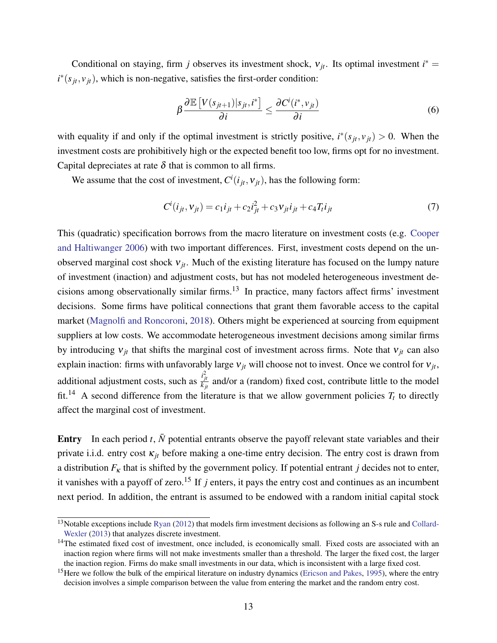Conditional on staying, firm *j* observes its investment shock,  $v_{jt}$ . Its optimal investment  $i^*$  =  $i^*(s_{jt}, v_{jt})$ , which is non-negative, satisfies the first-order condition:

<span id="page-12-1"></span><span id="page-12-0"></span>
$$
\beta \frac{\partial \mathbb{E}\left[V(s_{jt+1})|s_{jt}, i^*\right]}{\partial i} \le \frac{\partial C^i(i^*, v_{jt})}{\partial i} \tag{6}
$$

with equality if and only if the optimal investment is strictly positive,  $i^*(s_{jt}, v_{jt}) > 0$ . When the investment costs are prohibitively high or the expected benefit too low, firms opt for no investment. Capital depreciates at rate  $\delta$  that is common to all firms.

We assume that the cost of investment,  $C^i(i_{jt}, v_{jt})$ , has the following form:

$$
C^{i}(i_{jt}, v_{jt}) = c_1 i_{jt} + c_2 i_{jt}^2 + c_3 v_{jt} i_{jt} + c_4 T_t i_{jt}
$$
\n(7)

This (quadratic) specification borrows from the macro literature on investment costs (e.g. [Cooper](#page-36-7) [and Haltiwanger](#page-36-7) [2006\)](#page-36-7) with two important differences. First, investment costs depend on the unobserved marginal cost shock  $v_{jt}$ . Much of the existing literature has focused on the lumpy nature of investment (inaction) and adjustment costs, but has not modeled heterogeneous investment decisions among observationally similar firms.<sup>13</sup> In practice, many factors affect firms' investment decisions. Some firms have political connections that grant them favorable access to the capital market [\(Magnolfi and Roncoroni,](#page-39-8) [2018\)](#page-39-8). Others might be experienced at sourcing from equipment suppliers at low costs. We accommodate heterogeneous investment decisions among similar firms by introducing  $v_{it}$  that shifts the marginal cost of investment across firms. Note that  $v_{it}$  can also explain inaction: firms with unfavorably large  $v_{jt}$  will choose not to invest. Once we control for  $v_{jt}$ , additional adjustment costs, such as  $\frac{i^2_{jt}}{k_{jt}}$  and/or a (random) fixed cost, contribute little to the model fit.<sup>14</sup> A second difference from the literature is that we allow government policies  $T_t$  to directly affect the marginal cost of investment.

Entry In each period  $t$ ,  $\bar{N}$  potential entrants observe the payoff relevant state variables and their private i.i.d. entry cost  $\kappa_{it}$  before making a one-time entry decision. The entry cost is drawn from a distribution  $F_k$  that is shifted by the government policy. If potential entrant *j* decides not to enter, it vanishes with a payoff of zero.<sup>15</sup> If  $j$  enters, it pays the entry cost and continues as an incumbent next period. In addition, the entrant is assumed to be endowed with a random initial capital stock

 $13$ Notable exceptions include [Ryan](#page-39-2) [\(2012\)](#page-39-2) that models firm investment decisions as following an S-s rule and [Collard-](#page-36-6)[Wexler](#page-36-6) [\(2013\)](#page-36-6) that analyzes discrete investment.

 $14$ The estimated fixed cost of investment, once included, is economically small. Fixed costs are associated with an inaction region where firms will not make investments smaller than a threshold. The larger the fixed cost, the larger the inaction region. Firms do make small investments in our data, which is inconsistent with a large fixed cost.

<sup>&</sup>lt;sup>15</sup>Here we follow the bulk of the empirical literature on industry dynamics [\(Ericson and Pakes,](#page-37-9) [1995\)](#page-37-9), where the entry decision involves a simple comparison between the value from entering the market and the random entry cost.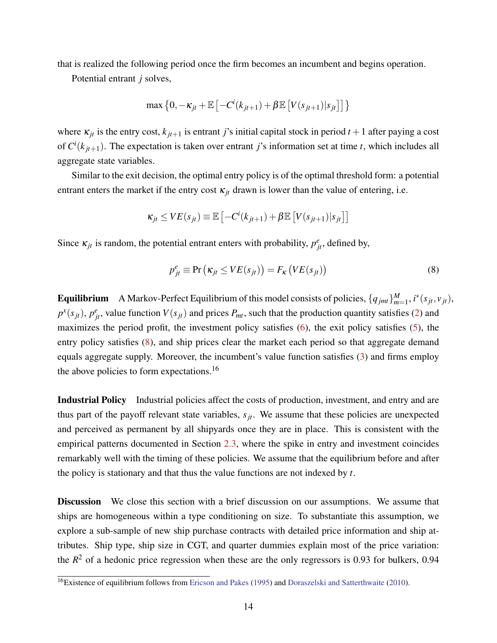that is realized the following period once the firm becomes an incumbent and begins operation.

Potential entrant *j* solves,

$$
\max\left\{0,-\kappa_{jt}+\mathbb{E}\left[-C^i(k_{jt+1})+\beta\mathbb{E}\left[V(s_{jt+1})|s_{jt}\right]\right]\right\}
$$

where  $\kappa_{jt}$  is the entry cost,  $k_{jt+1}$  is entrant *j*'s initial capital stock in period  $t+1$  after paying a cost of  $C^{i}(k_{jt+1})$ . The expectation is taken over entrant *j*'s information set at time *t*, which includes all aggregate state variables.

Similar to the exit decision, the optimal entry policy is of the optimal threshold form: a potential entrant enters the market if the entry cost  $\kappa_{jt}$  drawn is lower than the value of entering, i.e.

$$
\kappa_{jt} \leq VE(s_{jt}) \equiv \mathbb{E}\left[-C^i(k_{jt+1}) + \beta \mathbb{E}\left[V(s_{jt+1})|s_{jt}\right]\right]
$$

Since  $\kappa_{jt}$  is random, the potential entrant enters with probability,  $p_{jt}^e$ , defined by,

<span id="page-13-0"></span>
$$
p_{jt}^{e} \equiv \Pr\left(\kappa_{jt} \le VE(s_{jt})\right) = F_{\kappa}\left(VE(s_{jt})\right) \tag{8}
$$

**Equilibrium** A Markov-Perfect Equilibrium of this model consists of policies,  $\{q_{jmt}\}_{m=1}^M$ ,  $i^*(s_{jt}, v_{jt})$ ,  $p^x(s_{jt})$ ,  $p^e_{jt}$ , value function  $V(s_{jt})$  and prices  $P_{mt}$ , such that the production quantity satisfies [\(2\)](#page-10-0) and maximizes the period profit, the investment policy satisfies [\(6\)](#page-12-0), the exit policy satisfies [\(5\)](#page-11-0), the entry policy satisfies [\(8\)](#page-13-0), and ship prices clear the market each period so that aggregate demand equals aggregate supply. Moreover, the incumbent's value function satisfies [\(3\)](#page-11-1) and firms employ the above policies to form expectations.<sup>16</sup>

Industrial Policy Industrial policies affect the costs of production, investment, and entry and are thus part of the payoff relevant state variables,  $s_{it}$ . We assume that these policies are unexpected and perceived as permanent by all shipyards once they are in place. This is consistent with the empirical patterns documented in Section [2.3,](#page-8-0) where the spike in entry and investment coincides remarkably well with the timing of these policies. We assume that the equilibrium before and after the policy is stationary and that thus the value functions are not indexed by *t*.

Discussion We close this section with a brief discussion on our assumptions. We assume that ships are homogeneous within a type conditioning on size. To substantiate this assumption, we explore a sub-sample of new ship purchase contracts with detailed price information and ship attributes. Ship type, ship size in CGT, and quarter dummies explain most of the price variation: the  $R<sup>2</sup>$  of a hedonic price regression when these are the only regressors is 0.93 for bulkers, 0.94

<sup>&</sup>lt;sup>16</sup>Existence of equilibrium follows from [Ericson and Pakes](#page-37-9) [\(1995\)](#page-37-9) and [Doraszelski and Satterthwaite](#page-36-10) [\(2010\)](#page-36-10).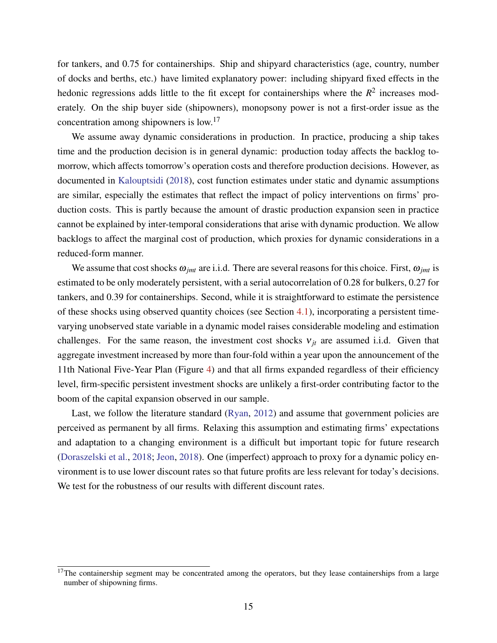for tankers, and 0.75 for containerships. Ship and shipyard characteristics (age, country, number of docks and berths, etc.) have limited explanatory power: including shipyard fixed effects in the hedonic regressions adds little to the fit except for containerships where the  $R<sup>2</sup>$  increases moderately. On the ship buyer side (shipowners), monopsony power is not a first-order issue as the concentration among shipowners is low.<sup>17</sup>

We assume away dynamic considerations in production. In practice, producing a ship takes time and the production decision is in general dynamic: production today affects the backlog tomorrow, which affects tomorrow's operation costs and therefore production decisions. However, as documented in [Kalouptsidi](#page-38-3) [\(2018\)](#page-38-3), cost function estimates under static and dynamic assumptions are similar, especially the estimates that reflect the impact of policy interventions on firms' production costs. This is partly because the amount of drastic production expansion seen in practice cannot be explained by inter-temporal considerations that arise with dynamic production. We allow backlogs to affect the marginal cost of production, which proxies for dynamic considerations in a reduced-form manner.

We assume that cost shocks  $\omega_{imt}$  are i.i.d. There are several reasons for this choice. First,  $\omega_{imt}$  is estimated to be only moderately persistent, with a serial autocorrelation of 0.28 for bulkers, 0.27 for tankers, and 0.39 for containerships. Second, while it is straightforward to estimate the persistence of these shocks using observed quantity choices (see Section [4.1\)](#page-15-1), incorporating a persistent timevarying unobserved state variable in a dynamic model raises considerable modeling and estimation challenges. For the same reason, the investment cost shocks  $v_{it}$  are assumed i.i.d. Given that aggregate investment increased by more than four-fold within a year upon the announcement of the 11th National Five-Year Plan (Figure [4\)](#page-47-0) and that all firms expanded regardless of their efficiency level, firm-specific persistent investment shocks are unlikely a first-order contributing factor to the boom of the capital expansion observed in our sample.

Last, we follow the literature standard [\(Ryan,](#page-39-2) [2012\)](#page-39-2) and assume that government policies are perceived as permanent by all firms. Relaxing this assumption and estimating firms' expectations and adaptation to a changing environment is a difficult but important topic for future research [\(Doraszelski et al.,](#page-37-10) [2018;](#page-37-10) [Jeon,](#page-38-10) [2018\)](#page-38-10). One (imperfect) approach to proxy for a dynamic policy environment is to use lower discount rates so that future profits are less relevant for today's decisions. We test for the robustness of our results with different discount rates.

 $17$ The containership segment may be concentrated among the operators, but they lease containerships from a large number of shipowning firms.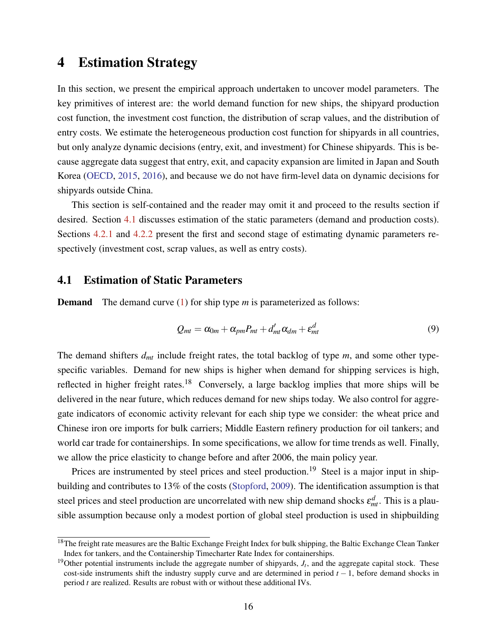### <span id="page-15-0"></span>4 Estimation Strategy

In this section, we present the empirical approach undertaken to uncover model parameters. The key primitives of interest are: the world demand function for new ships, the shipyard production cost function, the investment cost function, the distribution of scrap values, and the distribution of entry costs. We estimate the heterogeneous production cost function for shipyards in all countries, but only analyze dynamic decisions (entry, exit, and investment) for Chinese shipyards. This is because aggregate data suggest that entry, exit, and capacity expansion are limited in Japan and South Korea [\(OECD,](#page-39-9) [2015,](#page-39-9) [2016\)](#page-39-10), and because we do not have firm-level data on dynamic decisions for shipyards outside China.

This section is self-contained and the reader may omit it and proceed to the results section if desired. Section [4.1](#page-15-1) discusses estimation of the static parameters (demand and production costs). Sections [4.2.1](#page-17-0) and [4.2.2](#page-20-0) present the first and second stage of estimating dynamic parameters respectively (investment cost, scrap values, as well as entry costs).

### <span id="page-15-1"></span>4.1 Estimation of Static Parameters

**Demand** The demand curve [\(1\)](#page-10-1) for ship type *m* is parameterized as follows:

<span id="page-15-2"></span>
$$
Q_{mt} = \alpha_{0m} + \alpha_{pm} P_{mt} + d'_{mt} \alpha_{dm} + \varepsilon_{mt}^d
$$
\n(9)

The demand shifters *dmt* include freight rates, the total backlog of type *m*, and some other typespecific variables. Demand for new ships is higher when demand for shipping services is high, reflected in higher freight rates.<sup>18</sup> Conversely, a large backlog implies that more ships will be delivered in the near future, which reduces demand for new ships today. We also control for aggregate indicators of economic activity relevant for each ship type we consider: the wheat price and Chinese iron ore imports for bulk carriers; Middle Eastern refinery production for oil tankers; and world car trade for containerships. In some specifications, we allow for time trends as well. Finally, we allow the price elasticity to change before and after 2006, the main policy year.

Prices are instrumented by steel prices and steel production.<sup>19</sup> Steel is a major input in shipbuilding and contributes to 13% of the costs [\(Stopford,](#page-40-8) [2009\)](#page-40-8). The identification assumption is that steel prices and steel production are uncorrelated with new ship demand shocks  $\varepsilon_{mt}^d$ . This is a plausible assumption because only a modest portion of global steel production is used in shipbuilding

 $18$ The freight rate measures are the Baltic Exchange Freight Index for bulk shipping, the Baltic Exchange Clean Tanker Index for tankers, and the Containership Timecharter Rate Index for containerships.

<sup>&</sup>lt;sup>19</sup>Other potential instruments include the aggregate number of shipyards,  $J_t$ , and the aggregate capital stock. These cost-side instruments shift the industry supply curve and are determined in period *t* − 1, before demand shocks in period *t* are realized. Results are robust with or without these additional IVs.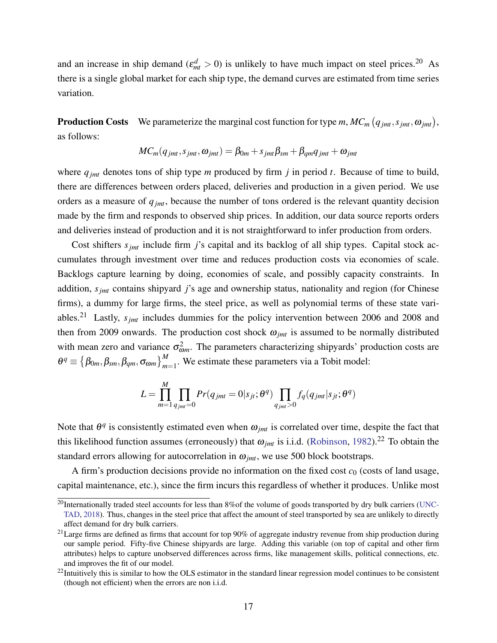and an increase in ship demand ( $\varepsilon_{mt}^d > 0$ ) is unlikely to have much impact on steel prices.<sup>20</sup> As there is a single global market for each ship type, the demand curves are estimated from time series variation.

**Production Costs** We parameterize the marginal cost function for type *m*,  $MC_m(q_{jmt}, s_{jmt}, \omega_{jmt})$ , as follows:

<span id="page-16-0"></span>
$$
MC_m(q_{jmt},s_{jmt},\omega_{jmt})=\beta_{0m}+s_{jmt}\beta_{sm}+\beta_{qm}q_{jmt}+\omega_{jmt}
$$

where  $q_{jmt}$  denotes tons of ship type *m* produced by firm *j* in period *t*. Because of time to build, there are differences between orders placed, deliveries and production in a given period. We use orders as a measure of *qjmt*, because the number of tons ordered is the relevant quantity decision made by the firm and responds to observed ship prices. In addition, our data source reports orders and deliveries instead of production and it is not straightforward to infer production from orders.

Cost shifters *sjmt* include firm *j*'s capital and its backlog of all ship types. Capital stock accumulates through investment over time and reduces production costs via economies of scale. Backlogs capture learning by doing, economies of scale, and possibly capacity constraints. In addition, *sjmt* contains shipyard *j*'s age and ownership status, nationality and region (for Chinese firms), a dummy for large firms, the steel price, as well as polynomial terms of these state variables.<sup>21</sup> Lastly, *sjmt* includes dummies for the policy intervention between 2006 and 2008 and then from 2009 onwards. The production cost shock  $\omega_{jmt}$  is assumed to be normally distributed with mean zero and variance  $\sigma_{\omega m}^2$ . The parameters characterizing shipyards' production costs are  $\theta^q \equiv \left\{\beta_{0m}, \beta_{sm}, \beta_{qm}, \sigma_{\omega m}\right\}_{m=1}^M$ . We estimate these parameters via a Tobit model:

$$
L = \prod_{m=1}^{M} \prod_{q_{jmt}=0} Pr(q_{jmt}=0|s_{jt}; \theta^q) \prod_{q_{jmt}>0} f_q(q_{jmt}|s_{jt}; \theta^q)
$$

Note that  $\theta^q$  is consistently estimated even when  $\omega_{jmt}$  is correlated over time, despite the fact that this likelihood function assumes (erroneously) that  $\omega_{jmt}$  is i.i.d. [\(Robinson,](#page-39-11) [1982\)](#page-39-11).<sup>22</sup> To obtain the standard errors allowing for autocorrelation in  $\omega_{imt}$ , we use 500 block bootstraps.

A firm's production decisions provide no information on the fixed cost  $c_0$  (costs of land usage, capital maintenance, etc.), since the firm incurs this regardless of whether it produces. Unlike most

 $^{20}$ Internationally traded steel accounts for less than 8% of the volume of goods transported by dry bulk carriers [\(UNC-](#page-40-9)[TAD,](#page-40-9) [2018\)](#page-40-9). Thus, changes in the steel price that affect the amount of steel transported by sea are unlikely to directly affect demand for dry bulk carriers.

 $^{21}$ Large firms are defined as firms that account for top 90% of aggregate industry revenue from ship production during our sample period. Fifty-five Chinese shipyards are large. Adding this variable (on top of capital and other firm attributes) helps to capture unobserved differences across firms, like management skills, political connections, etc. and improves the fit of our model.

 $22$ Intuitively this is similar to how the OLS estimator in the standard linear regression model continues to be consistent (though not efficient) when the errors are non i.i.d.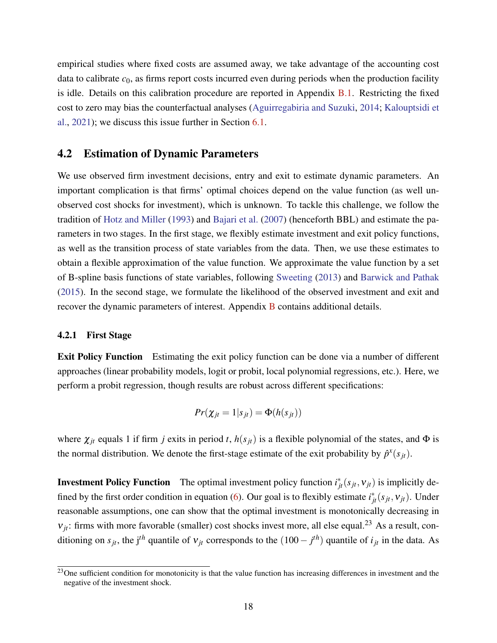empirical studies where fixed costs are assumed away, we take advantage of the accounting cost data to calibrate  $c_0$ , as firms report costs incurred even during periods when the production facility is idle. Details on this calibration procedure are reported in Appendix [B.1.](#page-51-1) Restricting the fixed cost to zero may bias the counterfactual analyses [\(Aguirregabiria and Suzuki,](#page-35-10) [2014;](#page-35-10) [Kalouptsidi et](#page-38-11) [al.,](#page-38-11) [2021\)](#page-38-11); we discuss this issue further in Section [6.1.](#page-27-0)

### 4.2 Estimation of Dynamic Parameters

We use observed firm investment decisions, entry and exit to estimate dynamic parameters. An important complication is that firms' optimal choices depend on the value function (as well unobserved cost shocks for investment), which is unknown. To tackle this challenge, we follow the tradition of [Hotz and Miller](#page-37-11) [\(1993\)](#page-37-11) and [Bajari et al.](#page-35-7) [\(2007\)](#page-35-7) (henceforth BBL) and estimate the parameters in two stages. In the first stage, we flexibly estimate investment and exit policy functions, as well as the transition process of state variables from the data. Then, we use these estimates to obtain a flexible approximation of the value function. We approximate the value function by a set of B-spline basis functions of state variables, following [Sweeting](#page-40-7) [\(2013\)](#page-40-7) and [Barwick and Pathak](#page-35-9) [\(2015\)](#page-35-9). In the second stage, we formulate the likelihood of the observed investment and exit and recover the dynamic parameters of interest. Appendix [B](#page-51-2) contains additional details.

#### <span id="page-17-0"></span>4.2.1 First Stage

**Exit Policy Function** Estimating the exit policy function can be done via a number of different approaches (linear probability models, logit or probit, local polynomial regressions, etc.). Here, we perform a probit regression, though results are robust across different specifications:

$$
Pr(\chi_{jt} = 1 | s_{jt}) = \Phi(h(s_{jt}))
$$

where  $\chi_{jt}$  equals 1 if firm *j* exits in period *t*,  $h(s_{jt})$  is a flexible polynomial of the states, and  $\Phi$  is the normal distribution. We denote the first-stage estimate of the exit probability by  $\hat{p}^x(s_{jt})$ .

**Investment Policy Function** The optimal investment policy function  $i^*_{jt}(s_{jt}, v_{jt})$  is implicitly de-fined by the first order condition in equation [\(6\)](#page-12-0). Our goal is to flexibly estimate  $i^*_{jt}(s_{jt}, v_{jt})$ . Under reasonable assumptions, one can show that the optimal investment is monotonically decreasing in  $v_{it}$ : firms with more favorable (smaller) cost shocks invest more, all else equal.<sup>23</sup> As a result, conditioning on  $s_{jt}$ , the j<sup>th</sup> quantile of  $v_{jt}$  corresponds to the  $(100 - j^{th})$  quantile of  $i_{jt}$  in the data. As

<sup>&</sup>lt;sup>23</sup>One sufficient condition for monotonicity is that the value function has increasing differences in investment and the negative of the investment shock.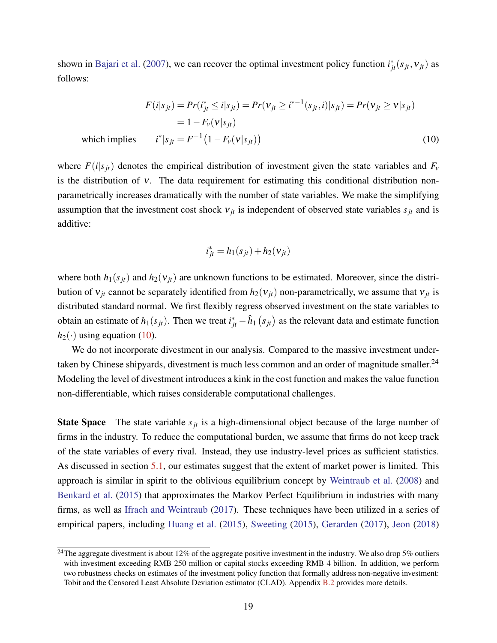shown in [Bajari et al.](#page-35-7) [\(2007\)](#page-35-7), we can recover the optimal investment policy function  $i^*_{jt}(s_{jt}, v_{jt})$  as follows:

$$
F(i|s_{jt}) = Pr(i_{jt}^* \le i|s_{jt}) = Pr(v_{jt} \ge i^{*-1}(s_{jt}, i)|s_{jt}) = Pr(v_{jt} \ge v|s_{jt})
$$
  
= 1 - F<sub>v</sub>(v|s\_{jt})  
ch implies  $i^*|s_{jt} = F^{-1}(1 - F_v(v|s_{jt}))$  (10)

whic

where  $F(i|s_{it})$  denotes the empirical distribution of investment given the state variables and  $F_v$ is the distribution of ν. The data requirement for estimating this conditional distribution nonparametrically increases dramatically with the number of state variables. We make the simplifying assumption that the investment cost shock  $v_{jt}$  is independent of observed state variables  $s_{jt}$  and is additive:

$$
i_{jt}^* = h_1(s_{jt}) + h_2(v_{jt})
$$

where both  $h_1(s_{it})$  and  $h_2(v_{it})$  are unknown functions to be estimated. Moreover, since the distribution of  $v_{jt}$  cannot be separately identified from  $h_2(v_{jt})$  non-parametrically, we assume that  $v_{jt}$  is distributed standard normal. We first flexibly regress observed investment on the state variables to obtain an estimate of  $h_1(s_{jt})$ . Then we treat  $i^*_{jt} - \hat{h}_1(s_{jt})$  as the relevant data and estimate function  $h_2(\cdot)$  using equation [\(10\)](#page-16-0).

We do not incorporate divestment in our analysis. Compared to the massive investment undertaken by Chinese shipyards, divestment is much less common and an order of magnitude smaller.<sup>24</sup> Modeling the level of divestment introduces a kink in the cost function and makes the value function non-differentiable, which raises considerable computational challenges.

**State Space** The state variable  $s_{it}$  is a high-dimensional object because of the large number of firms in the industry. To reduce the computational burden, we assume that firms do not keep track of the state variables of every rival. Instead, they use industry-level prices as sufficient statistics. As discussed in section [5.1,](#page-21-1) our estimates suggest that the extent of market power is limited. This approach is similar in spirit to the oblivious equilibrium concept by [Weintraub et al.](#page-40-10) [\(2008\)](#page-40-10) and [Benkard et al.](#page-36-11) [\(2015\)](#page-36-11) that approximates the Markov Perfect Equilibrium in industries with many firms, as well as [Ifrach and Weintraub](#page-38-12) [\(2017\)](#page-38-12). These techniques have been utilized in a series of empirical papers, including [Huang et al.](#page-38-13) [\(2015\)](#page-38-13), [Sweeting](#page-40-11) [\(2015\)](#page-40-11), [Gerarden](#page-37-12) [\(2017\)](#page-37-12), [Jeon](#page-38-10) [\(2018\)](#page-38-10)

<sup>&</sup>lt;sup>24</sup>The aggregate divestment is about 12% of the aggregate positive investment in the industry. We also drop 5% outliers with investment exceeding RMB 250 million or capital stocks exceeding RMB 4 billion. In addition, we perform two robustness checks on estimates of the investment policy function that formally address non-negative investment: Tobit and the Censored Least Absolute Deviation estimator (CLAD). Appendix [B.2](#page-52-0) provides more details.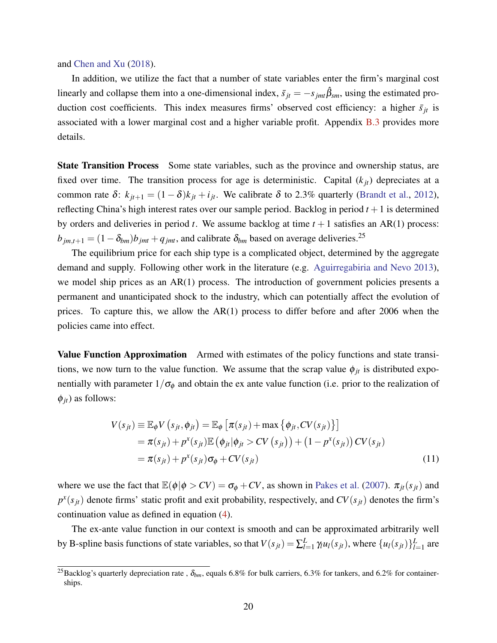and [Chen and Xu](#page-36-12) [\(2018\)](#page-36-12).

In addition, we utilize the fact that a number of state variables enter the firm's marginal cost linearly and collapse them into a one-dimensional index,  $\bar{s}_{jt} = -s_{jmt} \hat{\beta}_{sm}$ , using the estimated production cost coefficients. This index measures firms' observed cost efficiency: a higher  $\bar{s}_{jt}$  is associated with a lower marginal cost and a higher variable profit. Appendix [B.3](#page-53-0) provides more details.

State Transition Process Some state variables, such as the province and ownership status, are fixed over time. The transition process for age is deterministic. Capital  $(k_{it})$  depreciates at a common rate  $\delta$ :  $k_{jt+1} = (1 - \delta)k_{jt} + i_{jt}$ . We calibrate  $\delta$  to 2.3% quarterly [\(Brandt et al.,](#page-36-9) [2012\)](#page-36-9), reflecting China's high interest rates over our sample period. Backlog in period  $t + 1$  is determined by orders and deliveries in period  $t$ . We assume backlog at time  $t + 1$  satisfies an AR(1) process:  $b_{jm,t+1} = (1 - \delta_{bm})b_{jm} + q_{jm}$ , and calibrate  $\delta_{bm}$  based on average deliveries.<sup>25</sup>

The equilibrium price for each ship type is a complicated object, determined by the aggregate demand and supply. Following other work in the literature (e.g. [Aguirregabiria and Nevo](#page-35-11) [2013\)](#page-35-11), we model ship prices as an AR(1) process. The introduction of government policies presents a permanent and unanticipated shock to the industry, which can potentially affect the evolution of prices. To capture this, we allow the AR(1) process to differ before and after 2006 when the policies came into effect.

Value Function Approximation Armed with estimates of the policy functions and state transitions, we now turn to the value function. We assume that the scrap value  $\phi_{jt}$  is distributed exponentially with parameter  $1/\sigma_{\phi}$  and obtain the ex ante value function (i.e. prior to the realization of  $\phi_{it}$ ) as follows:

<span id="page-19-0"></span>
$$
V(s_{jt}) \equiv \mathbb{E}_{\phi} V(s_{jt}, \phi_{jt}) = \mathbb{E}_{\phi} \left[ \pi(s_{jt}) + \max \left\{ \phi_{jt}, CV(s_{jt}) \right\} \right]
$$
  
=  $\pi(s_{jt}) + p^{x}(s_{jt}) \mathbb{E} \left( \phi_{jt} | \phi_{jt} > CV(s_{jt}) \right) + (1 - p^{x}(s_{jt})) CV(s_{jt})$   
=  $\pi(s_{jt}) + p^{x}(s_{jt}) \sigma_{\phi} + CV(s_{jt})$  (11)

where we use the fact that  $\mathbb{E}(\phi | \phi > CV) = \sigma_{\phi} + CV$ , as shown in [Pakes et al.](#page-39-7) [\(2007\)](#page-39-7).  $\pi_{jt}(s_{jt})$  and  $p^x(s_{jt})$  denote firms' static profit and exit probability, respectively, and  $CV(s_{jt})$  denotes the firm's continuation value as defined in equation [\(4\)](#page-11-2).

The ex-ante value function in our context is smooth and can be approximated arbitrarily well by B-spline basis functions of state variables, so that  $V(s_{jt}) = \sum_{l=1}^{L}$  $_{l=1}^{L} \gamma_{l} u_{l}(s_{jt}),$  where  $\{u_{l}(s_{jt})\}_{l=1}^{L}$  $_{l=1}^{L}$  are

<sup>&</sup>lt;sup>25</sup>Backlog's quarterly depreciation rate,  $\delta_{bm}$ , equals 6.8% for bulk carriers, 6.3% for tankers, and 6.2% for containerships.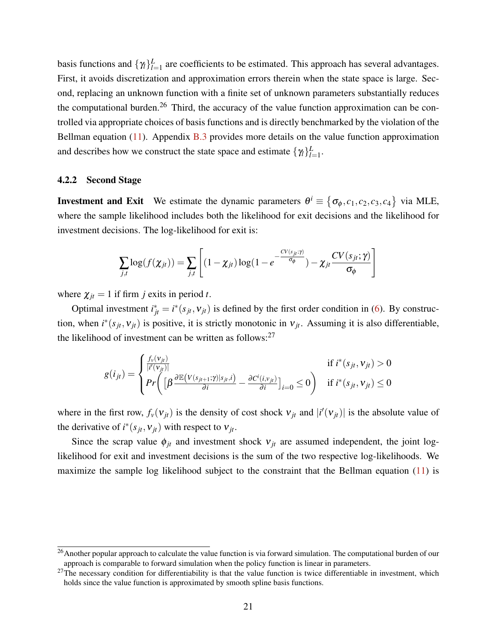basis functions and  $\{\gamma_l\}_{l=1}^L$  $_{l=1}^{L}$  are coefficients to be estimated. This approach has several advantages. First, it avoids discretization and approximation errors therein when the state space is large. Second, replacing an unknown function with a finite set of unknown parameters substantially reduces the computational burden.<sup>26</sup> Third, the accuracy of the value function approximation can be controlled via appropriate choices of basis functions and is directly benchmarked by the violation of the Bellman equation  $(11)$ . Appendix [B.3](#page-53-0) provides more details on the value function approximation and describes how we construct the state space and estimate  $\{\gamma_l\}_{l=1}^L$ *L*<br>*l*=1.

#### <span id="page-20-0"></span>4.2.2 Second Stage

**Investment and Exit** We estimate the dynamic parameters  $\theta^i \equiv \{\sigma_{\phi}, c_1, c_2, c_3, c_4\}$  via MLE, where the sample likelihood includes both the likelihood for exit decisions and the likelihood for investment decisions. The log-likelihood for exit is:

$$
\sum_{j,t} \log(f(\chi_{jt})) = \sum_{j,t} \left[ (1 - \chi_{jt}) \log(1 - e^{-\frac{CV(s_{jt};\gamma)}{\sigma_{\phi}}}) - \chi_{jt} \frac{CV(s_{jt};\gamma)}{\sigma_{\phi}} \right]
$$

where  $\chi_{jt} = 1$  if firm *j* exits in period *t*.

Optimal investment  $i_{jt}^* = i^*(s_{jt}, v_{jt})$  is defined by the first order condition in [\(6\)](#page-12-0). By construction, when  $i^*(s_{jt}, v_{jt})$  is positive, it is strictly monotonic in  $v_{jt}$ . Assuming it is also differentiable, the likelihood of investment can be written as follows: $27$ 

$$
g(i_{jt}) = \begin{cases} \frac{f_v(\mathbf{v}_{jt})}{|i'(\mathbf{v}_{jt})|} & \text{if } i^*(s_{jt}, \mathbf{v}_{jt}) > 0\\ Pr\left( \left[ \beta \frac{\partial \mathbb{E}(V(s_{jt+1}; \gamma)|s_{jt}, i)}{\partial i} - \frac{\partial C^i(i, \mathbf{v}_{jt})}{\partial i} \right]_{i=0} \leq 0 \right) & \text{if } i^*(s_{jt}, \mathbf{v}_{jt}) \leq 0 \end{cases}
$$

where in the first row,  $f_v(v_{jt})$  is the density of cost shock  $v_{jt}$  and  $|i'(v_{jt})|$  is the absolute value of the derivative of  $i^*(s_{jt}, v_{jt})$  with respect to  $v_{jt}$ .

Since the scrap value  $\phi_{it}$  and investment shock  $v_{it}$  are assumed independent, the joint loglikelihood for exit and investment decisions is the sum of the two respective log-likelihoods. We maximize the sample log likelihood subject to the constraint that the Bellman equation [\(11\)](#page-19-0) is

<sup>&</sup>lt;sup>26</sup>Another popular approach to calculate the value function is via forward simulation. The computational burden of our approach is comparable to forward simulation when the policy function is linear in parameters.

 $27$ The necessary condition for differentiability is that the value function is twice differentiable in investment, which holds since the value function is approximated by smooth spline basis functions.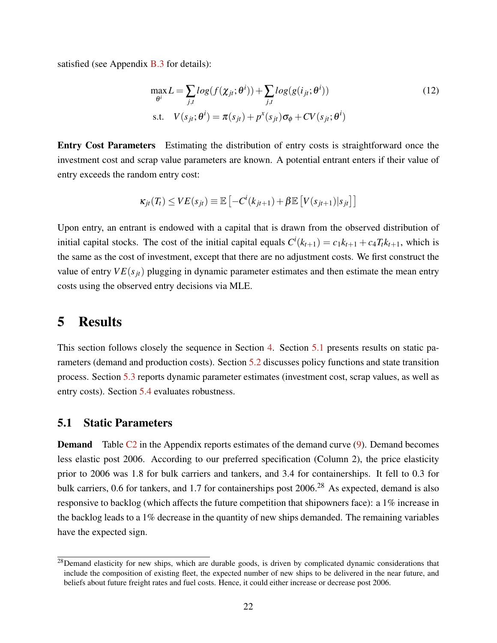satisfied (see Appendix [B.3](#page-53-0) for details):

$$
\max_{\theta^i} L = \sum_{j,t} log(f(\chi_{jt}; \theta^i)) + \sum_{j,t} log(g(i_{jt}; \theta^i))
$$
\n
$$
\text{s.t.} \quad V(s_{jt}; \theta^i) = \pi(s_{jt}) + p^x(s_{jt}) \sigma_{\phi} + CV(s_{jt}; \theta^i)
$$
\n
$$
(12)
$$

Entry Cost Parameters Estimating the distribution of entry costs is straightforward once the investment cost and scrap value parameters are known. A potential entrant enters if their value of entry exceeds the random entry cost:

$$
\kappa_{jt}(T_t) \leq VE(s_{jt}) \equiv \mathbb{E}\left[-C^i(k_{jt+1}) + \beta \mathbb{E}\left[V(s_{jt+1})|s_{jt}\right]\right]
$$

Upon entry, an entrant is endowed with a capital that is drawn from the observed distribution of initial capital stocks. The cost of the initial capital equals  $C^i(k_{t+1}) = c_1 k_{t+1} + c_4 T_t k_{t+1}$ , which is the same as the cost of investment, except that there are no adjustment costs. We first construct the value of entry  $VE(s_{it})$  plugging in dynamic parameter estimates and then estimate the mean entry costs using the observed entry decisions via MLE.

### <span id="page-21-0"></span>5 Results

This section follows closely the sequence in Section [4.](#page-15-0) Section [5.1](#page-21-1) presents results on static parameters (demand and production costs). Section [5.2](#page-23-0) discusses policy functions and state transition process. Section [5.3](#page-23-1) reports dynamic parameter estimates (investment cost, scrap values, as well as entry costs). Section [5.4](#page-24-0) evaluates robustness.

### <span id="page-21-1"></span>5.1 Static Parameters

**Demand** Table [C2](#page-56-0) in the Appendix reports estimates of the demand curve [\(9\)](#page-15-2). Demand becomes less elastic post 2006. According to our preferred specification (Column 2), the price elasticity prior to 2006 was 1.8 for bulk carriers and tankers, and 3.4 for containerships. It fell to 0.3 for bulk carriers, 0.6 for tankers, and 1.7 for containerships post 2006.<sup>28</sup> As expected, demand is also responsive to backlog (which affects the future competition that shipowners face): a 1% increase in the backlog leads to a 1% decrease in the quantity of new ships demanded. The remaining variables have the expected sign.

<sup>&</sup>lt;sup>28</sup>Demand elasticity for new ships, which are durable goods, is driven by complicated dynamic considerations that include the composition of existing fleet, the expected number of new ships to be delivered in the near future, and beliefs about future freight rates and fuel costs. Hence, it could either increase or decrease post 2006.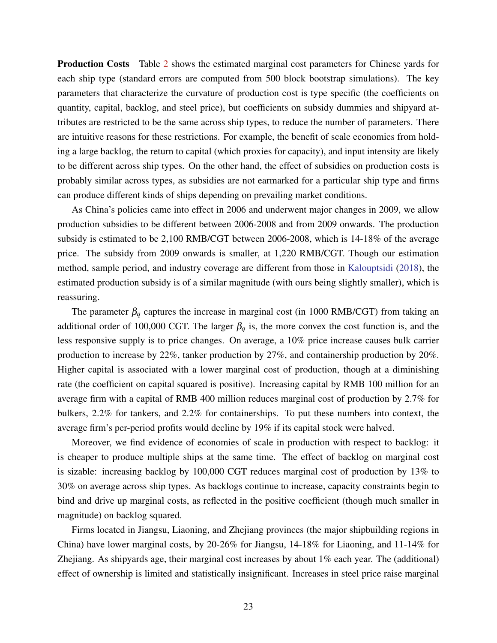Production Costs Table [2](#page-42-0) shows the estimated marginal cost parameters for Chinese yards for each ship type (standard errors are computed from 500 block bootstrap simulations). The key parameters that characterize the curvature of production cost is type specific (the coefficients on quantity, capital, backlog, and steel price), but coefficients on subsidy dummies and shipyard attributes are restricted to be the same across ship types, to reduce the number of parameters. There are intuitive reasons for these restrictions. For example, the benefit of scale economies from holding a large backlog, the return to capital (which proxies for capacity), and input intensity are likely to be different across ship types. On the other hand, the effect of subsidies on production costs is probably similar across types, as subsidies are not earmarked for a particular ship type and firms can produce different kinds of ships depending on prevailing market conditions.

As China's policies came into effect in 2006 and underwent major changes in 2009, we allow production subsidies to be different between 2006-2008 and from 2009 onwards. The production subsidy is estimated to be 2,100 RMB/CGT between 2006-2008, which is 14-18% of the average price. The subsidy from 2009 onwards is smaller, at 1,220 RMB/CGT. Though our estimation method, sample period, and industry coverage are different from those in [Kalouptsidi](#page-38-3) [\(2018\)](#page-38-3), the estimated production subsidy is of a similar magnitude (with ours being slightly smaller), which is reassuring.

The parameter  $\beta_q$  captures the increase in marginal cost (in 1000 RMB/CGT) from taking an additional order of 100,000 CGT. The larger  $\beta_q$  is, the more convex the cost function is, and the less responsive supply is to price changes. On average, a 10% price increase causes bulk carrier production to increase by 22%, tanker production by 27%, and containership production by 20%. Higher capital is associated with a lower marginal cost of production, though at a diminishing rate (the coefficient on capital squared is positive). Increasing capital by RMB 100 million for an average firm with a capital of RMB 400 million reduces marginal cost of production by 2.7% for bulkers, 2.2% for tankers, and 2.2% for containerships. To put these numbers into context, the average firm's per-period profits would decline by 19% if its capital stock were halved.

Moreover, we find evidence of economies of scale in production with respect to backlog: it is cheaper to produce multiple ships at the same time. The effect of backlog on marginal cost is sizable: increasing backlog by 100,000 CGT reduces marginal cost of production by 13% to 30% on average across ship types. As backlogs continue to increase, capacity constraints begin to bind and drive up marginal costs, as reflected in the positive coefficient (though much smaller in magnitude) on backlog squared.

Firms located in Jiangsu, Liaoning, and Zhejiang provinces (the major shipbuilding regions in China) have lower marginal costs, by 20-26% for Jiangsu, 14-18% for Liaoning, and 11-14% for Zhejiang. As shipyards age, their marginal cost increases by about 1% each year. The (additional) effect of ownership is limited and statistically insignificant. Increases in steel price raise marginal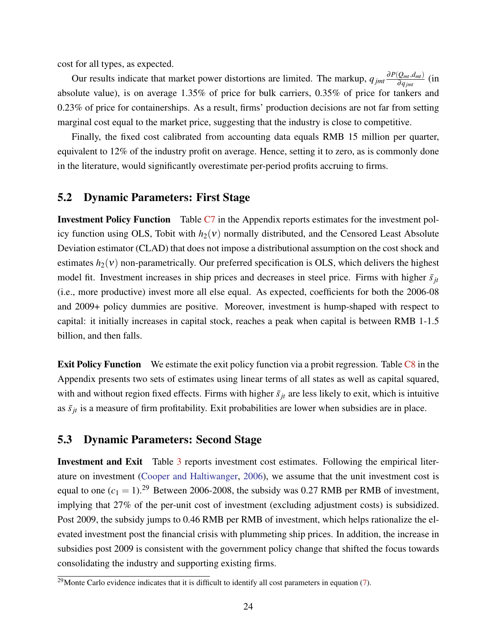cost for all types, as expected.

Our results indicate that market power distortions are limited. The markup,  $q_{jmt} \frac{\partial P(Q_{mt}, d_{mt})}{\partial q_{jmt}}$ ∂*qjmt* (in absolute value), is on average 1.35% of price for bulk carriers, 0.35% of price for tankers and 0.23% of price for containerships. As a result, firms' production decisions are not far from setting marginal cost equal to the market price, suggesting that the industry is close to competitive.

Finally, the fixed cost calibrated from accounting data equals RMB 15 million per quarter, equivalent to 12% of the industry profit on average. Hence, setting it to zero, as is commonly done in the literature, would significantly overestimate per-period profits accruing to firms.

### <span id="page-23-0"></span>5.2 Dynamic Parameters: First Stage

Investment Policy Function Table [C7](#page-61-0) in the Appendix reports estimates for the investment policy function using OLS, Tobit with  $h_2(v)$  normally distributed, and the Censored Least Absolute Deviation estimator (CLAD) that does not impose a distributional assumption on the cost shock and estimates  $h_2(v)$  non-parametrically. Our preferred specification is OLS, which delivers the highest model fit. Investment increases in ship prices and decreases in steel price. Firms with higher  $\bar{s}_{it}$ (i.e., more productive) invest more all else equal. As expected, coefficients for both the 2006-08 and 2009+ policy dummies are positive. Moreover, investment is hump-shaped with respect to capital: it initially increases in capital stock, reaches a peak when capital is between RMB 1-1.5 billion, and then falls.

**Exit Policy Function** We estimate the exit policy function via a probit regression. Table [C8](#page-62-0) in the Appendix presents two sets of estimates using linear terms of all states as well as capital squared, with and without region fixed effects. Firms with higher  $\bar{s}_{it}$  are less likely to exit, which is intuitive as  $\bar{s}_{jt}$  is a measure of firm profitability. Exit probabilities are lower when subsidies are in place.

#### <span id="page-23-1"></span>5.3 Dynamic Parameters: Second Stage

Investment and Exit Table [3](#page-43-0) reports investment cost estimates. Following the empirical literature on investment [\(Cooper and Haltiwanger,](#page-36-7) [2006\)](#page-36-7), we assume that the unit investment cost is equal to one  $(c_1 = 1)$ .<sup>29</sup> Between 2006-2008, the subsidy was 0.27 RMB per RMB of investment, implying that 27% of the per-unit cost of investment (excluding adjustment costs) is subsidized. Post 2009, the subsidy jumps to 0.46 RMB per RMB of investment, which helps rationalize the elevated investment post the financial crisis with plummeting ship prices. In addition, the increase in subsidies post 2009 is consistent with the government policy change that shifted the focus towards consolidating the industry and supporting existing firms.

 $29$ Monte Carlo evidence indicates that it is difficult to identify all cost parameters in equation [\(7\)](#page-12-1).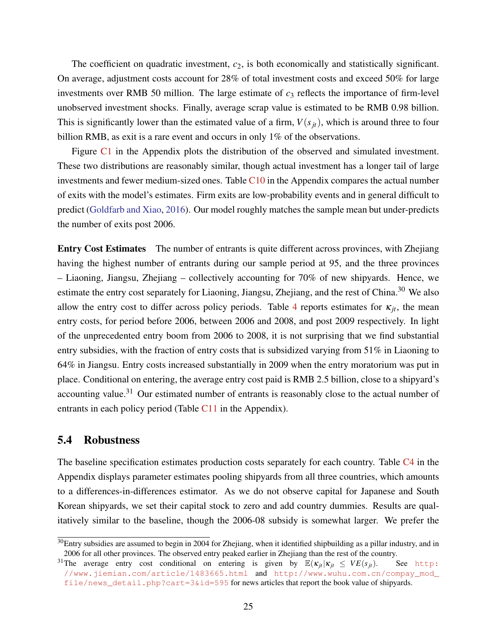The coefficient on quadratic investment,  $c_2$ , is both economically and statistically significant. On average, adjustment costs account for 28% of total investment costs and exceed 50% for large investments over RMB 50 million. The large estimate of  $c_3$  reflects the importance of firm-level unobserved investment shocks. Finally, average scrap value is estimated to be RMB 0.98 billion. This is significantly lower than the estimated value of a firm,  $V(s_{it})$ , which is around three to four billion RMB, as exit is a rare event and occurs in only 1% of the observations.

Figure [C1](#page-64-0) in the Appendix plots the distribution of the observed and simulated investment. These two distributions are reasonably similar, though actual investment has a longer tail of large investments and fewer medium-sized ones. Table  $C10$  in the Appendix compares the actual number of exits with the model's estimates. Firm exits are low-probability events and in general difficult to predict [\(Goldfarb and Xiao,](#page-37-13) [2016\)](#page-37-13). Our model roughly matches the sample mean but under-predicts the number of exits post 2006.

Entry Cost Estimates The number of entrants is quite different across provinces, with Zhejiang having the highest number of entrants during our sample period at 95, and the three provinces – Liaoning, Jiangsu, Zhejiang – collectively accounting for 70% of new shipyards. Hence, we estimate the entry cost separately for Liaoning, Jiangsu, Zhejiang, and the rest of China.<sup>30</sup> We also allow the entry cost to differ across policy periods. Table [4](#page-43-1) reports estimates for  $\kappa_{it}$ , the mean entry costs, for period before 2006, between 2006 and 2008, and post 2009 respectively. In light of the unprecedented entry boom from 2006 to 2008, it is not surprising that we find substantial entry subsidies, with the fraction of entry costs that is subsidized varying from 51% in Liaoning to 64% in Jiangsu. Entry costs increased substantially in 2009 when the entry moratorium was put in place. Conditional on entering, the average entry cost paid is RMB 2.5 billion, close to a shipyard's accounting value.<sup>31</sup> Our estimated number of entrants is reasonably close to the actual number of entrants in each policy period (Table [C11](#page-63-1) in the Appendix).

### <span id="page-24-0"></span>5.4 Robustness

The baseline specification estimates production costs separately for each country. Table  $C<sub>4</sub>$  in the Appendix displays parameter estimates pooling shipyards from all three countries, which amounts to a differences-in-differences estimator. As we do not observe capital for Japanese and South Korean shipyards, we set their capital stock to zero and add country dummies. Results are qualitatively similar to the baseline, though the 2006-08 subsidy is somewhat larger. We prefer the

 $30$ Entry subsidies are assumed to begin in 2004 for Zhejiang, when it identified shipbuilding as a pillar industry, and in 2006 for all other provinces. The observed entry peaked earlier in Zhejiang than the rest of the country.

<sup>&</sup>lt;sup>31</sup>The average entry cost conditional on entering is given by  $\mathbb{E}(\kappa_{jt}| \kappa_{jt} \leq VE(s_{jt})$ . See [http:](http://www.jiemian.com/article/1483665.html) [//www.jiemian.com/article/1483665.html](http://www.jiemian.com/article/1483665.html) and [http://www.wuhu.com.cn/compay\\_mod\\_](http://www.wuhu.com.cn/compay_mod_file/news_detail.php?cart=3&id=595) [file/news\\_detail.php?cart=3&id=595](http://www.wuhu.com.cn/compay_mod_file/news_detail.php?cart=3&id=595) for news articles that report the book value of shipyards.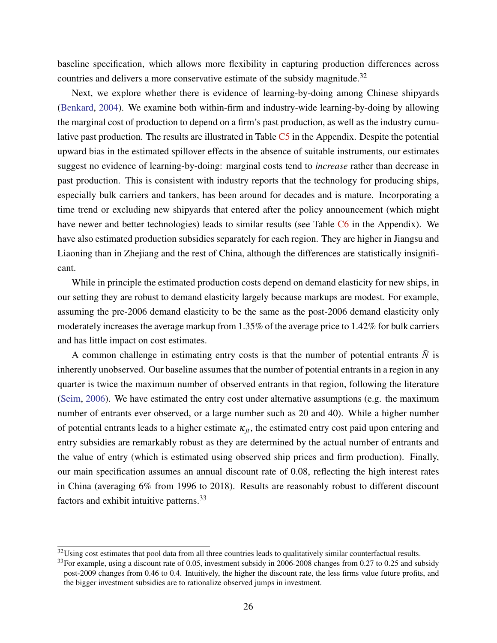baseline specification, which allows more flexibility in capturing production differences across countries and delivers a more conservative estimate of the subsidy magnitude.<sup>32</sup>

Next, we explore whether there is evidence of learning-by-doing among Chinese shipyards [\(Benkard,](#page-35-12) [2004\)](#page-35-12). We examine both within-firm and industry-wide learning-by-doing by allowing the marginal cost of production to depend on a firm's past production, as well as the industry cumulative past production. The results are illustrated in Table [C5](#page-59-0) in the Appendix. Despite the potential upward bias in the estimated spillover effects in the absence of suitable instruments, our estimates suggest no evidence of learning-by-doing: marginal costs tend to *increase* rather than decrease in past production. This is consistent with industry reports that the technology for producing ships, especially bulk carriers and tankers, has been around for decades and is mature. Incorporating a time trend or excluding new shipyards that entered after the policy announcement (which might have newer and better technologies) leads to similar results (see Table [C6](#page-60-0) in the Appendix). We have also estimated production subsidies separately for each region. They are higher in Jiangsu and Liaoning than in Zhejiang and the rest of China, although the differences are statistically insignificant.

While in principle the estimated production costs depend on demand elasticity for new ships, in our setting they are robust to demand elasticity largely because markups are modest. For example, assuming the pre-2006 demand elasticity to be the same as the post-2006 demand elasticity only moderately increases the average markup from 1.35% of the average price to 1.42% for bulk carriers and has little impact on cost estimates.

A common challenge in estimating entry costs is that the number of potential entrants  $\bar{N}$  is inherently unobserved. Our baseline assumes that the number of potential entrants in a region in any quarter is twice the maximum number of observed entrants in that region, following the literature [\(Seim,](#page-39-12) [2006\)](#page-39-12). We have estimated the entry cost under alternative assumptions (e.g. the maximum number of entrants ever observed, or a large number such as 20 and 40). While a higher number of potential entrants leads to a higher estimate  $\kappa_{it}$ , the estimated entry cost paid upon entering and entry subsidies are remarkably robust as they are determined by the actual number of entrants and the value of entry (which is estimated using observed ship prices and firm production). Finally, our main specification assumes an annual discount rate of 0.08, reflecting the high interest rates in China (averaging 6% from 1996 to 2018). Results are reasonably robust to different discount factors and exhibit intuitive patterns.<sup>33</sup>

 $32$ Using cost estimates that pool data from all three countries leads to qualitatively similar counterfactual results.

 $33$ For example, using a discount rate of 0.05, investment subsidy in 2006-2008 changes from 0.27 to 0.25 and subsidy post-2009 changes from 0.46 to 0.4. Intuitively, the higher the discount rate, the less firms value future profits, and the bigger investment subsidies are to rationalize observed jumps in investment.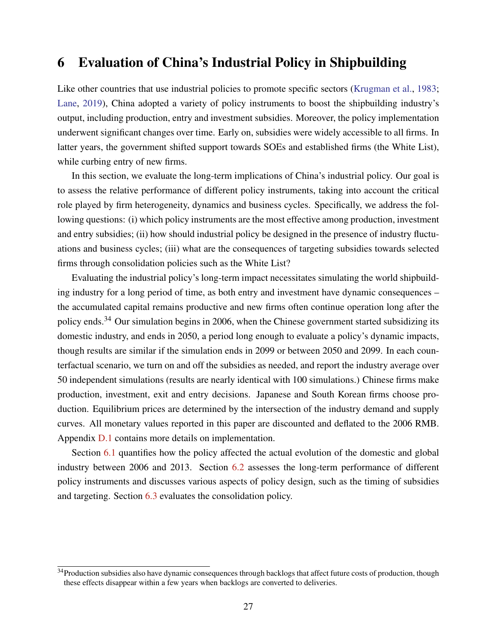### <span id="page-26-0"></span>6 Evaluation of China's Industrial Policy in Shipbuilding

Like other countries that use industrial policies to promote specific sectors [\(Krugman et al.,](#page-38-14) [1983;](#page-38-14) [Lane,](#page-38-2) [2019\)](#page-38-2), China adopted a variety of policy instruments to boost the shipbuilding industry's output, including production, entry and investment subsidies. Moreover, the policy implementation underwent significant changes over time. Early on, subsidies were widely accessible to all firms. In latter years, the government shifted support towards SOEs and established firms (the White List), while curbing entry of new firms.

In this section, we evaluate the long-term implications of China's industrial policy. Our goal is to assess the relative performance of different policy instruments, taking into account the critical role played by firm heterogeneity, dynamics and business cycles. Specifically, we address the following questions: (i) which policy instruments are the most effective among production, investment and entry subsidies; (ii) how should industrial policy be designed in the presence of industry fluctuations and business cycles; (iii) what are the consequences of targeting subsidies towards selected firms through consolidation policies such as the White List?

Evaluating the industrial policy's long-term impact necessitates simulating the world shipbuilding industry for a long period of time, as both entry and investment have dynamic consequences – the accumulated capital remains productive and new firms often continue operation long after the policy ends.<sup>34</sup> Our simulation begins in 2006, when the Chinese government started subsidizing its domestic industry, and ends in 2050, a period long enough to evaluate a policy's dynamic impacts, though results are similar if the simulation ends in 2099 or between 2050 and 2099. In each counterfactual scenario, we turn on and off the subsidies as needed, and report the industry average over 50 independent simulations (results are nearly identical with 100 simulations.) Chinese firms make production, investment, exit and entry decisions. Japanese and South Korean firms choose production. Equilibrium prices are determined by the intersection of the industry demand and supply curves. All monetary values reported in this paper are discounted and deflated to the 2006 RMB. Appendix [D.1](#page-63-2) contains more details on implementation.

Section [6.1](#page-27-0) quantifies how the policy affected the actual evolution of the domestic and global industry between 2006 and 2013. Section [6.2](#page-28-0) assesses the long-term performance of different policy instruments and discusses various aspects of policy design, such as the timing of subsidies and targeting. Section [6.3](#page-31-0) evaluates the consolidation policy.

<sup>&</sup>lt;sup>34</sup>Production subsidies also have dynamic consequences through backlogs that affect future costs of production, though these effects disappear within a few years when backlogs are converted to deliveries.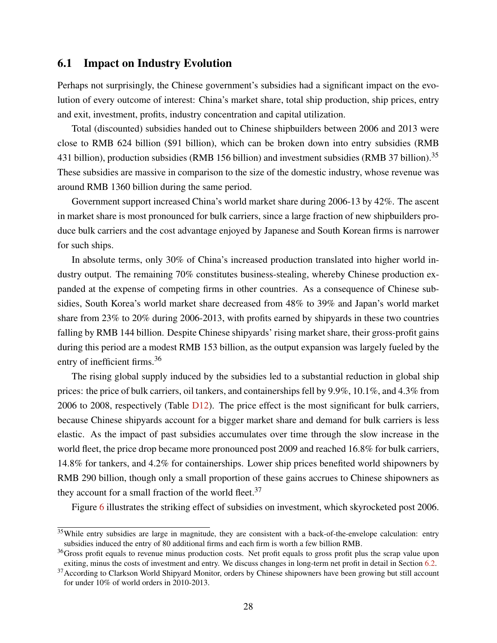#### <span id="page-27-0"></span>6.1 Impact on Industry Evolution

Perhaps not surprisingly, the Chinese government's subsidies had a significant impact on the evolution of every outcome of interest: China's market share, total ship production, ship prices, entry and exit, investment, profits, industry concentration and capital utilization.

Total (discounted) subsidies handed out to Chinese shipbuilders between 2006 and 2013 were close to RMB 624 billion (\$91 billion), which can be broken down into entry subsidies (RMB 431 billion), production subsidies (RMB 156 billion) and investment subsidies (RMB 37 billion).<sup>35</sup> These subsidies are massive in comparison to the size of the domestic industry, whose revenue was around RMB 1360 billion during the same period.

Government support increased China's world market share during 2006-13 by 42%. The ascent in market share is most pronounced for bulk carriers, since a large fraction of new shipbuilders produce bulk carriers and the cost advantage enjoyed by Japanese and South Korean firms is narrower for such ships.

In absolute terms, only 30% of China's increased production translated into higher world industry output. The remaining 70% constitutes business-stealing, whereby Chinese production expanded at the expense of competing firms in other countries. As a consequence of Chinese subsidies, South Korea's world market share decreased from 48% to 39% and Japan's world market share from 23% to 20% during 2006-2013, with profits earned by shipyards in these two countries falling by RMB 144 billion. Despite Chinese shipyards' rising market share, their gross-profit gains during this period are a modest RMB 153 billion, as the output expansion was largely fueled by the entry of inefficient firms.<sup>36</sup>

The rising global supply induced by the subsidies led to a substantial reduction in global ship prices: the price of bulk carriers, oil tankers, and containerships fell by 9.9%, 10.1%, and 4.3% from 2006 to 2008, respectively (Table [D12\)](#page-65-0). The price effect is the most significant for bulk carriers, because Chinese shipyards account for a bigger market share and demand for bulk carriers is less elastic. As the impact of past subsidies accumulates over time through the slow increase in the world fleet, the price drop became more pronounced post 2009 and reached 16.8% for bulk carriers, 14.8% for tankers, and 4.2% for containerships. Lower ship prices benefited world shipowners by RMB 290 billion, though only a small proportion of these gains accrues to Chinese shipowners as they account for a small fraction of the world fleet.<sup>37</sup>

Figure [6](#page-48-0) illustrates the striking effect of subsidies on investment, which skyrocketed post 2006.

<sup>&</sup>lt;sup>35</sup>While entry subsidies are large in magnitude, they are consistent with a back-of-the-envelope calculation: entry subsidies induced the entry of 80 additional firms and each firm is worth a few billion RMB.

 $36$ Gross profit equals to revenue minus production costs. Net profit equals to gross profit plus the scrap value upon exiting, minus the costs of investment and entry. We discuss changes in long-term net profit in detail in Section [6.2.](#page-28-0)

<sup>&</sup>lt;sup>37</sup> According to Clarkson World Shipyard Monitor, orders by Chinese shipowners have been growing but still account for under 10% of world orders in 2010-2013.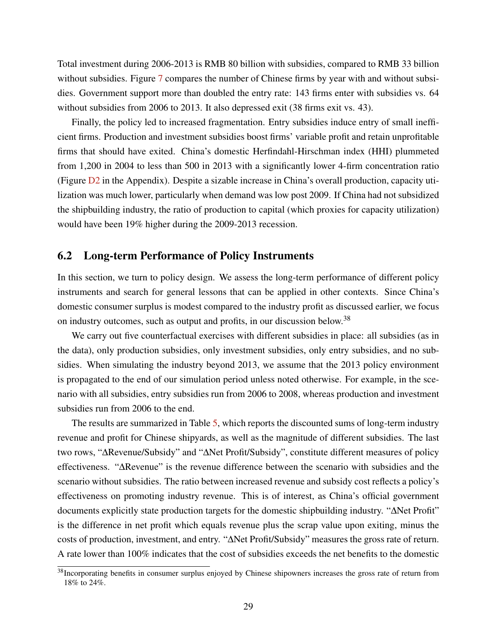Total investment during 2006-2013 is RMB 80 billion with subsidies, compared to RMB 33 billion without subsidies. Figure [7](#page-48-0) compares the number of Chinese firms by year with and without subsidies. Government support more than doubled the entry rate: 143 firms enter with subsidies vs. 64 without subsidies from 2006 to 2013. It also depressed exit (38 firms exit vs. 43).

Finally, the policy led to increased fragmentation. Entry subsidies induce entry of small inefficient firms. Production and investment subsidies boost firms' variable profit and retain unprofitable firms that should have exited. China's domestic Herfindahl-Hirschman index (HHI) plummeted from 1,200 in 2004 to less than 500 in 2013 with a significantly lower 4-firm concentration ratio (Figure [D2](#page-65-1) in the Appendix). Despite a sizable increase in China's overall production, capacity utilization was much lower, particularly when demand was low post 2009. If China had not subsidized the shipbuilding industry, the ratio of production to capital (which proxies for capacity utilization) would have been 19% higher during the 2009-2013 recession.

### <span id="page-28-0"></span>6.2 Long-term Performance of Policy Instruments

In this section, we turn to policy design. We assess the long-term performance of different policy instruments and search for general lessons that can be applied in other contexts. Since China's domestic consumer surplus is modest compared to the industry profit as discussed earlier, we focus on industry outcomes, such as output and profits, in our discussion below.<sup>38</sup>

We carry out five counterfactual exercises with different subsidies in place: all subsidies (as in the data), only production subsidies, only investment subsidies, only entry subsidies, and no subsidies. When simulating the industry beyond 2013, we assume that the 2013 policy environment is propagated to the end of our simulation period unless noted otherwise. For example, in the scenario with all subsidies, entry subsidies run from 2006 to 2008, whereas production and investment subsidies run from 2006 to the end.

The results are summarized in Table [5,](#page-44-0) which reports the discounted sums of long-term industry revenue and profit for Chinese shipyards, as well as the magnitude of different subsidies. The last two rows, "∆Revenue/Subsidy" and "∆Net Profit/Subsidy", constitute different measures of policy effectiveness. "∆Revenue" is the revenue difference between the scenario with subsidies and the scenario without subsidies. The ratio between increased revenue and subsidy cost reflects a policy's effectiveness on promoting industry revenue. This is of interest, as China's official government documents explicitly state production targets for the domestic shipbuilding industry. "∆Net Profit" is the difference in net profit which equals revenue plus the scrap value upon exiting, minus the costs of production, investment, and entry. "∆Net Profit/Subsidy" measures the gross rate of return. A rate lower than 100% indicates that the cost of subsidies exceeds the net benefits to the domestic

<sup>&</sup>lt;sup>38</sup>Incorporating benefits in consumer surplus enjoyed by Chinese shipowners increases the gross rate of return from 18% to 24%.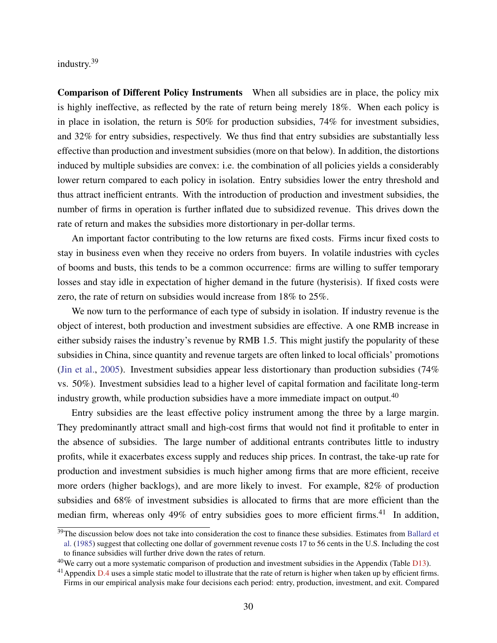industry.<sup>39</sup>

Comparison of Different Policy Instruments When all subsidies are in place, the policy mix is highly ineffective, as reflected by the rate of return being merely 18%. When each policy is in place in isolation, the return is 50% for production subsidies, 74% for investment subsidies, and 32% for entry subsidies, respectively. We thus find that entry subsidies are substantially less effective than production and investment subsidies (more on that below). In addition, the distortions induced by multiple subsidies are convex: i.e. the combination of all policies yields a considerably lower return compared to each policy in isolation. Entry subsidies lower the entry threshold and thus attract inefficient entrants. With the introduction of production and investment subsidies, the number of firms in operation is further inflated due to subsidized revenue. This drives down the rate of return and makes the subsidies more distortionary in per-dollar terms.

An important factor contributing to the low returns are fixed costs. Firms incur fixed costs to stay in business even when they receive no orders from buyers. In volatile industries with cycles of booms and busts, this tends to be a common occurrence: firms are willing to suffer temporary losses and stay idle in expectation of higher demand in the future (hysterisis). If fixed costs were zero, the rate of return on subsidies would increase from 18% to 25%.

We now turn to the performance of each type of subsidy in isolation. If industry revenue is the object of interest, both production and investment subsidies are effective. A one RMB increase in either subsidy raises the industry's revenue by RMB 1.5. This might justify the popularity of these subsidies in China, since quantity and revenue targets are often linked to local officials' promotions [\(Jin et al.,](#page-38-15) [2005\)](#page-38-15). Investment subsidies appear less distortionary than production subsidies (74% vs. 50%). Investment subsidies lead to a higher level of capital formation and facilitate long-term industry growth, while production subsidies have a more immediate impact on output.<sup>40</sup>

Entry subsidies are the least effective policy instrument among the three by a large margin. They predominantly attract small and high-cost firms that would not find it profitable to enter in the absence of subsidies. The large number of additional entrants contributes little to industry profits, while it exacerbates excess supply and reduces ship prices. In contrast, the take-up rate for production and investment subsidies is much higher among firms that are more efficient, receive more orders (higher backlogs), and are more likely to invest. For example, 82% of production subsidies and 68% of investment subsidies is allocated to firms that are more efficient than the median firm, whereas only 49% of entry subsidies goes to more efficient firms.<sup>41</sup> In addition,

<sup>&</sup>lt;sup>39</sup>The discussion below does not take into consideration the cost to finance these subsidies. Estimates from [Ballard et](#page-35-13) [al.](#page-35-13) [\(1985\)](#page-35-13) suggest that collecting one dollar of government revenue costs 17 to 56 cents in the U.S. Including the cost to finance subsidies will further drive down the rates of return.

 $^{40}$ We carry out a more systematic comparison of production and investment subsidies in the Appendix (Table  $D13$ ).

 $^{41}$ Appendix [D.4](#page-71-0) uses a simple static model to illustrate that the rate of return is higher when taken up by efficient firms. Firms in our empirical analysis make four decisions each period: entry, production, investment, and exit. Compared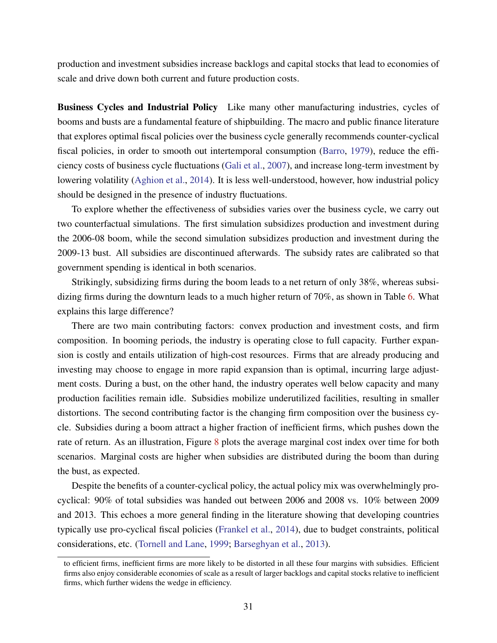production and investment subsidies increase backlogs and capital stocks that lead to economies of scale and drive down both current and future production costs.

Business Cycles and Industrial Policy Like many other manufacturing industries, cycles of booms and busts are a fundamental feature of shipbuilding. The macro and public finance literature that explores optimal fiscal policies over the business cycle generally recommends counter-cyclical fiscal policies, in order to smooth out intertemporal consumption [\(Barro,](#page-35-14) [1979\)](#page-35-14), reduce the efficiency costs of business cycle fluctuations [\(Gali et al.,](#page-37-14) [2007\)](#page-37-14), and increase long-term investment by lowering volatility [\(Aghion et al.,](#page-34-4) [2014\)](#page-34-4). It is less well-understood, however, how industrial policy should be designed in the presence of industry fluctuations.

To explore whether the effectiveness of subsidies varies over the business cycle, we carry out two counterfactual simulations. The first simulation subsidizes production and investment during the 2006-08 boom, while the second simulation subsidizes production and investment during the 2009-13 bust. All subsidies are discontinued afterwards. The subsidy rates are calibrated so that government spending is identical in both scenarios.

Strikingly, subsidizing firms during the boom leads to a net return of only 38%, whereas subsidizing firms during the downturn leads to a much higher return of 70%, as shown in Table [6.](#page-44-1) What explains this large difference?

There are two main contributing factors: convex production and investment costs, and firm composition. In booming periods, the industry is operating close to full capacity. Further expansion is costly and entails utilization of high-cost resources. Firms that are already producing and investing may choose to engage in more rapid expansion than is optimal, incurring large adjustment costs. During a bust, on the other hand, the industry operates well below capacity and many production facilities remain idle. Subsidies mobilize underutilized facilities, resulting in smaller distortions. The second contributing factor is the changing firm composition over the business cycle. Subsidies during a boom attract a higher fraction of inefficient firms, which pushes down the rate of return. As an illustration, Figure [8](#page-49-0) plots the average marginal cost index over time for both scenarios. Marginal costs are higher when subsidies are distributed during the boom than during the bust, as expected.

Despite the benefits of a counter-cyclical policy, the actual policy mix was overwhelmingly procyclical: 90% of total subsidies was handed out between 2006 and 2008 vs. 10% between 2009 and 2013. This echoes a more general finding in the literature showing that developing countries typically use pro-cyclical fiscal policies [\(Frankel et al.,](#page-37-15) [2014\)](#page-37-15), due to budget constraints, political considerations, etc. [\(Tornell and Lane,](#page-40-12) [1999;](#page-40-12) [Barseghyan et al.,](#page-35-15) [2013\)](#page-35-15).

to efficient firms, inefficient firms are more likely to be distorted in all these four margins with subsidies. Efficient firms also enjoy considerable economies of scale as a result of larger backlogs and capital stocks relative to inefficient firms, which further widens the wedge in efficiency.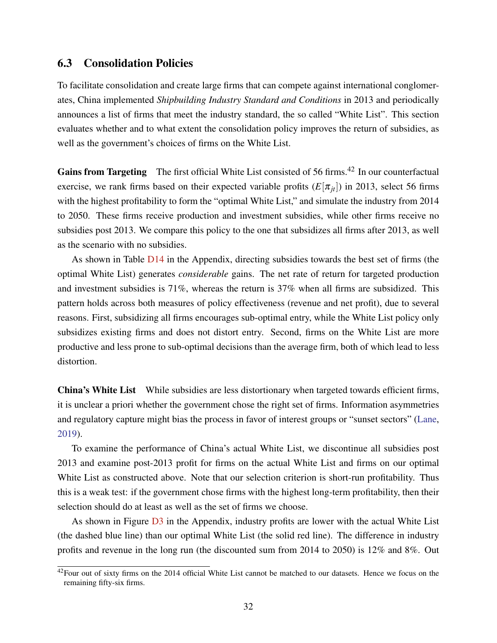### <span id="page-31-0"></span>6.3 Consolidation Policies

To facilitate consolidation and create large firms that can compete against international conglomerates, China implemented *Shipbuilding Industry Standard and Conditions* in 2013 and periodically announces a list of firms that meet the industry standard, the so called "White List". This section evaluates whether and to what extent the consolidation policy improves the return of subsidies, as well as the government's choices of firms on the White List.

Gains from Targeting The first official White List consisted of 56 firms.<sup>42</sup> In our counterfactual exercise, we rank firms based on their expected variable profits  $(E[\pi_{it}])$  in 2013, select 56 firms with the highest profitability to form the "optimal White List," and simulate the industry from 2014 to 2050. These firms receive production and investment subsidies, while other firms receive no subsidies post 2013. We compare this policy to the one that subsidizes all firms after 2013, as well as the scenario with no subsidies.

As shown in Table [D14](#page-67-0) in the Appendix, directing subsidies towards the best set of firms (the optimal White List) generates *considerable* gains. The net rate of return for targeted production and investment subsidies is  $71\%$ , whereas the return is  $37\%$  when all firms are subsidized. This pattern holds across both measures of policy effectiveness (revenue and net profit), due to several reasons. First, subsidizing all firms encourages sub-optimal entry, while the White List policy only subsidizes existing firms and does not distort entry. Second, firms on the White List are more productive and less prone to sub-optimal decisions than the average firm, both of which lead to less distortion.

**China's White List** While subsidies are less distortionary when targeted towards efficient firms, it is unclear a priori whether the government chose the right set of firms. Information asymmetries and regulatory capture might bias the process in favor of interest groups or "sunset sectors" [\(Lane,](#page-38-2) [2019\)](#page-38-2).

To examine the performance of China's actual White List, we discontinue all subsidies post 2013 and examine post-2013 profit for firms on the actual White List and firms on our optimal White List as constructed above. Note that our selection criterion is short-run profitability. Thus this is a weak test: if the government chose firms with the highest long-term profitability, then their selection should do at least as well as the set of firms we choose.

As shown in Figure  $\overline{D3}$  $\overline{D3}$  $\overline{D3}$  in the Appendix, industry profits are lower with the actual White List (the dashed blue line) than our optimal White List (the solid red line). The difference in industry profits and revenue in the long run (the discounted sum from 2014 to 2050) is 12% and 8%. Out

 $42$ Four out of sixty firms on the 2014 official White List cannot be matched to our datasets. Hence we focus on the remaining fifty-six firms.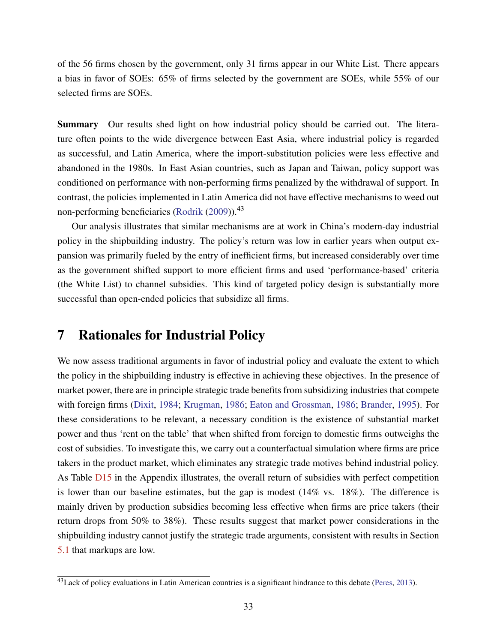of the 56 firms chosen by the government, only 31 firms appear in our White List. There appears a bias in favor of SOEs: 65% of firms selected by the government are SOEs, while 55% of our selected firms are SOEs.

Summary Our results shed light on how industrial policy should be carried out. The literature often points to the wide divergence between East Asia, where industrial policy is regarded as successful, and Latin America, where the import-substitution policies were less effective and abandoned in the 1980s. In East Asian countries, such as Japan and Taiwan, policy support was conditioned on performance with non-performing firms penalized by the withdrawal of support. In contrast, the policies implemented in Latin America did not have effective mechanisms to weed out non-performing beneficiaries [\(Rodrik](#page-39-13)  $(2009)$ ).<sup>43</sup>

Our analysis illustrates that similar mechanisms are at work in China's modern-day industrial policy in the shipbuilding industry. The policy's return was low in earlier years when output expansion was primarily fueled by the entry of inefficient firms, but increased considerably over time as the government shifted support to more efficient firms and used 'performance-based' criteria (the White List) to channel subsidies. This kind of targeted policy design is substantially more successful than open-ended policies that subsidize all firms.

### <span id="page-32-0"></span>7 Rationales for Industrial Policy

We now assess traditional arguments in favor of industrial policy and evaluate the extent to which the policy in the shipbuilding industry is effective in achieving these objectives. In the presence of market power, there are in principle strategic trade benefits from subsidizing industries that compete with foreign firms [\(Dixit,](#page-36-13) [1984;](#page-36-13) [Krugman,](#page-38-16) [1986;](#page-38-16) [Eaton and Grossman,](#page-37-16) [1986;](#page-37-16) [Brander,](#page-36-14) [1995\)](#page-36-14). For these considerations to be relevant, a necessary condition is the existence of substantial market power and thus 'rent on the table' that when shifted from foreign to domestic firms outweighs the cost of subsidies. To investigate this, we carry out a counterfactual simulation where firms are price takers in the product market, which eliminates any strategic trade motives behind industrial policy. As Table [D15](#page-68-0) in the Appendix illustrates, the overall return of subsidies with perfect competition is lower than our baseline estimates, but the gap is modest  $(14\% \text{ vs. } 18\%)$ . The difference is mainly driven by production subsidies becoming less effective when firms are price takers (their return drops from 50% to 38%). These results suggest that market power considerations in the shipbuilding industry cannot justify the strategic trade arguments, consistent with results in Section [5.1](#page-21-1) that markups are low.

 $^{43}$ Lack of policy evaluations in Latin American countries is a significant hindrance to this debate [\(Peres,](#page-39-14) [2013\)](#page-39-14).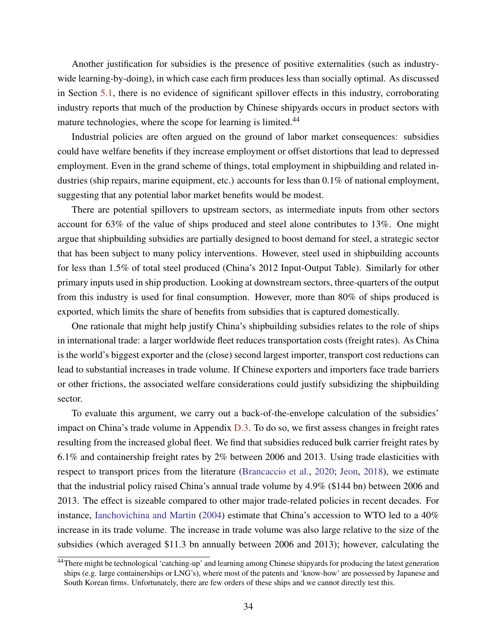Another justification for subsidies is the presence of positive externalities (such as industrywide learning-by-doing), in which case each firm produces less than socially optimal. As discussed in Section [5.1,](#page-21-1) there is no evidence of significant spillover effects in this industry, corroborating industry reports that much of the production by Chinese shipyards occurs in product sectors with mature technologies, where the scope for learning is limited.<sup>44</sup>

Industrial policies are often argued on the ground of labor market consequences: subsidies could have welfare benefits if they increase employment or offset distortions that lead to depressed employment. Even in the grand scheme of things, total employment in shipbuilding and related industries (ship repairs, marine equipment, etc.) accounts for less than 0.1% of national employment, suggesting that any potential labor market benefits would be modest.

There are potential spillovers to upstream sectors, as intermediate inputs from other sectors account for 63% of the value of ships produced and steel alone contributes to 13%. One might argue that shipbuilding subsidies are partially designed to boost demand for steel, a strategic sector that has been subject to many policy interventions. However, steel used in shipbuilding accounts for less than 1.5% of total steel produced (China's 2012 Input-Output Table). Similarly for other primary inputs used in ship production. Looking at downstream sectors, three-quarters of the output from this industry is used for final consumption. However, more than 80% of ships produced is exported, which limits the share of benefits from subsidies that is captured domestically.

One rationale that might help justify China's shipbuilding subsidies relates to the role of ships in international trade: a larger worldwide fleet reduces transportation costs (freight rates). As China is the world's biggest exporter and the (close) second largest importer, transport cost reductions can lead to substantial increases in trade volume. If Chinese exporters and importers face trade barriers or other frictions, the associated welfare considerations could justify subsidizing the shipbuilding sector.

To evaluate this argument, we carry out a back-of-the-envelope calculation of the subsidies' impact on China's trade volume in Appendix [D.3.](#page-69-0) To do so, we first assess changes in freight rates resulting from the increased global fleet. We find that subsidies reduced bulk carrier freight rates by 6.1% and containership freight rates by 2% between 2006 and 2013. Using trade elasticities with respect to transport prices from the literature [\(Brancaccio et al.,](#page-36-15) [2020;](#page-36-15) [Jeon,](#page-38-10) [2018\)](#page-38-10), we estimate that the industrial policy raised China's annual trade volume by 4.9% (\$144 bn) between 2006 and 2013. The effect is sizeable compared to other major trade-related policies in recent decades. For instance, [Ianchovichina and Martin](#page-38-17) [\(2004\)](#page-38-17) estimate that China's accession to WTO led to a 40% increase in its trade volume. The increase in trade volume was also large relative to the size of the subsidies (which averaged \$11.3 bn annually between 2006 and 2013); however, calculating the

<sup>44</sup>There might be technological 'catching-up' and learning among Chinese shipyards for producing the latest generation ships (e.g. large containerships or LNG's), where most of the patents and 'know-how' are possessed by Japanese and South Korean firms. Unfortunately, there are few orders of these ships and we cannot directly test this.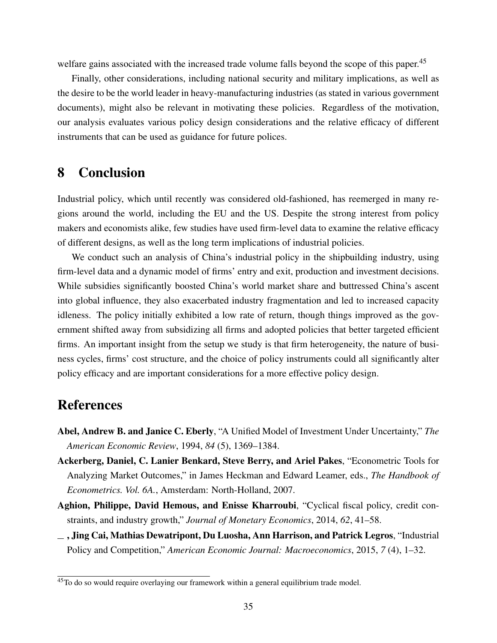welfare gains associated with the increased trade volume falls beyond the scope of this paper.<sup>45</sup>

Finally, other considerations, including national security and military implications, as well as the desire to be the world leader in heavy-manufacturing industries (as stated in various government documents), might also be relevant in motivating these policies. Regardless of the motivation, our analysis evaluates various policy design considerations and the relative efficacy of different instruments that can be used as guidance for future polices.

# <span id="page-34-3"></span>8 Conclusion

Industrial policy, which until recently was considered old-fashioned, has reemerged in many regions around the world, including the EU and the US. Despite the strong interest from policy makers and economists alike, few studies have used firm-level data to examine the relative efficacy of different designs, as well as the long term implications of industrial policies.

We conduct such an analysis of China's industrial policy in the shipbuilding industry, using firm-level data and a dynamic model of firms' entry and exit, production and investment decisions. While subsidies significantly boosted China's world market share and buttressed China's ascent into global influence, they also exacerbated industry fragmentation and led to increased capacity idleness. The policy initially exhibited a low rate of return, though things improved as the government shifted away from subsidizing all firms and adopted policies that better targeted efficient firms. An important insight from the setup we study is that firm heterogeneity, the nature of business cycles, firms' cost structure, and the choice of policy instruments could all significantly alter policy efficacy and are important considerations for a more effective policy design.

# References

- <span id="page-34-2"></span>Abel, Andrew B. and Janice C. Eberly, "A Unified Model of Investment Under Uncertainty," *The American Economic Review*, 1994, *84* (5), 1369–1384.
- <span id="page-34-1"></span>Ackerberg, Daniel, C. Lanier Benkard, Steve Berry, and Ariel Pakes, "Econometric Tools for Analyzing Market Outcomes," in James Heckman and Edward Leamer, eds., *The Handbook of Econometrics. Vol. 6A.*, Amsterdam: North-Holland, 2007.
- <span id="page-34-4"></span>Aghion, Philippe, David Hemous, and Enisse Kharroubi, "Cyclical fiscal policy, credit constraints, and industry growth," *Journal of Monetary Economics*, 2014, *62*, 41–58.
- <span id="page-34-0"></span>, Jing Cai, Mathias Dewatripont, Du Luosha, Ann Harrison, and Patrick Legros, "Industrial Policy and Competition," *American Economic Journal: Macroeconomics*, 2015, *7* (4), 1–32.

<sup>&</sup>lt;sup>45</sup>To do so would require overlaying our framework within a general equilibrium trade model.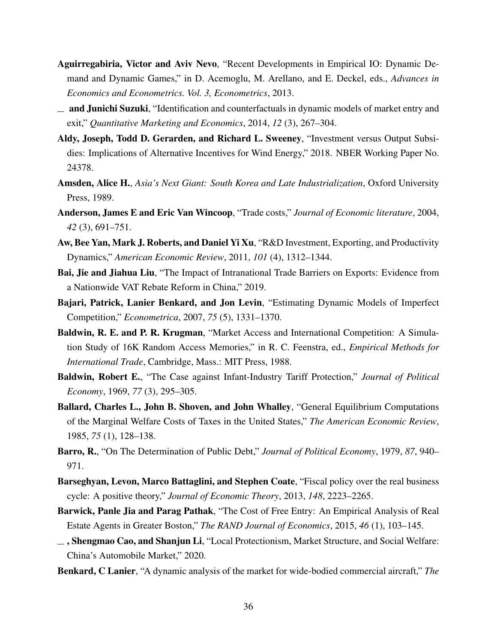- <span id="page-35-11"></span>Aguirregabiria, Victor and Aviv Nevo, "Recent Developments in Empirical IO: Dynamic Demand and Dynamic Games," in D. Acemoglu, M. Arellano, and E. Deckel, eds., *Advances in Economics and Econometrics. Vol. 3, Econometrics*, 2013.
- <span id="page-35-10"></span> $\equiv$  and Junichi Suzuki, "Identification and counterfactuals in dynamic models of market entry and exit," *Quantitative Marketing and Economics*, 2014, *12* (3), 267–304.
- <span id="page-35-6"></span>Aldy, Joseph, Todd D. Gerarden, and Richard L. Sweeney, "Investment versus Output Subsidies: Implications of Alternative Incentives for Wind Energy," 2018. NBER Working Paper No. 24378.
- <span id="page-35-0"></span>Amsden, Alice H., *Asia's Next Giant: South Korea and Late Industrialization*, Oxford University Press, 1989.
- <span id="page-35-1"></span>Anderson, James E and Eric Van Wincoop, "Trade costs," *Journal of Economic literature*, 2004, *42* (3), 691–751.
- <span id="page-35-8"></span>Aw, Bee Yan, Mark J. Roberts, and Daniel Yi Xu, "R&D Investment, Exporting, and Productivity Dynamics," *American Economic Review*, 2011, *101* (4), 1312–1344.
- <span id="page-35-3"></span>Bai, Jie and Jiahua Liu, "The Impact of Intranational Trade Barriers on Exports: Evidence from a Nationwide VAT Rebate Reform in China," 2019.
- <span id="page-35-7"></span>Bajari, Patrick, Lanier Benkard, and Jon Levin, "Estimating Dynamic Models of Imperfect Competition," *Econometrica*, 2007, *75* (5), 1331–1370.
- <span id="page-35-5"></span>Baldwin, R. E. and P. R. Krugman, "Market Access and International Competition: A Simulation Study of 16K Random Access Memories," in R. C. Feenstra, ed., *Empirical Methods for International Trade*, Cambridge, Mass.: MIT Press, 1988.
- <span id="page-35-4"></span>Baldwin, Robert E., "The Case against Infant-Industry Tariff Protection," *Journal of Political Economy*, 1969, *77* (3), 295–305.
- <span id="page-35-13"></span>Ballard, Charles L., John B. Shoven, and John Whalley, "General Equilibrium Computations of the Marginal Welfare Costs of Taxes in the United States," *The American Economic Review*, 1985, *75* (1), 128–138.
- <span id="page-35-14"></span>Barro, R., "On The Determination of Public Debt," *Journal of Political Economy*, 1979, *87*, 940– 971.
- <span id="page-35-15"></span>Barseghyan, Levon, Marco Battaglini, and Stephen Coate, "Fiscal policy over the real business cycle: A positive theory," *Journal of Economic Theory*, 2013, *148*, 2223–2265.
- <span id="page-35-9"></span>Barwick, Panle Jia and Parag Pathak, "The Cost of Free Entry: An Empirical Analysis of Real Estate Agents in Greater Boston," *The RAND Journal of Economics*, 2015, *46* (1), 103–145.
- <span id="page-35-2"></span>, Shengmao Cao, and Shanjun Li, "Local Protectionism, Market Structure, and Social Welfare: China's Automobile Market," 2020.
- <span id="page-35-12"></span>Benkard, C Lanier, "A dynamic analysis of the market for wide-bodied commercial aircraft," *The*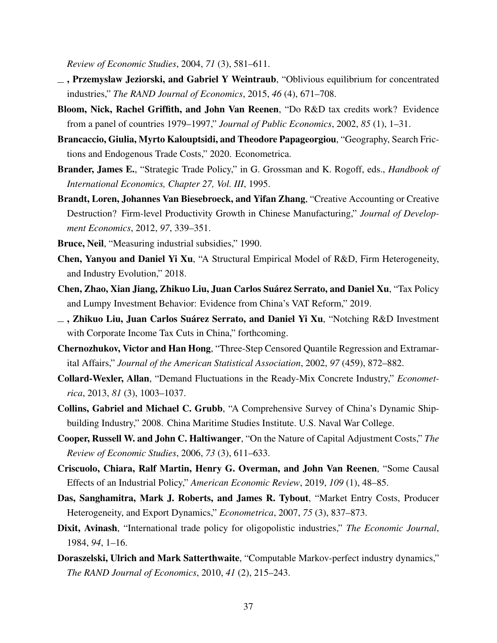*Review of Economic Studies*, 2004, *71* (3), 581–611.

- , Przemyslaw Jeziorski, and Gabriel Y Weintraub, "Oblivious equilibrium for concentrated industries," *The RAND Journal of Economics*, 2015, *46* (4), 671–708.
- Bloom, Nick, Rachel Griffith, and John Van Reenen, "Do R&D tax credits work? Evidence from a panel of countries 1979–1997," *Journal of Public Economics*, 2002, *85* (1), 1–31.
- <span id="page-36-1"></span>Brancaccio, Giulia, Myrto Kalouptsidi, and Theodore Papageorgiou, "Geography, Search Frictions and Endogenous Trade Costs," 2020. Econometrica.
- Brander, James E., "Strategic Trade Policy," in G. Grossman and K. Rogoff, eds., *Handbook of International Economics, Chapter 27, Vol. III*, 1995.
- Brandt, Loren, Johannes Van Biesebroeck, and Yifan Zhang, "Creative Accounting or Creative Destruction? Firm-level Productivity Growth in Chinese Manufacturing," *Journal of Development Economics*, 2012, *97*, 339–351.
- Bruce, Neil, "Measuring industrial subsidies," 1990.
- Chen, Yanyou and Daniel Yi Xu, "A Structural Empirical Model of R&D, Firm Heterogeneity, and Industry Evolution," 2018.
- Chen, Zhao, Xian Jiang, Zhikuo Liu, Juan Carlos Suárez Serrato, and Daniel Xu, "Tax Policy and Lumpy Investment Behavior: Evidence from China's VAT Reform," 2019.
- $\Box$ , Zhikuo Liu, Juan Carlos Suárez Serrato, and Daniel Yi Xu, "Notching R&D Investment with Corporate Income Tax Cuts in China," forthcoming.
- <span id="page-36-0"></span>Chernozhukov, Victor and Han Hong, "Three-Step Censored Quantile Regression and Extramarital Affairs," *Journal of the American Statistical Association*, 2002, *97* (459), 872–882.
- Collard-Wexler, Allan, "Demand Fluctuations in the Ready-Mix Concrete Industry," *Econometrica*, 2013, *81* (3), 1003–1037.
- Collins, Gabriel and Michael C. Grubb, "A Comprehensive Survey of China's Dynamic Shipbuilding Industry," 2008. China Maritime Studies Institute. U.S. Naval War College.
- Cooper, Russell W. and John C. Haltiwanger, "On the Nature of Capital Adjustment Costs," *The Review of Economic Studies*, 2006, *73* (3), 611–633.
- Criscuolo, Chiara, Ralf Martin, Henry G. Overman, and John Van Reenen, "Some Causal Effects of an Industrial Policy," *American Economic Review*, 2019, *109* (1), 48–85.
- Das, Sanghamitra, Mark J. Roberts, and James R. Tybout, "Market Entry Costs, Producer Heterogeneity, and Export Dynamics," *Econometrica*, 2007, *75* (3), 837–873.
- Dixit, Avinash, "International trade policy for oligopolistic industries," *The Economic Journal*, 1984, *94*, 1–16.
- Doraszelski, Ulrich and Mark Satterthwaite, "Computable Markov-perfect industry dynamics," *The RAND Journal of Economics*, 2010, *41* (2), 215–243.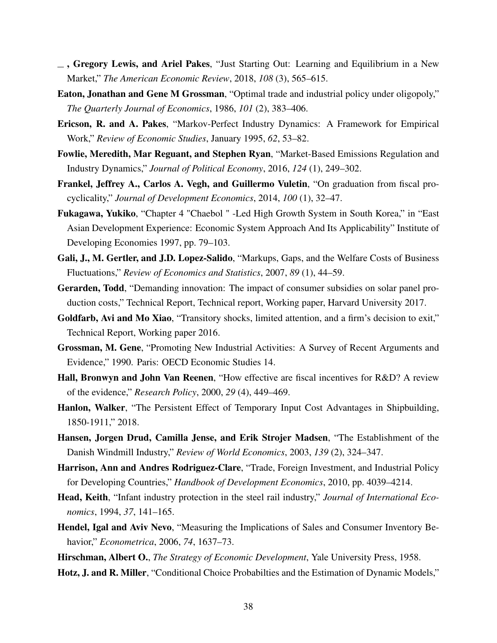- $\overline{\phantom{a}}$ , Gregory Lewis, and Ariel Pakes, "Just Starting Out: Learning and Equilibrium in a New Market," *The American Economic Review*, 2018, *108* (3), 565–615.
- Eaton, Jonathan and Gene M Grossman, "Optimal trade and industrial policy under oligopoly," *The Quarterly Journal of Economics*, 1986, *101* (2), 383–406.
- Ericson, R. and A. Pakes, "Markov-Perfect Industry Dynamics: A Framework for Empirical Work," *Review of Economic Studies*, January 1995, *62*, 53–82.
- Fowlie, Meredith, Mar Reguant, and Stephen Ryan, "Market-Based Emissions Regulation and Industry Dynamics," *Journal of Political Economy*, 2016, *124* (1), 249–302.
- Frankel, Jeffrey A., Carlos A. Vegh, and Guillermo Vuletin, "On graduation from fiscal procyclicality," *Journal of Development Economics*, 2014, *100* (1), 32–47.
- Fukagawa, Yukiko, "Chapter 4 "Chaebol " -Led High Growth System in South Korea," in "East Asian Development Experience: Economic System Approach And Its Applicability" Institute of Developing Economies 1997, pp. 79–103.
- Gali, J., M. Gertler, and J.D. Lopez-Salido, "Markups, Gaps, and the Welfare Costs of Business Fluctuations," *Review of Economics and Statistics*, 2007, *89* (1), 44–59.
- Gerarden, Todd, "Demanding innovation: The impact of consumer subsidies on solar panel production costs," Technical Report, Technical report, Working paper, Harvard University 2017.
- <span id="page-37-1"></span>Goldfarb, Avi and Mo Xiao, "Transitory shocks, limited attention, and a firm's decision to exit," Technical Report, Working paper 2016.
- Grossman, M. Gene, "Promoting New Industrial Activities: A Survey of Recent Arguments and Evidence," 1990. Paris: OECD Economic Studies 14.
- Hall, Bronwyn and John Van Reenen, "How effective are fiscal incentives for R&D? A review of the evidence," *Research Policy*, 2000, *29* (4), 449–469.
- Hanlon, Walker, "The Persistent Effect of Temporary Input Cost Advantages in Shipbuilding, 1850-1911," 2018.
- Hansen, Jorgen Drud, Camilla Jense, and Erik Strojer Madsen, "The Establishment of the Danish Windmill Industry," *Review of World Economics*, 2003, *139* (2), 324–347.
- Harrison, Ann and Andres Rodriguez-Clare, "Trade, Foreign Investment, and Industrial Policy for Developing Countries," *Handbook of Development Economics*, 2010, pp. 4039–4214.
- Head, Keith, "Infant industry protection in the steel rail industry," *Journal of International Economics*, 1994, *37*, 141–165.
- <span id="page-37-0"></span>Hendel, Igal and Aviv Nevo, "Measuring the Implications of Sales and Consumer Inventory Behavior," *Econometrica*, 2006, *74*, 1637–73.
- Hirschman, Albert O., *The Strategy of Economic Development*, Yale University Press, 1958.
- Hotz, J. and R. Miller, "Conditional Choice Probabilties and the Estimation of Dynamic Models,"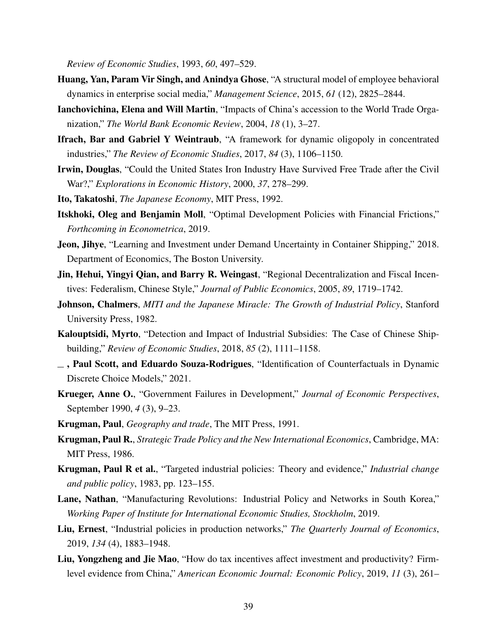*Review of Economic Studies*, 1993, *60*, 497–529.

- Huang, Yan, Param Vir Singh, and Anindya Ghose, "A structural model of employee behavioral dynamics in enterprise social media," *Management Science*, 2015, *61* (12), 2825–2844.
- Ianchovichina, Elena and Will Martin, "Impacts of China's accession to the World Trade Organization," *The World Bank Economic Review*, 2004, *18* (1), 3–27.
- Ifrach, Bar and Gabriel Y Weintraub, "A framework for dynamic oligopoly in concentrated industries," *The Review of Economic Studies*, 2017, *84* (3), 1106–1150.
- Irwin, Douglas, "Could the United States Iron Industry Have Survived Free Trade after the Civil War?," *Explorations in Economic History*, 2000, *37*, 278–299.

Ito, Takatoshi, *The Japanese Economy*, MIT Press, 1992.

- Itskhoki, Oleg and Benjamin Moll, "Optimal Development Policies with Financial Frictions," *Forthcoming in Econometrica*, 2019.
- <span id="page-38-1"></span>Jeon, Jihye, "Learning and Investment under Demand Uncertainty in Container Shipping," 2018. Department of Economics, The Boston University.
- Jin, Hehui, Yingyi Qian, and Barry R. Weingast, "Regional Decentralization and Fiscal Incentives: Federalism, Chinese Style," *Journal of Public Economics*, 2005, *89*, 1719–1742.
- Johnson, Chalmers, *MITI and the Japanese Miracle: The Growth of Industrial Policy*, Stanford University Press, 1982.
- <span id="page-38-0"></span>Kalouptsidi, Myrto, "Detection and Impact of Industrial Subsidies: The Case of Chinese Shipbuilding," *Review of Economic Studies*, 2018, *85* (2), 1111–1158.
- , Paul Scott, and Eduardo Souza-Rodrigues, "Identification of Counterfactuals in Dynamic Discrete Choice Models," 2021.
- Krueger, Anne O., "Government Failures in Development," *Journal of Economic Perspectives*, September 1990, *4* (3), 9–23.
- Krugman, Paul, *Geography and trade*, The MIT Press, 1991.
- Krugman, Paul R., *Strategic Trade Policy and the New International Economics*, Cambridge, MA: MIT Press, 1986.
- Krugman, Paul R et al., "Targeted industrial policies: Theory and evidence," *Industrial change and public policy*, 1983, pp. 123–155.
- Lane, Nathan, "Manufacturing Revolutions: Industrial Policy and Networks in South Korea," *Working Paper of Institute for International Economic Studies, Stockholm*, 2019.
- Liu, Ernest, "Industrial policies in production networks," *The Quarterly Journal of Economics*, 2019, *134* (4), 1883–1948.
- Liu, Yongzheng and Jie Mao, "How do tax incentives affect investment and productivity? Firmlevel evidence from China," *American Economic Journal: Economic Policy*, 2019, *11* (3), 261–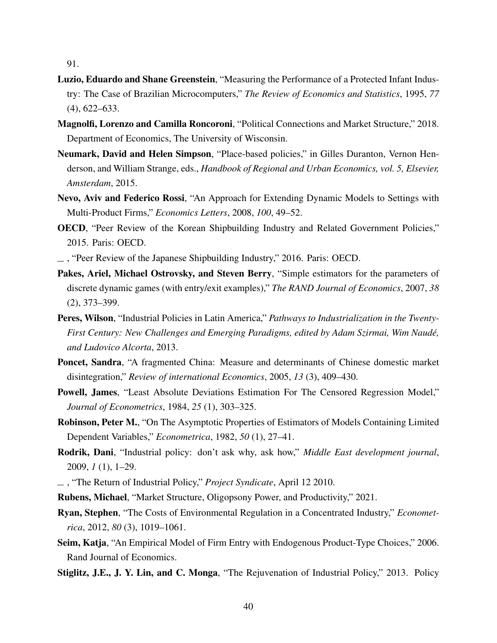91.

- Luzio, Eduardo and Shane Greenstein, "Measuring the Performance of a Protected Infant Industry: The Case of Brazilian Microcomputers," *The Review of Economics and Statistics*, 1995, *77* (4), 622–633.
- Magnolfi, Lorenzo and Camilla Roncoroni, "Political Connections and Market Structure," 2018. Department of Economics, The University of Wisconsin.
- Neumark, David and Helen Simpson, "Place-based policies," in Gilles Duranton, Vernon Henderson, and William Strange, eds., *Handbook of Regional and Urban Economics, vol. 5, Elsevier, Amsterdam*, 2015.
- <span id="page-39-1"></span>Nevo, Aviv and Federico Rossi, "An Approach for Extending Dynamic Models to Settings with Multi-Product Firms," *Economics Letters*, 2008, *100*, 49–52.
- OECD, "Peer Review of the Korean Shipbuilding Industry and Related Government Policies," 2015. Paris: OECD.
- , "Peer Review of the Japanese Shipbuilding Industry," 2016. Paris: OECD.
- Pakes, Ariel, Michael Ostrovsky, and Steven Berry, "Simple estimators for the parameters of discrete dynamic games (with entry/exit examples)," *The RAND Journal of Economics*, 2007, *38* (2), 373–399.
- Peres, Wilson, "Industrial Policies in Latin America," *Pathways to Industrialization in the Twenty-First Century: New Challenges and Emerging Paradigms, edited by Adam Szirmai, Wim Naudé, and Ludovico Alcorta*, 2013.
- Poncet, Sandra, "A fragmented China: Measure and determinants of Chinese domestic market disintegration," *Review of international Economics*, 2005, *13* (3), 409–430.
- <span id="page-39-0"></span>Powell, James, "Least Absolute Deviations Estimation For The Censored Regression Model," *Journal of Econometrics*, 1984, *25* (1), 303–325.
- Robinson, Peter M., "On The Asymptotic Properties of Estimators of Models Containing Limited Dependent Variables," *Econometrica*, 1982, *50* (1), 27–41.
- Rodrik, Dani, "Industrial policy: don't ask why, ask how," *Middle East development journal*, 2009, *1* (1), 1–29.
- , "The Return of Industrial Policy," *Project Syndicate*, April 12 2010.
- Rubens, Michael, "Market Structure, Oligopsony Power, and Productivity," 2021.
- Ryan, Stephen, "The Costs of Environmental Regulation in a Concentrated Industry," *Econometrica*, 2012, *80* (3), 1019–1061.
- Seim, Katja, "An Empirical Model of Firm Entry with Endogenous Product-Type Choices," 2006. Rand Journal of Economics.
- Stiglitz, J.E., J. Y. Lin, and C. Monga, "The Rejuvenation of Industrial Policy," 2013. Policy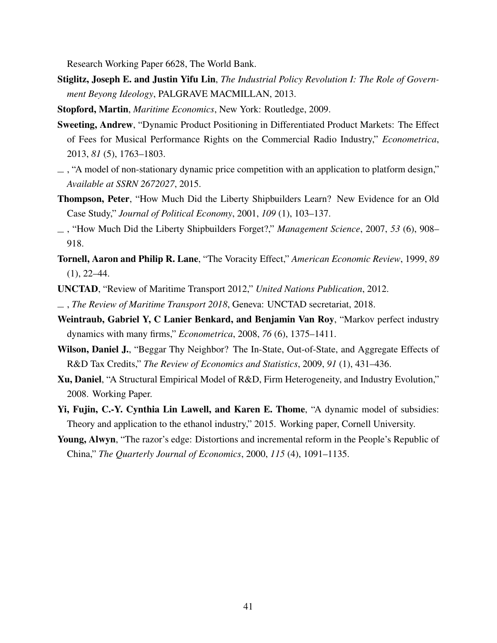Research Working Paper 6628, The World Bank.

- Stiglitz, Joseph E. and Justin Yifu Lin, *The Industrial Policy Revolution I: The Role of Government Beyong Ideology*, PALGRAVE MACMILLAN, 2013.
- Stopford, Martin, *Maritime Economics*, New York: Routledge, 2009.
- <span id="page-40-0"></span>Sweeting, Andrew, "Dynamic Product Positioning in Differentiated Product Markets: The Effect of Fees for Musical Performance Rights on the Commercial Radio Industry," *Econometrica*, 2013, *81* (5), 1763–1803.
- $\overline{\phantom{a}}$ , "A model of non-stationary dynamic price competition with an application to platform design," *Available at SSRN 2672027*, 2015.
- Thompson, Peter, "How Much Did the Liberty Shipbuilders Learn? New Evidence for an Old Case Study," *Journal of Political Economy*, 2001, *109* (1), 103–137.
- , "How Much Did the Liberty Shipbuilders Forget?," *Management Science*, 2007, *53* (6), 908– 918.
- Tornell, Aaron and Philip R. Lane, "The Voracity Effect," *American Economic Review*, 1999, *89*  $(1), 22-44.$
- <span id="page-40-1"></span>UNCTAD, "Review of Maritime Transport 2012," *United Nations Publication*, 2012.
- , *The Review of Maritime Transport 2018*, Geneva: UNCTAD secretariat, 2018.
- Weintraub, Gabriel Y, C Lanier Benkard, and Benjamin Van Roy, "Markov perfect industry dynamics with many firms," *Econometrica*, 2008, *76* (6), 1375–1411.
- Wilson, Daniel J., "Beggar Thy Neighbor? The In-State, Out-of-State, and Aggregate Effects of R&D Tax Credits," *The Review of Economics and Statistics*, 2009, *91* (1), 431–436.
- Xu, Daniel, "A Structural Empirical Model of R&D, Firm Heterogeneity, and Industry Evolution," 2008. Working Paper.
- Yi, Fujin, C.-Y. Cynthia Lin Lawell, and Karen E. Thome, "A dynamic model of subsidies: Theory and application to the ethanol industry," 2015. Working paper, Cornell University.
- Young, Alwyn, "The razor's edge: Distortions and incremental reform in the People's Republic of China," *The Quarterly Journal of Economics*, 2000, *115* (4), 1091–1135.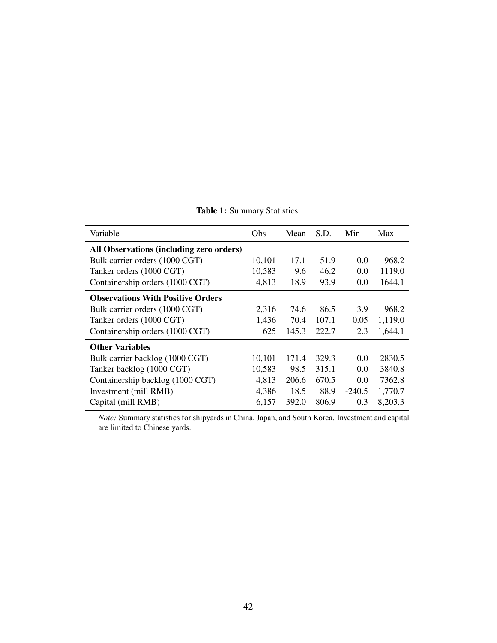| Variable                                 | Obs    | Mean  | S.D.  | Min      | Max     |
|------------------------------------------|--------|-------|-------|----------|---------|
| All Observations (including zero orders) |        |       |       |          |         |
| Bulk carrier orders (1000 CGT)           | 10,101 | 17.1  | 51.9  | 0.0      | 968.2   |
| Tanker orders (1000 CGT)                 | 10,583 | 9.6   | 46.2  | 0.0      | 1119.0  |
| Containership orders (1000 CGT)          | 4,813  | 18.9  | 93.9  | 0.0      | 1644.1  |
| <b>Observations With Positive Orders</b> |        |       |       |          |         |
| Bulk carrier orders (1000 CGT)           | 2,316  | 74.6  | 86.5  | 3.9      | 968.2   |
| Tanker orders (1000 CGT)                 | 1,436  | 70.4  | 107.1 | 0.05     | 1,119.0 |
| Containership orders (1000 CGT)          | 625    | 145.3 | 222.7 | 2.3      | 1,644.1 |
| <b>Other Variables</b>                   |        |       |       |          |         |
| Bulk carrier backlog (1000 CGT)          | 10,101 | 171.4 | 329.3 | 0.0      | 2830.5  |
| Tanker backlog (1000 CGT)                | 10,583 | 98.5  | 315.1 | 0.0      | 3840.8  |
| Containership backlog (1000 CGT)         | 4,813  | 206.6 | 670.5 | 0.0      | 7362.8  |
| Investment (mill RMB)                    | 4,386  | 18.5  | 88.9  | $-240.5$ | 1,770.7 |
| Capital (mill RMB)                       | 6,157  | 392.0 | 806.9 | 0.3      | 8,203.3 |

Table 1: Summary Statistics

*Note:* Summary statistics for shipyards in China, Japan, and South Korea. Investment and capital are limited to Chinese yards.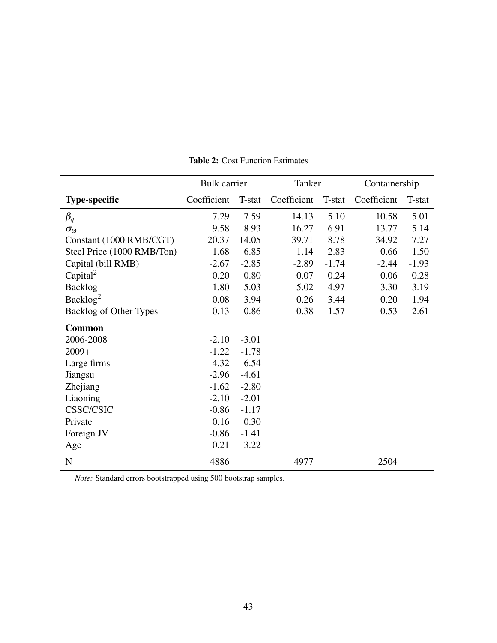<span id="page-42-0"></span>

|                            | <b>Bulk</b> carrier |         | Tanker      |         | Containership |         |
|----------------------------|---------------------|---------|-------------|---------|---------------|---------|
| <b>Type-specific</b>       | Coefficient         | T-stat  | Coefficient | T-stat  | Coefficient   | T-stat  |
| $\beta_q$                  | 7.29                | 7.59    | 14.13       | 5.10    | 10.58         | 5.01    |
| $\sigma_{\omega}$          | 9.58                | 8.93    | 16.27       | 6.91    | 13.77         | 5.14    |
| Constant (1000 RMB/CGT)    | 20.37               | 14.05   | 39.71       | 8.78    | 34.92         | 7.27    |
| Steel Price (1000 RMB/Ton) | 1.68                | 6.85    | 1.14        | 2.83    | 0.66          | 1.50    |
| Capital (bill RMB)         | $-2.67$             | $-2.85$ | $-2.89$     | $-1.74$ | $-2.44$       | $-1.93$ |
| Capital <sup>2</sup>       | 0.20                | 0.80    | 0.07        | 0.24    | 0.06          | 0.28    |
| <b>Backlog</b>             | $-1.80$             | $-5.03$ | $-5.02$     | $-4.97$ | $-3.30$       | $-3.19$ |
| Backlog <sup>2</sup>       | 0.08                | 3.94    | 0.26        | 3.44    | 0.20          | 1.94    |
| Backlog of Other Types     | 0.13                | 0.86    | 0.38        | 1.57    | 0.53          | 2.61    |
| <b>Common</b>              |                     |         |             |         |               |         |
| 2006-2008                  | $-2.10$             | $-3.01$ |             |         |               |         |
| $2009+$                    | $-1.22$             | $-1.78$ |             |         |               |         |
| Large firms                | $-4.32$             | $-6.54$ |             |         |               |         |
| Jiangsu                    | $-2.96$             | $-4.61$ |             |         |               |         |
| Zhejiang                   | $-1.62$             | $-2.80$ |             |         |               |         |
| Liaoning                   | $-2.10$             | $-2.01$ |             |         |               |         |
| <b>CSSC/CSIC</b>           | $-0.86$             | $-1.17$ |             |         |               |         |
| Private                    | 0.16                | 0.30    |             |         |               |         |
| Foreign JV                 | $-0.86$             | $-1.41$ |             |         |               |         |
| Age                        | 0.21                | 3.22    |             |         |               |         |
| ${\bf N}$                  | 4886                |         | 4977        |         | 2504          |         |

Table 2: Cost Function Estimates

*Note:* Standard errors bootstrapped using 500 bootstrap samples.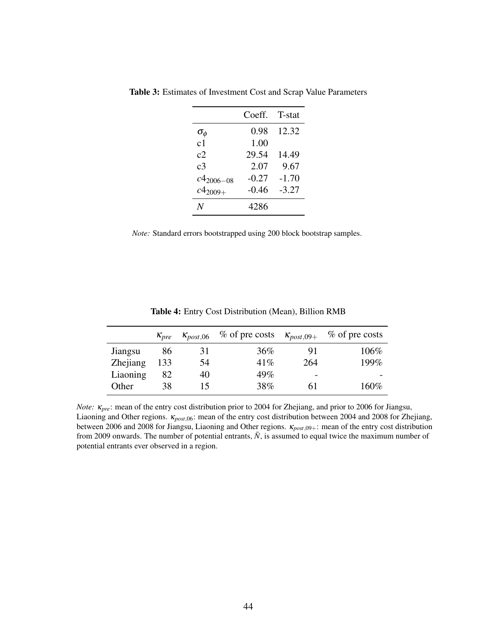| Coeff.  | T-stat  |
|---------|---------|
| 0.98    | 12.32   |
| 1.00    |         |
| 29.54   | 14.49   |
| 2.07    | 9.67    |
| $-0.27$ | $-1.70$ |
| $-0.46$ | $-3.27$ |
| 4286    |         |
|         |         |

Table 3: Estimates of Investment Cost and Scrap Value Parameters

*Note:* Standard errors bootstrapped using 200 block bootstrap samples.

|          | $K_{\text{pre}}$ | $\kappa_{post,06}$ | $%$ of pre costs | $\kappa_{post,09+}$ | $%$ of pre costs |
|----------|------------------|--------------------|------------------|---------------------|------------------|
| Jiangsu  | 86               | 31                 | 36%              | 91                  | 106%             |
| Zhejiang | 133              | 54                 | 41%              | 264                 | 199%             |
| Liaoning | 82               | 40                 | 49%              | -                   |                  |
| Other    | 38               | 15                 | 38%              | 61                  | 160%             |

Table 4: Entry Cost Distribution (Mean), Billion RMB

*Note:* κ*pre*: mean of the entry cost distribution prior to 2004 for Zhejiang, and prior to 2006 for Jiangsu, Liaoning and Other regions. κ*post*,06: mean of the entry cost distribution between 2004 and 2008 for Zhejiang, between 2006 and 2008 for Jiangsu, Liaoning and Other regions. κ*post*,09+: mean of the entry cost distribution from 2009 onwards. The number of potential entrants,  $\bar{N}$ , is assumed to equal twice the maximum number of potential entrants ever observed in a region.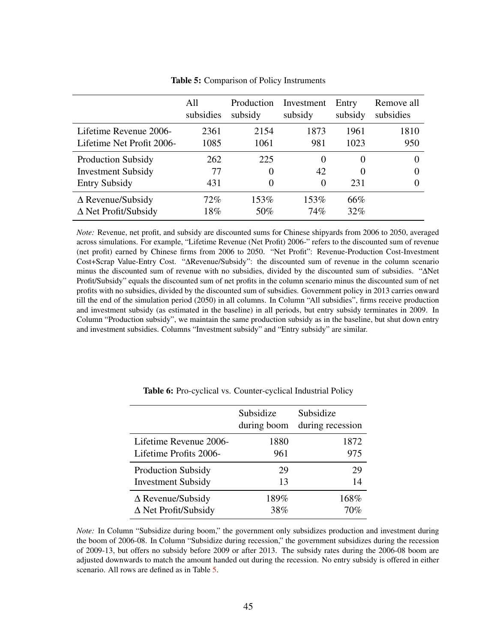<span id="page-44-0"></span>

|                             | All       | Production | Investment | Entry    | Remove all |
|-----------------------------|-----------|------------|------------|----------|------------|
|                             | subsidies | subsidy    | subsidy    | subsidy  | subsidies  |
| Lifetime Revenue 2006-      | 2361      | 2154       | 1873       | 1961     | 1810       |
| Lifetime Net Profit 2006-   | 1085      | 1061       | 981        | 1023     | 950        |
| <b>Production Subsidy</b>   | 262       | 225        | 0          | $\theta$ | $\theta$   |
| <b>Investment Subsidy</b>   | 77        | $\theta$   | 42         | $\theta$ | 0          |
| <b>Entry Subsidy</b>        | 431       | $\theta$   | 0          | 231      | 0          |
| $\Delta$ Revenue/Subsidy    | 72%       | 153%       | 153%       | 66%      |            |
| $\Delta$ Net Profit/Subsidy | 18%       | 50%        | 74%        | 32%      |            |

Table 5: Comparison of Policy Instruments

*Note:* Revenue, net profit, and subsidy are discounted sums for Chinese shipyards from 2006 to 2050, averaged across simulations. For example, "Lifetime Revenue (Net Profit) 2006-" refers to the discounted sum of revenue (net profit) earned by Chinese firms from 2006 to 2050. "Net Profit": Revenue-Production Cost-Investment Cost+Scrap Value-Entry Cost. "∆Revenue/Subsidy": the discounted sum of revenue in the column scenario minus the discounted sum of revenue with no subsidies, divided by the discounted sum of subsidies. "∆Net Profit/Subsidy" equals the discounted sum of net profits in the column scenario minus the discounted sum of net profits with no subsidies, divided by the discounted sum of subsidies. Government policy in 2013 carries onward till the end of the simulation period (2050) in all columns. In Column "All subsidies", firms receive production and investment subsidy (as estimated in the baseline) in all periods, but entry subsidy terminates in 2009. In Column "Production subsidy", we maintain the same production subsidy as in the baseline, but shut down entry and investment subsidies. Columns "Investment subsidy" and "Entry subsidy" are similar.

|                             | Subsidize<br>during boom | Subsidize<br>during recession |
|-----------------------------|--------------------------|-------------------------------|
| Lifetime Revenue 2006-      | 1880                     | 1872                          |
| Lifetime Profits 2006-      | 961                      | 975                           |
| <b>Production Subsidy</b>   | 29                       | 29                            |
| <b>Investment Subsidy</b>   | 13                       | 14                            |
| $\Delta$ Revenue/Subsidy    | 189%                     | 168%                          |
| $\Delta$ Net Profit/Subsidy | 38%                      | 70%                           |

Table 6: Pro-cyclical vs. Counter-cyclical Industrial Policy

*Note:* In Column "Subsidize during boom," the government only subsidizes production and investment during the boom of 2006-08. In Column "Subsidize during recession," the government subsidizes during the recession of 2009-13, but offers no subsidy before 2009 or after 2013. The subsidy rates during the 2006-08 boom are adjusted downwards to match the amount handed out during the recession. No entry subsidy is offered in either scenario. All rows are defined as in Table [5.](#page-44-0)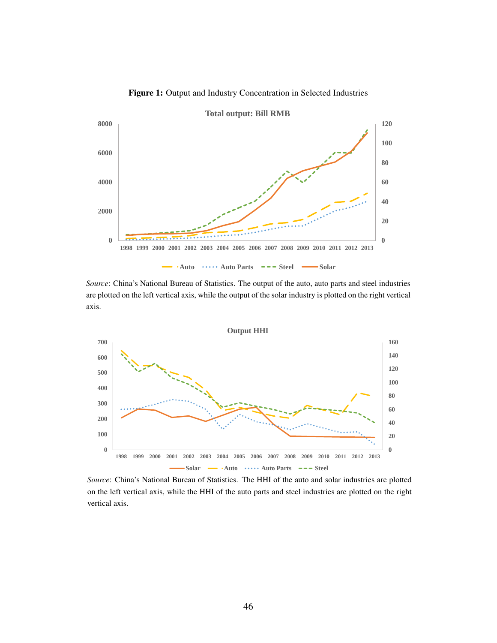

Figure 1: Output and Industry Concentration in Selected Industries

*Source*: China's National Bureau of Statistics. The output of the auto, auto parts and steel industries are plotted on the left vertical axis, while the output of the solar industry is plotted on the right vertical axis.



*Source*: China's National Bureau of Statistics. The HHI of the auto and solar industries are plotted on the left vertical axis, while the HHI of the auto parts and steel industries are plotted on the right vertical axis.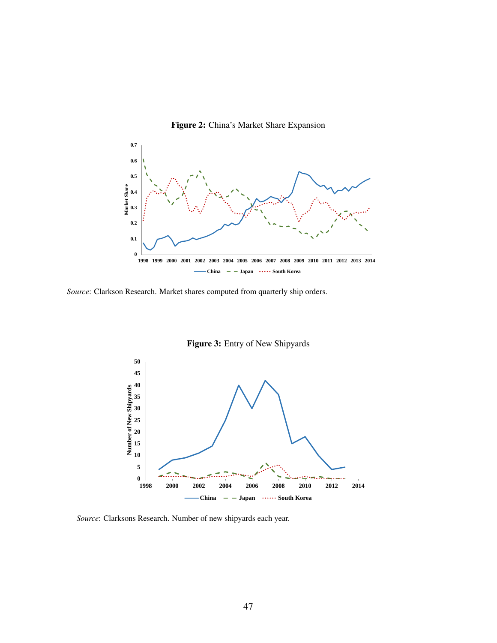

Figure 2: China's Market Share Expansion

*Source*: Clarkson Research. Market shares computed from quarterly ship orders.



Figure 3: Entry of New Shipyards

*Source*: Clarksons Research. Number of new shipyards each year.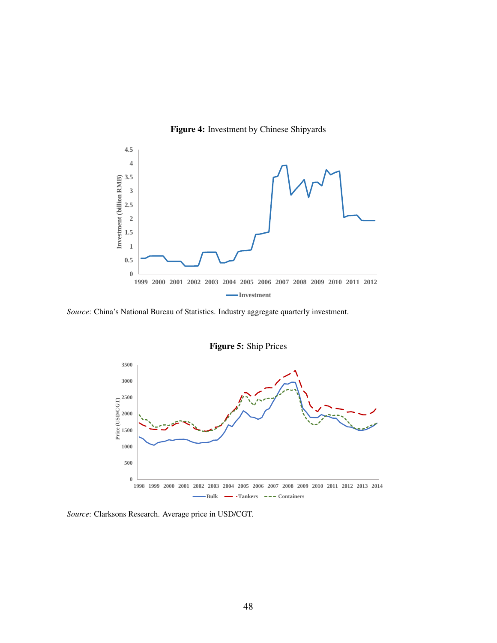

Figure 4: Investment by Chinese Shipyards

*Source*: China's National Bureau of Statistics. Industry aggregate quarterly investment.



*Source*: Clarksons Research. Average price in USD/CGT.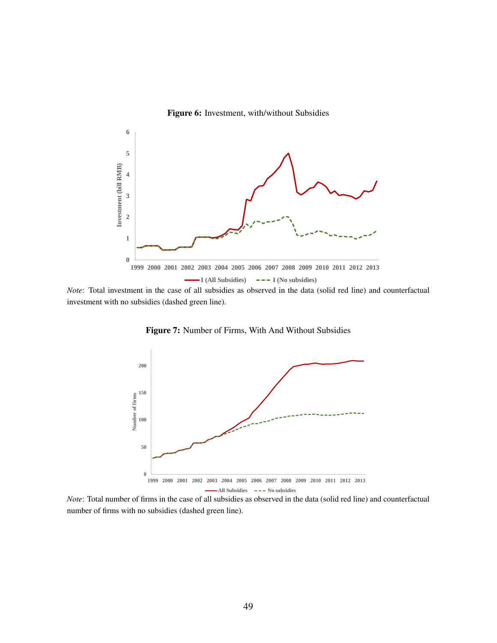



*Note*: Total investment in the case of all subsidies as observed in the data (solid red line) and counterfactual investment with no subsidies (dashed green line).



Figure 7: Number of Firms, With And Without Subsidies

*Note*: Total number of firms in the case of all subsidies as observed in the data (solid red line) and counterfactual number of firms with no subsidies (dashed green line).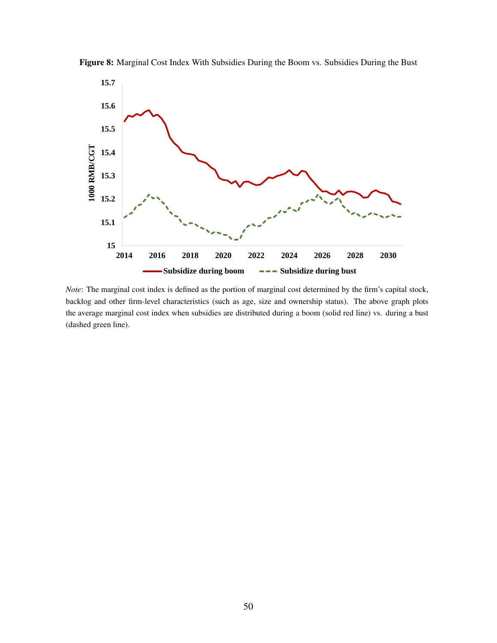



*Note*: The marginal cost index is defined as the portion of marginal cost determined by the firm's capital stock, backlog and other firm-level characteristics (such as age, size and ownership status). The above graph plots the average marginal cost index when subsidies are distributed during a boom (solid red line) vs. during a bust (dashed green line).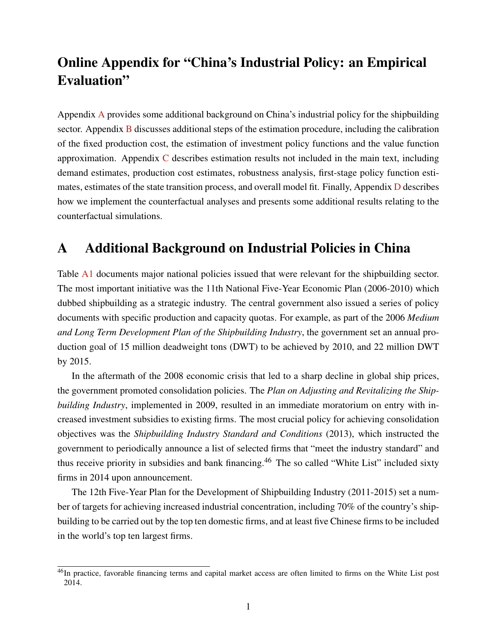# Online Appendix for "China's Industrial Policy: an Empirical Evaluation"

Appendix [A](#page-50-0) provides some additional background on China's industrial policy for the shipbuilding sector. Appendix [B](#page-51-0) discusses additional steps of the estimation procedure, including the calibration of the fixed production cost, the estimation of investment policy functions and the value function approximation. Appendix [C](#page-55-0) describes estimation results not included in the main text, including demand estimates, production cost estimates, robustness analysis, first-stage policy function estimates, estimates of the state transition process, and overall model fit. Finally, Appendix [D](#page-63-0) describes how we implement the counterfactual analyses and presents some additional results relating to the counterfactual simulations.

# <span id="page-50-0"></span>A Additional Background on Industrial Policies in China

Table [A1](#page-51-1) documents major national policies issued that were relevant for the shipbuilding sector. The most important initiative was the 11th National Five-Year Economic Plan (2006-2010) which dubbed shipbuilding as a strategic industry. The central government also issued a series of policy documents with specific production and capacity quotas. For example, as part of the 2006 *Medium and Long Term Development Plan of the Shipbuilding Industry*, the government set an annual production goal of 15 million deadweight tons (DWT) to be achieved by 2010, and 22 million DWT by 2015.

In the aftermath of the 2008 economic crisis that led to a sharp decline in global ship prices, the government promoted consolidation policies. The *Plan on Adjusting and Revitalizing the Shipbuilding Industry*, implemented in 2009, resulted in an immediate moratorium on entry with increased investment subsidies to existing firms. The most crucial policy for achieving consolidation objectives was the *Shipbuilding Industry Standard and Conditions* (2013), which instructed the government to periodically announce a list of selected firms that "meet the industry standard" and thus receive priority in subsidies and bank financing.<sup>46</sup> The so called "White List" included sixty firms in 2014 upon announcement.

The 12th Five-Year Plan for the Development of Shipbuilding Industry (2011-2015) set a number of targets for achieving increased industrial concentration, including 70% of the country's shipbuilding to be carried out by the top ten domestic firms, and at least five Chinese firms to be included in the world's top ten largest firms.

<sup>&</sup>lt;sup>46</sup>In practice, favorable financing terms and capital market access are often limited to firms on the White List post 2014.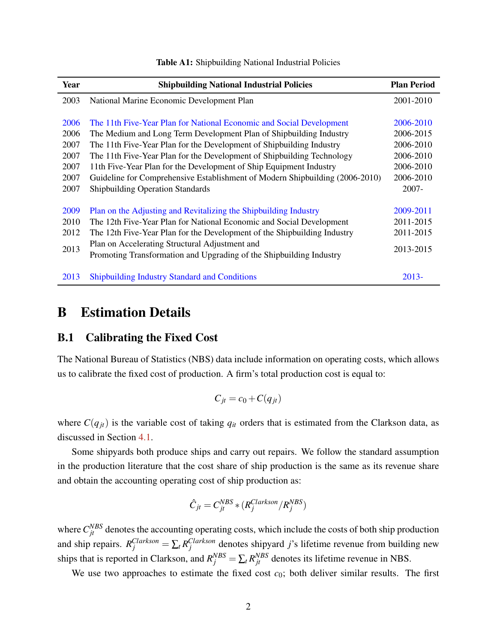<span id="page-51-1"></span>

| Year | <b>Shipbuilding National Industrial Policies</b>                             | <b>Plan Period</b> |
|------|------------------------------------------------------------------------------|--------------------|
| 2003 | National Marine Economic Development Plan                                    | 2001-2010          |
|      |                                                                              |                    |
| 2006 | The 11th Five-Year Plan for National Economic and Social Development         | 2006-2010          |
| 2006 | The Medium and Long Term Development Plan of Shipbuilding Industry           | 2006-2015          |
| 2007 | The 11th Five-Year Plan for the Development of Shipbuilding Industry         | 2006-2010          |
| 2007 | The 11th Five-Year Plan for the Development of Shipbuilding Technology       | 2006-2010          |
| 2007 | 11th Five-Year Plan for the Development of Ship Equipment Industry           | 2006-2010          |
| 2007 | Guideline for Comprehensive Establishment of Modern Shipbuilding (2006-2010) | 2006-2010          |
| 2007 | <b>Shipbuilding Operation Standards</b>                                      | $2007 -$           |
|      |                                                                              |                    |
| 2009 | Plan on the Adjusting and Revitalizing the Shipbuilding Industry             | 2009-2011          |
| 2010 | The 12th Five-Year Plan for National Economic and Social Development         | 2011-2015          |
| 2012 | The 12th Five-Year Plan for the Development of the Shipbuilding Industry     | 2011-2015          |
|      | Plan on Accelerating Structural Adjustment and                               |                    |
| 2013 | Promoting Transformation and Upgrading of the Shipbuilding Industry          | 2013-2015          |
|      |                                                                              |                    |
| 2013 | <b>Shipbuilding Industry Standard and Conditions</b>                         | $2013 -$           |

#### Table A1: Shipbuilding National Industrial Policies

# <span id="page-51-0"></span>B Estimation Details

## B.1 Calibrating the Fixed Cost

The National Bureau of Statistics (NBS) data include information on operating costs, which allows us to calibrate the fixed cost of production. A firm's total production cost is equal to:

$$
C_{jt} = c_0 + C(q_{jt})
$$

where  $C(q_{jt})$  is the variable cost of taking  $q_{it}$  orders that is estimated from the Clarkson data, as discussed in Section [4.1.](#page-15-0)

Some shipyards both produce ships and carry out repairs. We follow the standard assumption in the production literature that the cost share of ship production is the same as its revenue share and obtain the accounting operating cost of ship production as:

$$
\hat{C}_{jt} = C_{jt}^{NBS} * (R_j^{Clarkson} / R_j^{NBS})
$$

where  $C_{jt}^{NBS}$  denotes the accounting operating costs, which include the costs of both ship production and ship repairs.  $R_j^{Clarkson} = \sum_t R_j^{Clarkson}$  denotes shipyard *j*'s lifetime revenue from building new ships that is reported in Clarkson, and  $R_j^{NBS} = \sum_t R_{jt}^{NBS}$  denotes its lifetime revenue in NBS.

We use two approaches to estimate the fixed cost  $c_0$ ; both deliver similar results. The first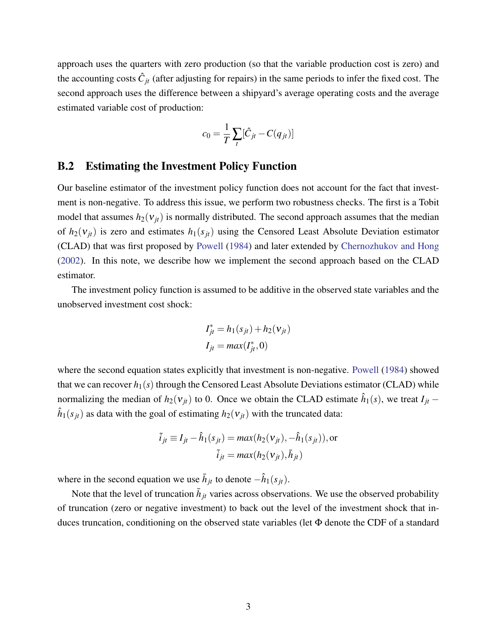approach uses the quarters with zero production (so that the variable production cost is zero) and the accounting costs  $\hat{C}_{jt}$  (after adjusting for repairs) in the same periods to infer the fixed cost. The second approach uses the difference between a shipyard's average operating costs and the average estimated variable cost of production:

$$
c_0 = \frac{1}{T} \sum_t [\hat{C}_{jt} - C(q_{jt})]
$$

#### B.2 Estimating the Investment Policy Function

Our baseline estimator of the investment policy function does not account for the fact that investment is non-negative. To address this issue, we perform two robustness checks. The first is a Tobit model that assumes  $h_2(v_{it})$  is normally distributed. The second approach assumes that the median of  $h_2(v_{it})$  is zero and estimates  $h_1(s_{it})$  using the Censored Least Absolute Deviation estimator (CLAD) that was first proposed by [Powell](#page-39-0) [\(1984\)](#page-39-0) and later extended by [Chernozhukov and Hong](#page-36-0) [\(2002\)](#page-36-0). In this note, we describe how we implement the second approach based on the CLAD estimator.

The investment policy function is assumed to be additive in the observed state variables and the unobserved investment cost shock:

$$
I_{jt}^* = h_1(s_{jt}) + h_2(\mathbf{v}_{jt})
$$
  

$$
I_{jt} = max(I_{jt}^*, 0)
$$

where the second equation states explicitly that investment is non-negative. [Powell](#page-39-0) [\(1984\)](#page-39-0) showed that we can recover  $h_1(s)$  through the Censored Least Absolute Deviations estimator (CLAD) while normalizing the median of  $h_2(v_{jt})$  to 0. Once we obtain the CLAD estimate  $\hat{h}_1(s)$ , we treat  $I_{jt}$  –  $\hat{h}_1(s_{jt})$  as data with the goal of estimating  $h_2(v_{jt})$  with the truncated data:

$$
\tilde{i}_{jt} \equiv I_{jt} - \hat{h}_1(s_{jt}) = max(h_2(\mathbf{v}_{jt}), -\hat{h}_1(s_{jt})), \text{or}
$$

$$
\tilde{i}_{jt} = max(h_2(\mathbf{v}_{jt}), \bar{h}_{jt})
$$

where in the second equation we use  $\bar{h}_{jt}$  to denote  $-\hat{h}_1(s_{jt})$ .

Note that the level of truncation  $\bar{h}_{jt}$  varies across observations. We use the observed probability of truncation (zero or negative investment) to back out the level of the investment shock that induces truncation, conditioning on the observed state variables (let Φ denote the CDF of a standard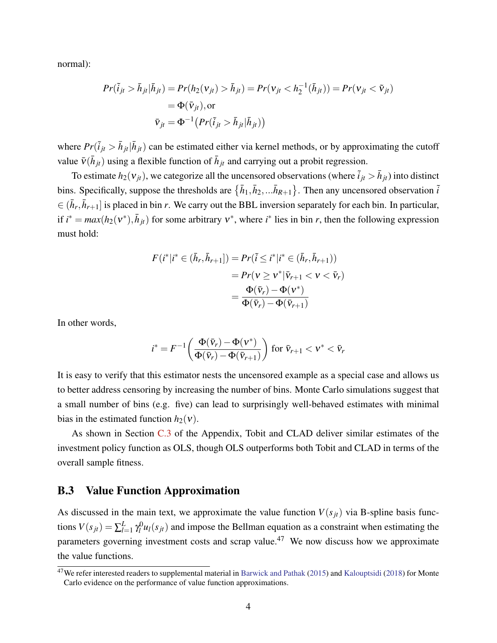normal):

$$
Pr(\tilde{i}_{jt} > \bar{h}_{jt} | \bar{h}_{jt}) = Pr(h_2(\nu_{jt}) > \bar{h}_{jt}) = Pr(\nu_{jt} < h_2^{-1}(\bar{h}_{jt})) = Pr(\nu_{jt} < \tilde{\nu}_{jt})
$$
  
=  $\Phi(\bar{\nu}_{jt}), \text{or}$   

$$
\bar{\nu}_{jt} = \Phi^{-1} (Pr(\tilde{i}_{jt} > \bar{h}_{jt} | \bar{h}_{jt}))
$$

where  $Pr(i_{jt} > \bar{h}_{jt} | \bar{h}_{jt})$  can be estimated either via kernel methods, or by approximating the cutoff value  $\bar{v}$ ( $\bar{h}_{jt}$ ) using a flexible function of  $\bar{h}_{jt}$  and carrying out a probit regression.

To estimate  $h_2(v_{jt})$ , we categorize all the uncensored observations (where  $\tilde{i}_{jt} > \bar{h}_{jt}$ ) into distinct bins. Specifically, suppose the thresholds are  $\{\bar{h}_1, \bar{h}_2, ...\bar{h}_{R+1}\}$ . Then any uncensored observation  $\tilde{i}$  $\in (\bar{h}_r, \bar{h}_{r+1}]$  is placed in bin *r*. We carry out the BBL inversion separately for each bin. In particular, if  $i^* = max(h_2(v^*), \bar{h}_{jt})$  for some arbitrary  $v^*$ , where  $i^*$  lies in bin *r*, then the following expression must hold:

$$
F(i^*|i^* \in (\bar{h}_r, \bar{h}_{r+1}]) = Pr(\tilde{i} \le i^*|i^* \in (\bar{h}_r, \bar{h}_{r+1}))
$$
  
= 
$$
Pr(\nu \ge \nu^*|\bar{\nu}_{r+1} < \nu < \bar{\nu}_r)
$$
  
= 
$$
\frac{\Phi(\bar{\nu}_r) - \Phi(\nu^*)}{\Phi(\bar{\nu}_r) - \Phi(\bar{\nu}_{r+1})}
$$

In other words,

$$
i^* = F^{-1}\left(\frac{\Phi(\bar{\mathbf{v}}_r) - \Phi(\mathbf{v}^*)}{\Phi(\bar{\mathbf{v}}_r) - \Phi(\bar{\mathbf{v}}_{r+1})}\right) \text{ for } \bar{\mathbf{v}}_{r+1} < \mathbf{v}^* < \bar{\mathbf{v}}_r
$$

It is easy to verify that this estimator nests the uncensored example as a special case and allows us to better address censoring by increasing the number of bins. Monte Carlo simulations suggest that a small number of bins (e.g. five) can lead to surprisingly well-behaved estimates with minimal bias in the estimated function  $h_2(v)$ .

As shown in Section [C.3](#page-61-0) of the Appendix, Tobit and CLAD deliver similar estimates of the investment policy function as OLS, though OLS outperforms both Tobit and CLAD in terms of the overall sample fitness.

#### B.3 Value Function Approximation

As discussed in the main text, we approximate the value function  $V(s_{it})$  via B-spline basis functions  $V(s_{jt}) = \sum_{l=1}^{L}$  $_{l=1}^{L}\mathbf{\gamma }_{l}^{0}$  $l_l^0$ *u*<sub>*l*</sub>(*s*<sub>*jt*</sub>) and impose the Bellman equation as a constraint when estimating the parameters governing investment costs and scrap value.<sup>47</sup> We now discuss how we approximate the value functions.

<sup>&</sup>lt;sup>47</sup>We refer interested readers to supplemental material in [Barwick and Pathak](#page-35-0) [\(2015\)](#page-35-0) and [Kalouptsidi](#page-38-0) [\(2018\)](#page-38-0) for Monte Carlo evidence on the performance of value function approximations.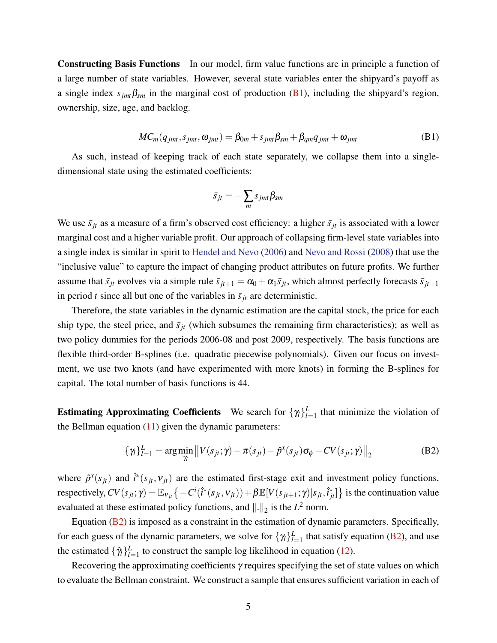Constructing Basis Functions In our model, firm value functions are in principle a function of a large number of state variables. However, several state variables enter the shipyard's payoff as a single index  $s_{imt}\beta_{sm}$  in the marginal cost of production [\(B1\)](#page-54-0), including the shipyard's region, ownership, size, age, and backlog.

$$
MC_m(q_{jmt}, s_{jmt}, \omega_{jmt}) = \beta_{0m} + s_{jmt}\beta_{sm} + \beta_{qm}q_{jmt} + \omega_{jmt}
$$
(B1)

<span id="page-54-0"></span>As such, instead of keeping track of each state separately, we collapse them into a singledimensional state using the estimated coefficients:

<span id="page-54-1"></span>
$$
\bar{s}_{jt}=-\sum_m s_{jmt}\beta_{sm}
$$

We use  $\bar{s}_{it}$  as a measure of a firm's observed cost efficiency: a higher  $\bar{s}_{it}$  is associated with a lower marginal cost and a higher variable profit. Our approach of collapsing firm-level state variables into a single index is similar in spirit to [Hendel and Nevo](#page-37-0) [\(2006\)](#page-37-0) and [Nevo and Rossi](#page-39-1) [\(2008\)](#page-39-1) that use the "inclusive value" to capture the impact of changing product attributes on future profits. We further assume that  $\bar{s}_{jt}$  evolves via a simple rule  $\bar{s}_{jt+1} = \alpha_0 + \alpha_1 \bar{s}_{jt}$ , which almost perfectly forecasts  $\bar{s}_{jt+1}$ in period *t* since all but one of the variables in  $\bar{s}_{it}$  are deterministic.

Therefore, the state variables in the dynamic estimation are the capital stock, the price for each ship type, the steel price, and  $\bar{s}_{jt}$  (which subsumes the remaining firm characteristics); as well as two policy dummies for the periods 2006-08 and post 2009, respectively. The basis functions are flexible third-order B-splines (i.e. quadratic piecewise polynomials). Given our focus on investment, we use two knots (and have experimented with more knots) in forming the B-splines for capital. The total number of basis functions is 44.

**Estimating Approximating Coefficients** We search for  $\{\gamma_i\}_{i=1}^L$  $_{l=1}^{L}$  that minimize the violation of the Bellman equation  $(11)$  given the dynamic parameters:

$$
\{\gamma_i\}_{i=1}^L = \arg\min_{\gamma_i} \left\|V(s_{jt}; \gamma) - \pi(s_{jt}) - \hat{p}^x(s_{jt})\sigma_{\phi} - CV(s_{jt}; \gamma)\right\|_2
$$
(B2)

where  $\hat{p}^x(s_{jt})$  and  $\hat{i}^*(s_{jt},v_{jt})$  are the estimated first-stage exit and investment policy functions, respectively,  $CV(s_{jt}; \gamma) = \mathbb{E}_{v_{jt}} \{-C^i(\hat{i}^*(s_{jt}, v_{jt})) + \beta \mathbb{E}[V(s_{jt+1}; \gamma) | s_{jt}, \hat{i}_{jt}^*]\}$  is the continuation value evaluated at these estimated policy functions, and  $\|\cdot\|_2$  is the  $L^2$  norm.

Equation [\(B2\)](#page-54-1) is imposed as a constraint in the estimation of dynamic parameters. Specifically, for each guess of the dynamic parameters, we solve for  $\{\gamma_i\}_{i=1}^L$  $_{l=1}^{L}$  that satisfy equation [\(B2\)](#page-54-1), and use the estimated  $\{\hat{\gamma}_l\}_{l=1}^L$  $_{l=1}^{L}$  to construct the sample log likelihood in equation [\(12\)](#page-21-0).

Recovering the approximating coefficients  $\gamma$  requires specifying the set of state values on which to evaluate the Bellman constraint. We construct a sample that ensures sufficient variation in each of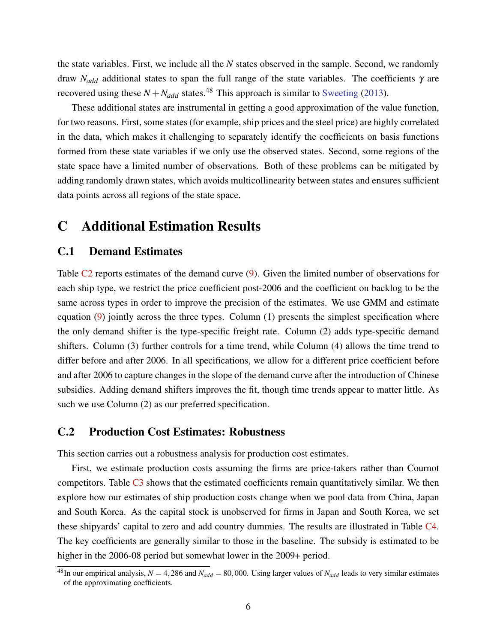the state variables. First, we include all the *N* states observed in the sample. Second, we randomly draw *Nadd* additional states to span the full range of the state variables. The coefficients γ are recovered using these  $N + N_{add}$  states.<sup>48</sup> This approach is similar to [Sweeting](#page-40-0) [\(2013\)](#page-40-0).

These additional states are instrumental in getting a good approximation of the value function, for two reasons. First, some states (for example, ship prices and the steel price) are highly correlated in the data, which makes it challenging to separately identify the coefficients on basis functions formed from these state variables if we only use the observed states. Second, some regions of the state space have a limited number of observations. Both of these problems can be mitigated by adding randomly drawn states, which avoids multicollinearity between states and ensures sufficient data points across all regions of the state space.

# <span id="page-55-0"></span>C Additional Estimation Results

## C.1 Demand Estimates

Table C<sub>2</sub> reports estimates of the demand curve [\(9\)](#page-15-1). Given the limited number of observations for each ship type, we restrict the price coefficient post-2006 and the coefficient on backlog to be the same across types in order to improve the precision of the estimates. We use GMM and estimate equation [\(9\)](#page-15-1) jointly across the three types. Column (1) presents the simplest specification where the only demand shifter is the type-specific freight rate. Column (2) adds type-specific demand shifters. Column (3) further controls for a time trend, while Column (4) allows the time trend to differ before and after 2006. In all specifications, we allow for a different price coefficient before and after 2006 to capture changes in the slope of the demand curve after the introduction of Chinese subsidies. Adding demand shifters improves the fit, though time trends appear to matter little. As such we use Column (2) as our preferred specification.

## C.2 Production Cost Estimates: Robustness

This section carries out a robustness analysis for production cost estimates.

First, we estimate production costs assuming the firms are price-takers rather than Cournot competitors. Table  $C_3$  shows that the estimated coefficients remain quantitatively similar. We then explore how our estimates of ship production costs change when we pool data from China, Japan and South Korea. As the capital stock is unobserved for firms in Japan and South Korea, we set these shipyards' capital to zero and add country dummies. The results are illustrated in Table [C4.](#page-58-1) The key coefficients are generally similar to those in the baseline. The subsidy is estimated to be higher in the 2006-08 period but somewhat lower in the 2009+ period.

<sup>&</sup>lt;sup>48</sup>In our empirical analysis,  $N = 4,286$  and  $N_{add} = 80,000$ . Using larger values of  $N_{add}$  leads to very similar estimates of the approximating coefficients.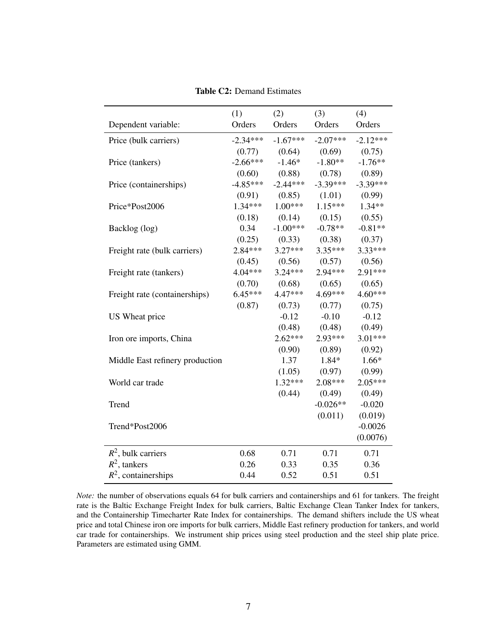<span id="page-56-0"></span>

|                                 | (1)        | (2)        | (3)        | (4)        |
|---------------------------------|------------|------------|------------|------------|
| Dependent variable:             | Orders     | Orders     | Orders     | Orders     |
| Price (bulk carriers)           | $-2.34***$ | $-1.67***$ | $-2.07***$ | $-2.12***$ |
|                                 | (0.77)     | (0.64)     | (0.69)     | (0.75)     |
| Price (tankers)                 | $-2.66***$ | $-1.46*$   | $-1.80**$  | $-1.76**$  |
|                                 | (0.60)     | (0.88)     | (0.78)     | (0.89)     |
| Price (containerships)          | $-4.85***$ | $-2.44***$ | $-3.39***$ | $-3.39***$ |
|                                 | (0.91)     | (0.85)     | (1.01)     | (0.99)     |
| Price*Post2006                  | $1.34***$  | $1.00***$  | $1.15***$  | $1.34**$   |
|                                 | (0.18)     | (0.14)     | (0.15)     | (0.55)     |
| Backlog (log)                   | 0.34       | $-1.00***$ | $-0.78**$  | $-0.81**$  |
|                                 | (0.25)     | (0.33)     | (0.38)     | (0.37)     |
| Freight rate (bulk carriers)    | $2.84***$  | $3.27***$  | $3.35***$  | $3.33***$  |
|                                 | (0.45)     | (0.56)     | (0.57)     | (0.56)     |
| Freight rate (tankers)          | $4.04***$  | $3.24***$  | 2.94***    | $2.91***$  |
|                                 | (0.70)     | (0.68)     | (0.65)     | (0.65)     |
| Freight rate (containerships)   | $6.45***$  | 4.47***    | 4.69***    | $4.60***$  |
|                                 | (0.87)     | (0.73)     | (0.77)     | (0.75)     |
| US Wheat price                  |            | $-0.12$    | $-0.10$    | $-0.12$    |
|                                 |            | (0.48)     | (0.48)     | (0.49)     |
| Iron ore imports, China         |            | $2.62***$  | 2.93***    | $3.01***$  |
|                                 |            | (0.90)     | (0.89)     | (0.92)     |
| Middle East refinery production |            | 1.37       | 1.84*      | $1.66*$    |
|                                 |            | (1.05)     | (0.97)     | (0.99)     |
| World car trade                 |            | $1.32***$  | $2.08***$  | $2.05***$  |
|                                 |            | (0.44)     | (0.49)     | (0.49)     |
| Trend                           |            |            | $-0.026**$ | $-0.020$   |
|                                 |            |            | (0.011)    | (0.019)    |
| Trend*Post2006                  |            |            |            | $-0.0026$  |
|                                 |            |            |            | (0.0076)   |
| $R^2$ , bulk carriers           | 0.68       | 0.71       | 0.71       | 0.71       |
| $R^2$ , tankers                 | 0.26       | 0.33       | 0.35       | 0.36       |
| $R^2$ , containerships          | 0.44       | 0.52       | 0.51       | 0.51       |

Table C2: Demand Estimates

*Note:* the number of observations equals 64 for bulk carriers and containerships and 61 for tankers. The freight rate is the Baltic Exchange Freight Index for bulk carriers, Baltic Exchange Clean Tanker Index for tankers, and the Containership Timecharter Rate Index for containerships. The demand shifters include the US wheat price and total Chinese iron ore imports for bulk carriers, Middle East refinery production for tankers, and world car trade for containerships. We instrument ship prices using steel production and the steel ship plate price. Parameters are estimated using GMM.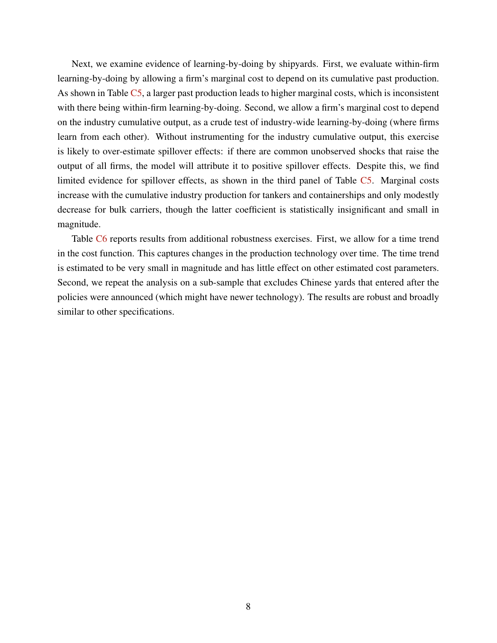Next, we examine evidence of learning-by-doing by shipyards. First, we evaluate within-firm learning-by-doing by allowing a firm's marginal cost to depend on its cumulative past production. As shown in Table [C5,](#page-59-0) a larger past production leads to higher marginal costs, which is inconsistent with there being within-firm learning-by-doing. Second, we allow a firm's marginal cost to depend on the industry cumulative output, as a crude test of industry-wide learning-by-doing (where firms learn from each other). Without instrumenting for the industry cumulative output, this exercise is likely to over-estimate spillover effects: if there are common unobserved shocks that raise the output of all firms, the model will attribute it to positive spillover effects. Despite this, we find limited evidence for spillover effects, as shown in the third panel of Table [C5.](#page-59-0) Marginal costs increase with the cumulative industry production for tankers and containerships and only modestly decrease for bulk carriers, though the latter coefficient is statistically insignificant and small in magnitude.

Table [C6](#page-60-0) reports results from additional robustness exercises. First, we allow for a time trend in the cost function. This captures changes in the production technology over time. The time trend is estimated to be very small in magnitude and has little effect on other estimated cost parameters. Second, we repeat the analysis on a sub-sample that excludes Chinese yards that entered after the policies were announced (which might have newer technology). The results are robust and broadly similar to other specifications.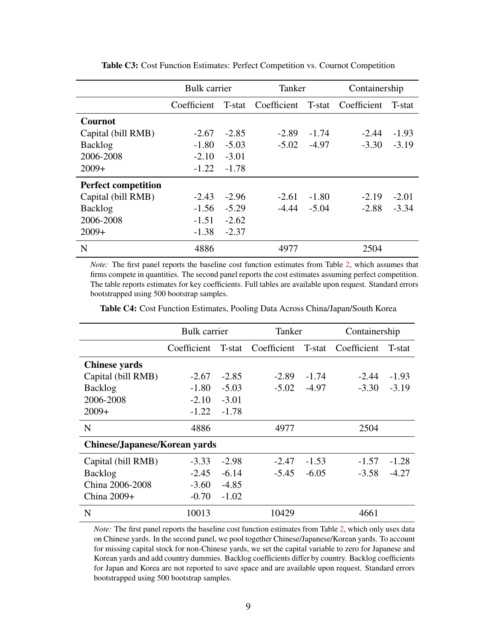<span id="page-58-0"></span>

|                            | <b>Bulk</b> carrier |         | Tanker                                |         | Containership |         |
|----------------------------|---------------------|---------|---------------------------------------|---------|---------------|---------|
|                            | Coefficient         |         | T-stat Coefficient T-stat Coefficient |         |               | T-stat  |
| <b>Cournot</b>             |                     |         |                                       |         |               |         |
| Capital (bill RMB)         | $-2.67$             | $-2.85$ | $-2.89$                               | $-1.74$ | $-2.44$       | $-1.93$ |
| <b>Backlog</b>             | $-1.80$             | $-5.03$ | $-5.02$                               | $-4.97$ | $-3.30$       | $-3.19$ |
| 2006-2008                  | $-2.10$             | $-3.01$ |                                       |         |               |         |
| $2009+$                    | $-1.22$             | $-1.78$ |                                       |         |               |         |
| <b>Perfect competition</b> |                     |         |                                       |         |               |         |
| Capital (bill RMB)         | $-2.43$             | $-2.96$ | $-2.61$                               | $-1.80$ | $-2.19$       | $-2.01$ |
| <b>Backlog</b>             | $-1.56$             | $-5.29$ | $-4.44$                               | $-5.04$ | $-2.88$       | $-3.34$ |
| 2006-2008                  | $-1.51$             | $-2.62$ |                                       |         |               |         |
| $2009+$                    | $-1.38$             | $-2.37$ |                                       |         |               |         |
| N                          | 4886                |         | 4977                                  |         | 2504          |         |

Table C3: Cost Function Estimates: Perfect Competition vs. Cournot Competition

*Note:* The first panel reports the baseline cost function estimates from Table [2,](#page-42-0) which assumes that firms compete in quantities. The second panel reports the cost estimates assuming perfect competition. The table reports estimates for key coefficients. Full tables are available upon request. Standard errors bootstrapped using 500 bootstrap samples.

Table C4: Cost Function Estimates, Pooling Data Across China/Japan/South Korea

<span id="page-58-1"></span>

|                                      | <b>Bulk</b> carrier |         | Tanker      |         | Containership |         |
|--------------------------------------|---------------------|---------|-------------|---------|---------------|---------|
|                                      | Coefficient         | T-stat  | Coefficient | T-stat  | Coefficient   | T-stat  |
| <b>Chinese yards</b>                 |                     |         |             |         |               |         |
| Capital (bill RMB)                   | $-2.67$             | $-2.85$ | $-2.89$     | $-1.74$ | $-2.44$       | $-1.93$ |
| <b>Backlog</b>                       | $-1.80$             | $-5.03$ | $-5.02$     | $-4.97$ | $-3.30$       | $-3.19$ |
| 2006-2008                            | $-2.10$             | $-3.01$ |             |         |               |         |
| $2009+$                              | $-1.22$             | $-1.78$ |             |         |               |         |
| N                                    | 4886                |         | 4977        |         | 2504          |         |
| <b>Chinese/Japanese/Korean yards</b> |                     |         |             |         |               |         |
| Capital (bill RMB)                   | $-3.33$             | $-2.98$ | $-2.47$     | $-1.53$ | $-1.57$       | $-1.28$ |
| <b>Backlog</b>                       | $-2.45$             | $-6.14$ | $-5.45$     | $-6.05$ | $-3.58$       | $-4.27$ |
| China 2006-2008                      | $-3.60$             | $-4.85$ |             |         |               |         |
| China $2009+$                        | $-0.70$             | $-1.02$ |             |         |               |         |
| N                                    | 10013               |         | 10429       |         | 4661          |         |

*Note:* The first panel reports the baseline cost function estimates from Table [2,](#page-42-0) which only uses data on Chinese yards. In the second panel, we pool together Chinese/Japanese/Korean yards. To account for missing capital stock for non-Chinese yards, we set the capital variable to zero for Japanese and Korean yards and add country dummies. Backlog coefficients differ by country. Backlog coefficients for Japan and Korea are not reported to save space and are available upon request. Standard errors bootstrapped using 500 bootstrap samples.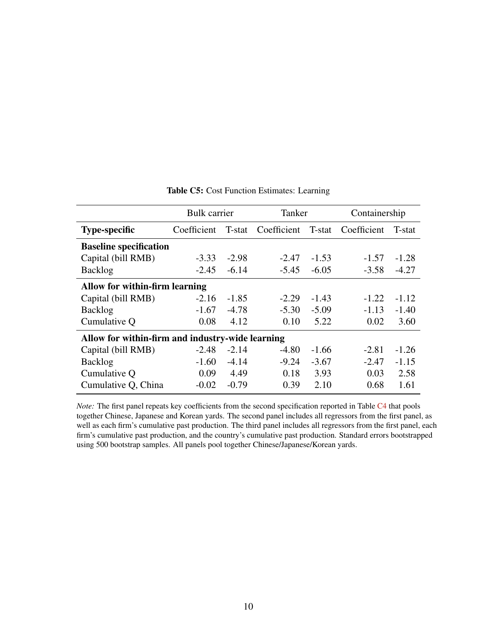<span id="page-59-0"></span>

|                                                  | <b>Bulk</b> carrier |         | Tanker      |         | Containership |         |
|--------------------------------------------------|---------------------|---------|-------------|---------|---------------|---------|
| <b>Type-specific</b>                             | Coefficient         | T-stat  | Coefficient | T-stat  | Coefficient   | T-stat  |
| <b>Baseline specification</b>                    |                     |         |             |         |               |         |
| Capital (bill RMB)                               | $-3.33$             | $-2.98$ | $-2.47$     | $-1.53$ | $-1.57$       | $-1.28$ |
| <b>Backlog</b>                                   | $-2.45$             | $-6.14$ | $-5.45$     | $-6.05$ | $-3.58$       | $-4.27$ |
| Allow for within-firm learning                   |                     |         |             |         |               |         |
| Capital (bill RMB)                               | $-2.16$             | $-1.85$ | $-2.29$     | $-1.43$ | $-1.22$       | $-1.12$ |
| <b>Backlog</b>                                   | $-1.67$             | $-4.78$ | $-5.30$     | $-5.09$ | $-1.13$       | $-1.40$ |
| Cumulative Q                                     | 0.08                | 4.12    | 0.10        | 5.22    | 0.02          | 3.60    |
| Allow for within-firm and industry-wide learning |                     |         |             |         |               |         |
| Capital (bill RMB)                               | $-2.48$             | $-2.14$ | $-4.80$     | $-1.66$ | $-2.81$       | $-1.26$ |
| <b>Backlog</b>                                   | $-1.60$             | $-4.14$ | $-9.24$     | $-3.67$ | $-2.47$       | $-1.15$ |
| Cumulative Q                                     | 0.09                | 4.49    | 0.18        | 3.93    | 0.03          | 2.58    |
| Cumulative Q, China                              | $-0.02$             | $-0.79$ | 0.39        | 2.10    | 0.68          | 1.61    |

#### Table C5: Cost Function Estimates: Learning

*Note:* The first panel repeats key coefficients from the second specification reported in Table [C4](#page-58-1) that pools together Chinese, Japanese and Korean yards. The second panel includes all regressors from the first panel, as well as each firm's cumulative past production. The third panel includes all regressors from the first panel, each firm's cumulative past production, and the country's cumulative past production. Standard errors bootstrapped using 500 bootstrap samples. All panels pool together Chinese/Japanese/Korean yards.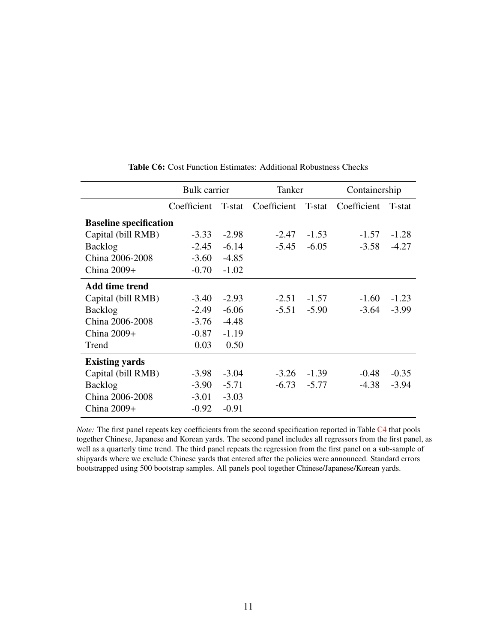<span id="page-60-0"></span>

|                               | <b>Bulk</b> carrier |         | Tanker      |         | Containership |         |  |
|-------------------------------|---------------------|---------|-------------|---------|---------------|---------|--|
|                               | Coefficient         | T-stat  | Coefficient | T-stat  | Coefficient   | T-stat  |  |
| <b>Baseline specification</b> |                     |         |             |         |               |         |  |
| Capital (bill RMB)            | $-3.33$             | $-2.98$ | $-2.47$     | $-1.53$ | $-1.57$       | $-1.28$ |  |
| <b>Backlog</b>                | $-2.45$             | $-6.14$ | $-5.45$     | $-6.05$ | $-3.58$       | $-4.27$ |  |
| China 2006-2008               | $-3.60$             | $-4.85$ |             |         |               |         |  |
| China $2009+$                 | $-0.70$             | $-1.02$ |             |         |               |         |  |
| Add time trend                |                     |         |             |         |               |         |  |
| Capital (bill RMB)            | $-3.40$             | $-2.93$ | $-2.51$     | $-1.57$ | $-1.60$       | $-1.23$ |  |
| <b>Backlog</b>                | $-2.49$             | $-6.06$ | $-5.51$     | $-5.90$ | $-3.64$       | $-3.99$ |  |
| China 2006-2008               | $-3.76$             | $-4.48$ |             |         |               |         |  |
| China 2009+                   | $-0.87$             | $-1.19$ |             |         |               |         |  |
| Trend                         | 0.03                | 0.50    |             |         |               |         |  |
| <b>Existing yards</b>         |                     |         |             |         |               |         |  |
| Capital (bill RMB)            | $-3.98$             | $-3.04$ | $-3.26$     | $-1.39$ | $-0.48$       | $-0.35$ |  |
| <b>Backlog</b>                | $-3.90$             | $-5.71$ | $-6.73$     | $-5.77$ | $-4.38$       | $-3.94$ |  |
| China 2006-2008               | $-3.01$             | $-3.03$ |             |         |               |         |  |
| China 2009+                   | $-0.92$             | $-0.91$ |             |         |               |         |  |

Table C6: Cost Function Estimates: Additional Robustness Checks

*Note:* The first panel repeats key coefficients from the second specification reported in Table [C4](#page-58-1) that pools together Chinese, Japanese and Korean yards. The second panel includes all regressors from the first panel, as well as a quarterly time trend. The third panel repeats the regression from the first panel on a sub-sample of shipyards where we exclude Chinese yards that entered after the policies were announced. Standard errors bootstrapped using 500 bootstrap samples. All panels pool together Chinese/Japanese/Korean yards.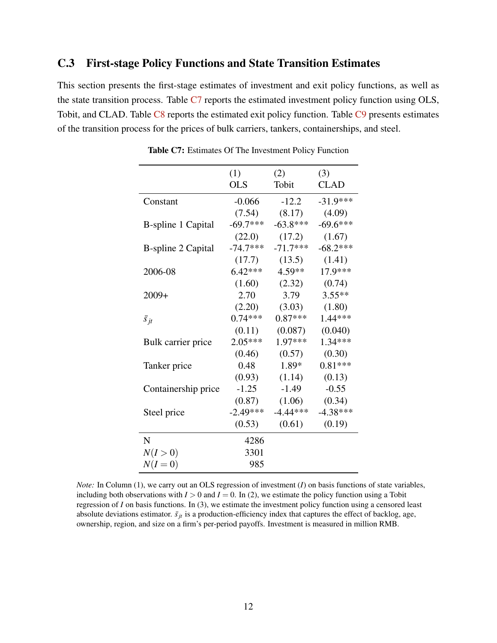# <span id="page-61-0"></span>C.3 First-stage Policy Functions and State Transition Estimates

<span id="page-61-1"></span>This section presents the first-stage estimates of investment and exit policy functions, as well as the state transition process. Table  $C7$  reports the estimated investment policy function using OLS, Tobit, and CLAD. Table [C8](#page-62-0) reports the estimated exit policy function. Table [C9](#page-62-1) presents estimates of the transition process for the prices of bulk carriers, tankers, containerships, and steel.

|                           | (1)        | (2)        | (3)         |
|---------------------------|------------|------------|-------------|
|                           | <b>OLS</b> | Tobit      | <b>CLAD</b> |
| Constant                  | $-0.066$   | $-12.2$    | $-31.9***$  |
|                           | (7.54)     | (8.17)     | (4.09)      |
| <b>B-spline 1 Capital</b> | $-69.7***$ | $-63.8***$ | $-69.6***$  |
|                           | (22.0)     | (17.2)     | (1.67)      |
| <b>B-spline 2 Capital</b> | $-74.7***$ | $-71.7***$ | $-68.2***$  |
|                           | (17.7)     | (13.5)     | (1.41)      |
| 2006-08                   | $6.42***$  | 4.59**     | 17.9***     |
|                           | (1.60)     | (2.32)     | (0.74)      |
| $2009+$                   | 2.70       | 3.79       | $3.55**$    |
|                           | (2.20)     | (3.03)     | (1.80)      |
| $\bar{s}_{jt}$            | $0.74***$  | $0.87***$  | $1.44***$   |
|                           | (0.11)     | (0.087)    | (0.040)     |
| Bulk carrier price        | $2.05***$  | 1.97***    | $1.34***$   |
|                           | (0.46)     | (0.57)     | (0.30)      |
| Tanker price              | 0.48       | 1.89*      | $0.81***$   |
|                           | (0.93)     | (1.14)     | (0.13)      |
| Containership price       | $-1.25$    | $-1.49$    | $-0.55$     |
|                           | (0.87)     | (1.06)     | (0.34)      |
| Steel price               | $-2.49***$ | $-4.44***$ | $-4.38***$  |
|                           | (0.53)     | (0.61)     | (0.19)      |
| N                         | 4286       |            |             |
| N(I>0)                    | 3301       |            |             |
| $N(I=0)$                  | 985        |            |             |

Table C7: Estimates Of The Investment Policy Function

*Note:* In Column (1), we carry out an OLS regression of investment (*I*) on basis functions of state variables, including both observations with  $I > 0$  and  $I = 0$ . In (2), we estimate the policy function using a Tobit regression of *I* on basis functions. In (3), we estimate the investment policy function using a censored least absolute deviations estimator.  $\bar{s}_{jt}$  is a production-efficiency index that captures the effect of backlog, age, ownership, region, and size on a firm's per-period payoffs. Investment is measured in million RMB.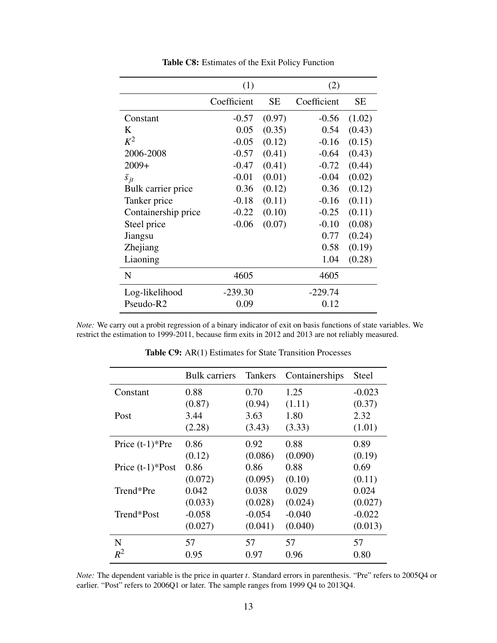<span id="page-62-0"></span>

|                     | (1)         |           | (2)         |           |
|---------------------|-------------|-----------|-------------|-----------|
|                     | Coefficient | <b>SE</b> | Coefficient | <b>SE</b> |
| Constant            | $-0.57$     | (0.97)    | $-0.56$     | (1.02)    |
| K                   | 0.05        | (0.35)    | 0.54        | (0.43)    |
| $K^2$               | $-0.05$     | (0.12)    | $-0.16$     | (0.15)    |
| 2006-2008           | $-0.57$     | (0.41)    | $-0.64$     | (0.43)    |
| $2009+$             | $-0.47$     | (0.41)    | $-0.72$     | (0.44)    |
| $\bar{s}_{it}$      | $-0.01$     | (0.01)    | $-0.04$     | (0.02)    |
| Bulk carrier price  | 0.36        | (0.12)    | 0.36        | (0.12)    |
| Tanker price        | $-0.18$     | (0.11)    | $-0.16$     | (0.11)    |
| Containership price | $-0.22$     | (0.10)    | $-0.25$     | (0.11)    |
| Steel price         | $-0.06$     | (0.07)    | $-0.10$     | (0.08)    |
| Jiangsu             |             |           | 0.77        | (0.24)    |
| Zhejiang            |             |           | 0.58        | (0.19)    |
| Liaoning            |             |           | 1.04        | (0.28)    |
| N                   | 4605        |           | 4605        |           |
| Log-likelihood      | $-239.30$   |           | $-229.74$   |           |
| Pseudo-R2           | 0.09        |           | 0.12        |           |

Table C8: Estimates of the Exit Policy Function

<span id="page-62-1"></span>*Note:* We carry out a probit regression of a binary indicator of exit on basis functions of state variables. We restrict the estimation to 1999-2011, because firm exits in 2012 and 2013 are not reliably measured.

|                    | <b>Bulk carriers</b> | <b>Tankers</b> | Containerships | <b>Steel</b> |
|--------------------|----------------------|----------------|----------------|--------------|
| Constant           | 0.88                 | 0.70           | 1.25           | $-0.023$     |
|                    | (0.87)               | (0.94)         | (1.11)         | (0.37)       |
| Post               | 3.44                 | 3.63           | 1.80           | 2.32         |
|                    | (2.28)               | (3.43)         | (3.33)         | (1.01)       |
| Price $(t-1)*Pre$  | 0.86                 | 0.92           | 0.88           | 0.89         |
|                    | (0.12)               | (0.086)        | (0.090)        | (0.19)       |
| Price $(t-1)*Post$ | 0.86                 | 0.86           | 0.88           | 0.69         |
|                    | (0.072)              | (0.095)        | (0.10)         | (0.11)       |
| Trend*Pre          | 0.042                | 0.038          | 0.029          | 0.024        |
|                    | (0.033)              | (0.028)        | (0.024)        | (0.027)      |
| Trend*Post         | $-0.058$             | $-0.054$       | $-0.040$       | $-0.022$     |
|                    | (0.027)              | (0.041)        | (0.040)        | (0.013)      |
| N                  | 57                   | 57             | 57             | 57           |
| $R^2$              | 0.95                 | 0.97           | 0.96           | 0.80         |

Table C9: AR(1) Estimates for State Transition Processes

*Note:* The dependent variable is the price in quarter *t*. Standard errors in parenthesis. "Pre" refers to 2005Q4 or earlier. "Post" refers to 2006Q1 or later. The sample ranges from 1999 Q4 to 2013Q4.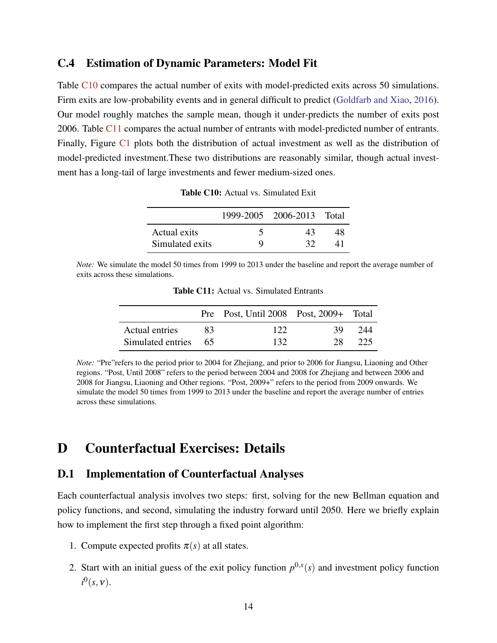### C.4 Estimation of Dynamic Parameters: Model Fit

Table [C10](#page-63-1) compares the actual number of exits with model-predicted exits across 50 simulations. Firm exits are low-probability events and in general difficult to predict [\(Goldfarb and Xiao,](#page-37-1) [2016\)](#page-37-1). Our model roughly matches the sample mean, though it under-predicts the number of exits post 2006. Table [C11](#page-63-2) compares the actual number of entrants with model-predicted number of entrants. Finally, Figure [C1](#page-64-0) plots both the distribution of actual investment as well as the distribution of model-predicted investment.These two distributions are reasonably similar, though actual investment has a long-tail of large investments and fewer medium-sized ones.

|                 |   | 1999-2005 2006-2013 Total |    |
|-----------------|---|---------------------------|----|
| Actual exits    |   | 43                        | 48 |
| Simulated exits | Q | 32                        |    |

Table C10: Actual vs. Simulated Exit

<span id="page-63-2"></span><span id="page-63-1"></span>*Note:* We simulate the model 50 times from 1999 to 2013 under the baseline and report the average number of exits across these simulations.

|                      |    | Pre Post, Until 2008 Post, 2009+ Total |    |     |
|----------------------|----|----------------------------------------|----|-----|
| Actual entries       | 83 | 122                                    | 39 | 244 |
| Simulated entries 65 |    | 132                                    | 28 | 225 |

Table C11: Actual vs. Simulated Entrants

*Note:* "Pre"refers to the period prior to 2004 for Zhejiang, and prior to 2006 for Jiangsu, Liaoning and Other regions. "Post, Until 2008" refers to the period between 2004 and 2008 for Zhejiang and between 2006 and 2008 for Jiangsu, Liaoning and Other regions. "Post, 2009+" refers to the period from 2009 onwards. We simulate the model 50 times from 1999 to 2013 under the baseline and report the average number of entries across these simulations.

# <span id="page-63-0"></span>D Counterfactual Exercises: Details

### D.1 Implementation of Counterfactual Analyses

Each counterfactual analysis involves two steps: first, solving for the new Bellman equation and policy functions, and second, simulating the industry forward until 2050. Here we briefly explain how to implement the first step through a fixed point algorithm:

- 1. Compute expected profits  $\pi(s)$  at all states.
- 2. Start with an initial guess of the exit policy function  $p^{0,x}(s)$  and investment policy function  $i^0(s,\mathsf{v}).$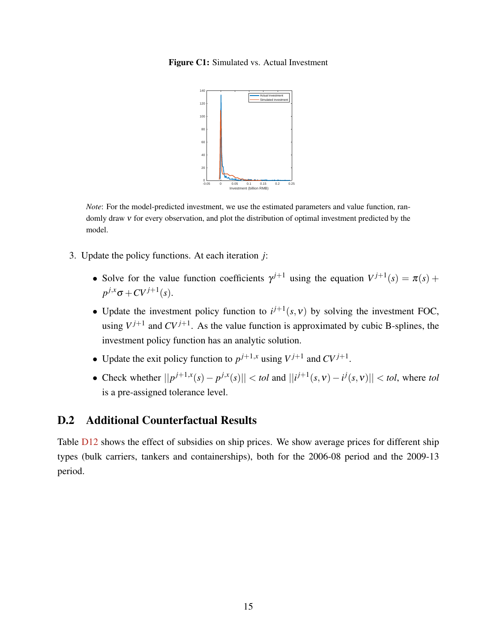<span id="page-64-0"></span>Figure C1: Simulated vs. Actual Investment



*Note*: For the model-predicted investment, we use the estimated parameters and value function, randomly draw  $v$  for every observation, and plot the distribution of optimal investment predicted by the model.

- 3. Update the policy functions. At each iteration *j*:
	- Solve for the value function coefficients  $\gamma^{j+1}$  using the equation  $V^{j+1}(s) = \pi(s) + \gamma(s)$  $p^{j,x} \sigma + CV^{j+1}(s)$ .
	- Update the investment policy function to  $i^{j+1}(s, v)$  by solving the investment FOC, using  $V^{j+1}$  and  $CV^{j+1}$ . As the value function is approximated by cubic B-splines, the investment policy function has an analytic solution.
	- Update the exit policy function to  $p^{j+1,x}$  using  $V^{j+1}$  and  $CV^{j+1}$ .
	- Check whether  $||p^{j+1,x}(s) p^{j,x}(s)|| < \text{tol}$  and  $||i^{j+1}(s,v) i^j(s,v)|| < \text{tol}$ , where *tol* is a pre-assigned tolerance level.

# D.2 Additional Counterfactual Results

Table  $D12$  shows the effect of subsidies on ship prices. We show average prices for different ship types (bulk carriers, tankers and containerships), both for the 2006-08 period and the 2009-13 period.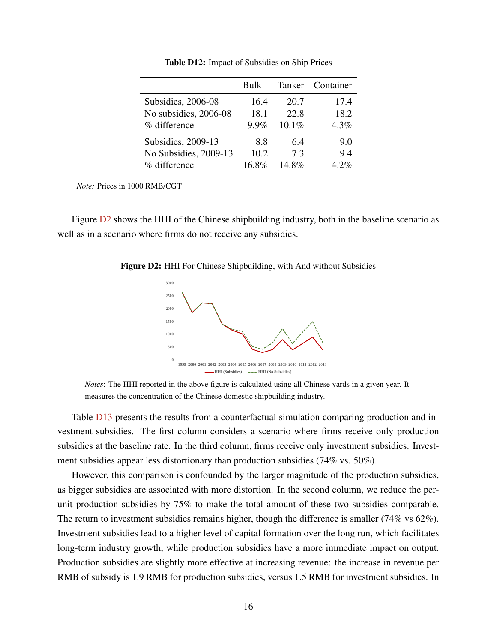<span id="page-65-0"></span>

|                       | Bulk    | Tanker   | Container |
|-----------------------|---------|----------|-----------|
| Subsidies, 2006-08    | 16.4    | 20.7     | 17.4      |
| No subsidies, 2006-08 | 18.1    | 22.8     | 18.2      |
| % difference          | $9.9\%$ | $10.1\%$ | 4.3%      |
| Subsidies, 2009-13    | 8.8     | 6.4      | 9.0       |
| No Subsidies, 2009-13 | 10.2    | 73       | 94        |
| % difference          | 16.8%   | 14.8%    | 4 2%      |

Table D12: Impact of Subsidies on Ship Prices

*Note:* Prices in 1000 RMB/CGT

<span id="page-65-1"></span>Figure  $D2$  shows the HHI of the Chinese shipbuilding industry, both in the baseline scenario as well as in a scenario where firms do not receive any subsidies.

Figure D2: HHI For Chinese Shipbuilding, with And without Subsidies



*Notes*: The HHI reported in the above figure is calculated using all Chinese yards in a given year. It measures the concentration of the Chinese domestic shipbuilding industry.

Table  $D13$  presents the results from a counterfactual simulation comparing production and investment subsidies. The first column considers a scenario where firms receive only production subsidies at the baseline rate. In the third column, firms receive only investment subsidies. Investment subsidies appear less distortionary than production subsidies (74% vs. 50%).

However, this comparison is confounded by the larger magnitude of the production subsidies, as bigger subsidies are associated with more distortion. In the second column, we reduce the perunit production subsidies by 75% to make the total amount of these two subsidies comparable. The return to investment subsidies remains higher, though the difference is smaller (74% vs 62%). Investment subsidies lead to a higher level of capital formation over the long run, which facilitates long-term industry growth, while production subsidies have a more immediate impact on output. Production subsidies are slightly more effective at increasing revenue: the increase in revenue per RMB of subsidy is 1.9 RMB for production subsidies, versus 1.5 RMB for investment subsidies. In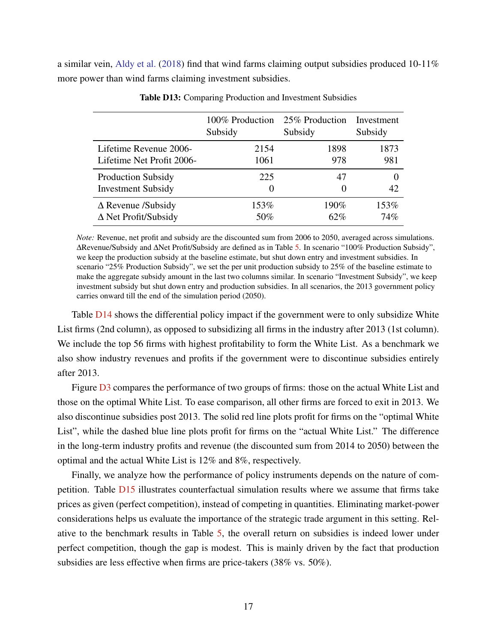a similar vein, [Aldy et al.](#page-35-1) [\(2018\)](#page-35-1) find that wind farms claiming output subsidies produced 10-11% more power than wind farms claiming investment subsidies.

<span id="page-66-0"></span>

|                             | 100% Production<br>Subsidy | 25% Production<br>Subsidy | Investment<br>Subsidy |
|-----------------------------|----------------------------|---------------------------|-----------------------|
| Lifetime Revenue 2006-      | 2154                       | 1898                      | 1873                  |
| Lifetime Net Profit 2006-   | 1061                       | 978                       | 981                   |
| <b>Production Subsidy</b>   | 225                        | 47                        |                       |
| <b>Investment Subsidy</b>   | $\theta$                   | $\mathbf{\Omega}$         | 42                    |
| $\Delta$ Revenue /Subsidy   | 153%                       | 190%                      | 153%                  |
| $\Delta$ Net Profit/Subsidy | 50%                        | 62%                       | 74%                   |

Table D13: Comparing Production and Investment Subsidies

*Note:* Revenue, net profit and subsidy are the discounted sum from 2006 to 2050, averaged across simulations. ∆Revenue/Subsidy and ∆Net Profit/Subsidy are defined as in Table [5.](#page-44-0) In scenario "100% Production Subsidy", we keep the production subsidy at the baseline estimate, but shut down entry and investment subsidies. In scenario "25% Production Subsidy", we set the per unit production subsidy to 25% of the baseline estimate to make the aggregate subsidy amount in the last two columns similar. In scenario "Investment Subsidy", we keep investment subsidy but shut down entry and production subsidies. In all scenarios, the 2013 government policy carries onward till the end of the simulation period (2050).

Table [D14](#page-67-0) shows the differential policy impact if the government were to only subsidize White List firms (2nd column), as opposed to subsidizing all firms in the industry after 2013 (1st column). We include the top 56 firms with highest profitability to form the White List. As a benchmark we also show industry revenues and profits if the government were to discontinue subsidies entirely after 2013.

Figure  $\overline{D3}$  $\overline{D3}$  $\overline{D3}$  compares the performance of two groups of firms: those on the actual White List and those on the optimal White List. To ease comparison, all other firms are forced to exit in 2013. We also discontinue subsidies post 2013. The solid red line plots profit for firms on the "optimal White List", while the dashed blue line plots profit for firms on the "actual White List." The difference in the long-term industry profits and revenue (the discounted sum from 2014 to 2050) between the optimal and the actual White List is 12% and 8%, respectively.

Finally, we analyze how the performance of policy instruments depends on the nature of competition. Table [D15](#page-68-0) illustrates counterfactual simulation results where we assume that firms take prices as given (perfect competition), instead of competing in quantities. Eliminating market-power considerations helps us evaluate the importance of the strategic trade argument in this setting. Relative to the benchmark results in Table [5,](#page-44-0) the overall return on subsidies is indeed lower under perfect competition, though the gap is modest. This is mainly driven by the fact that production subsidies are less effective when firms are price-takers (38% vs. 50%).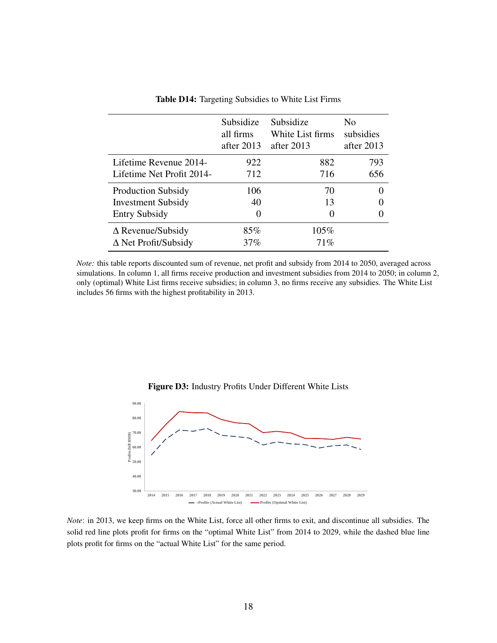<span id="page-67-0"></span>

|                             | Subsidize<br>all firms<br>after $2013$ | Subsidize<br>White List firms<br>after $2013$ | No<br>subsidies<br>after 2013 |
|-----------------------------|----------------------------------------|-----------------------------------------------|-------------------------------|
| Lifetime Revenue 2014-      | 922                                    | 882                                           | 793                           |
| Lifetime Net Profit 2014-   | 712                                    | 716                                           | 656                           |
| <b>Production Subsidy</b>   | 106                                    | 70                                            |                               |
| <b>Investment Subsidy</b>   | 40                                     | 13                                            |                               |
| <b>Entry Subsidy</b>        | 0                                      | $\theta$                                      |                               |
| $\triangle$ Revenue/Subsidy | 85%                                    | 105%                                          |                               |
| $\Delta$ Net Profit/Subsidy | 37%                                    | $71\%$                                        |                               |

Table D14: Targeting Subsidies to White List Firms

*Note:* this table reports discounted sum of revenue, net profit and subsidy from 2014 to 2050, averaged across simulations. In column 1, all firms receive production and investment subsidies from 2014 to 2050; in column 2, only (optimal) White List firms receive subsidies; in column 3, no firms receive any subsidies. The White List includes 56 firms with the highest profitability in 2013.

<span id="page-67-1"></span>

Figure D3: Industry Profits Under Different White Lists

*Note*: in 2013, we keep firms on the White List, force all other firms to exit, and discontinue all subsidies. The solid red line plots profit for firms on the "optimal White List" from 2014 to 2029, while the dashed blue line plots profit for firms on the "actual White List" for the same period.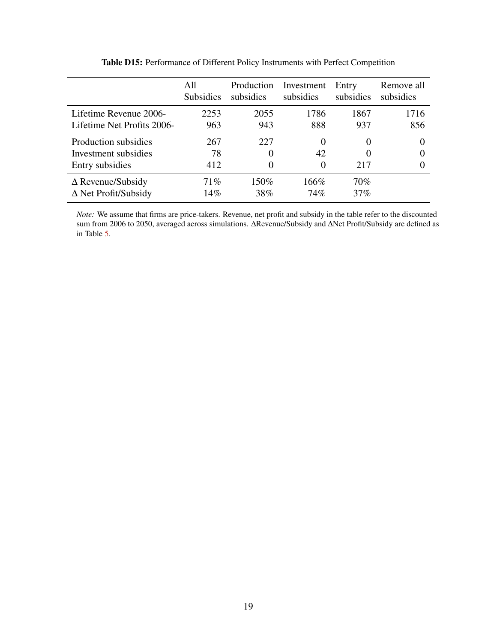<span id="page-68-0"></span>

|                             | All<br><b>Subsidies</b> | Production<br>subsidies | Investment<br>subsidies | Entry<br>subsidies | Remove all<br>subsidies |
|-----------------------------|-------------------------|-------------------------|-------------------------|--------------------|-------------------------|
| Lifetime Revenue 2006-      | 2253                    | 2055                    | 1786                    | 1867               | 1716                    |
| Lifetime Net Profits 2006-  | 963                     | 943                     | 888                     | 937                | 856                     |
| Production subsidies        | 267                     | 227                     | 0                       | $\theta$           |                         |
| Investment subsidies        | 78                      |                         | 42                      | $\theta$           |                         |
| Entry subsidies             | 412                     |                         | $\overline{0}$          | 217                | $\theta$                |
| $\Delta$ Revenue/Subsidy    | 71%                     | 150%                    | 166%                    | 70%                |                         |
| $\Delta$ Net Profit/Subsidy | 14%                     | 38%                     | 74%                     | 37%                |                         |

Table D15: Performance of Different Policy Instruments with Perfect Competition

*Note:* We assume that firms are price-takers. Revenue, net profit and subsidy in the table refer to the discounted sum from 2006 to 2050, averaged across simulations. ∆Revenue/Subsidy and ∆Net Profit/Subsidy are defined as in Table [5.](#page-44-0)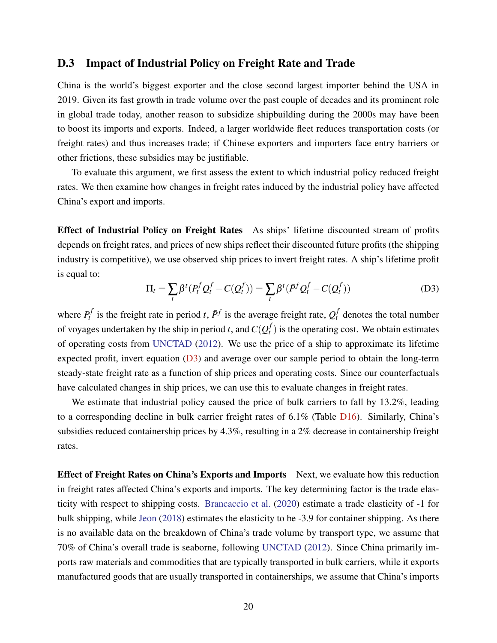# D.3 Impact of Industrial Policy on Freight Rate and Trade

China is the world's biggest exporter and the close second largest importer behind the USA in 2019. Given its fast growth in trade volume over the past couple of decades and its prominent role in global trade today, another reason to subsidize shipbuilding during the 2000s may have been to boost its imports and exports. Indeed, a larger worldwide fleet reduces transportation costs (or freight rates) and thus increases trade; if Chinese exporters and importers face entry barriers or other frictions, these subsidies may be justifiable.

To evaluate this argument, we first assess the extent to which industrial policy reduced freight rates. We then examine how changes in freight rates induced by the industrial policy have affected China's export and imports.

Effect of Industrial Policy on Freight Rates As ships' lifetime discounted stream of profits depends on freight rates, and prices of new ships reflect their discounted future profits (the shipping industry is competitive), we use observed ship prices to invert freight rates. A ship's lifetime profit is equal to:

<span id="page-69-0"></span>
$$
\Pi_t = \sum_t \beta^t (P_t^f Q_t^f - C(Q_t^f)) = \sum_t \beta^t (\bar{P}^f Q_t^f - C(Q_t^f))
$$
\n(D3)

where  $P_t^f$  $P_t^f$  is the freight rate in period *t*,  $\bar{P}^f$  is the average freight rate,  $Q_t^f$  denotes the total number of voyages undertaken by the ship in period *t*, and  $C(Q_t^f)$  $t$ <sup> $t$ </sup>) is the operating cost. We obtain estimates of operating costs from [UNCTAD](#page-40-1) [\(2012\)](#page-40-1). We use the price of a ship to approximate its lifetime expected profit, invert equation  $(D3)$  and average over our sample period to obtain the long-term steady-state freight rate as a function of ship prices and operating costs. Since our counterfactuals have calculated changes in ship prices, we can use this to evaluate changes in freight rates.

We estimate that industrial policy caused the price of bulk carriers to fall by 13.2%, leading to a corresponding decline in bulk carrier freight rates of 6.1% (Table [D16\)](#page-70-0). Similarly, China's subsidies reduced containership prices by 4.3%, resulting in a 2% decrease in containership freight rates.

Effect of Freight Rates on China's Exports and Imports Next, we evaluate how this reduction in freight rates affected China's exports and imports. The key determining factor is the trade elasticity with respect to shipping costs. [Brancaccio et al.](#page-36-1) [\(2020\)](#page-36-1) estimate a trade elasticity of -1 for bulk shipping, while [Jeon](#page-38-1) [\(2018\)](#page-38-1) estimates the elasticity to be -3.9 for container shipping. As there is no available data on the breakdown of China's trade volume by transport type, we assume that 70% of China's overall trade is seaborne, following [UNCTAD](#page-40-1) [\(2012\)](#page-40-1). Since China primarily imports raw materials and commodities that are typically transported in bulk carriers, while it exports manufactured goods that are usually transported in containerships, we assume that China's imports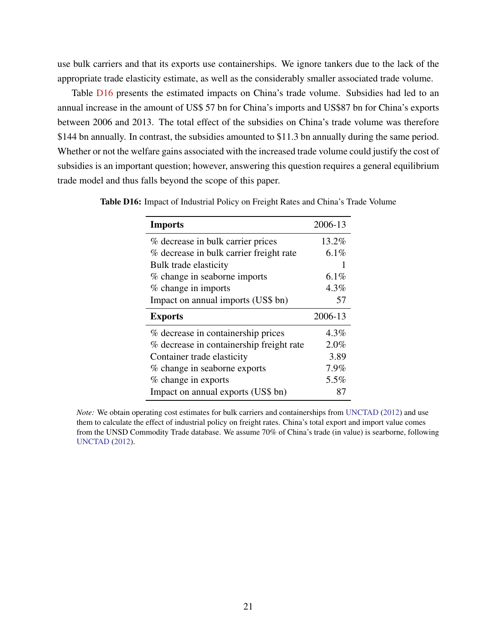use bulk carriers and that its exports use containerships. We ignore tankers due to the lack of the appropriate trade elasticity estimate, as well as the considerably smaller associated trade volume.

Table **[D16](#page-70-0)** presents the estimated impacts on China's trade volume. Subsidies had led to an annual increase in the amount of US\$ 57 bn for China's imports and US\$87 bn for China's exports between 2006 and 2013. The total effect of the subsidies on China's trade volume was therefore \$144 bn annually. In contrast, the subsidies amounted to \$11.3 bn annually during the same period. Whether or not the welfare gains associated with the increased trade volume could justify the cost of subsidies is an important question; however, answering this question requires a general equilibrium trade model and thus falls beyond the scope of this paper.

| <b>Imports</b>                           | 2006-13 |
|------------------------------------------|---------|
| % decrease in bulk carrier prices        | 13.2%   |
| % decrease in bulk carrier freight rate  | $6.1\%$ |
| Bulk trade elasticity                    |         |
| % change in seaborne imports             | $6.1\%$ |
| % change in imports                      | $4.3\%$ |
| Impact on annual imports (US\$ bn)       | 57      |
|                                          |         |
| <b>Exports</b>                           | 2006-13 |
| % decrease in containership prices       | $4.3\%$ |
| % decrease in containership freight rate | 2.0%    |
| Container trade elasticity               | 3.89    |
| % change in seaborne exports             | 7.9%    |
| % change in exports                      | 5.5%    |

<span id="page-70-0"></span>Table D16: Impact of Industrial Policy on Freight Rates and China's Trade Volume

*Note:* We obtain operating cost estimates for bulk carriers and containerships from [UNCTAD](#page-40-1) [\(2012\)](#page-40-1) and use them to calculate the effect of industrial policy on freight rates. China's total export and import value comes from the UNSD Commodity Trade database. We assume 70% of China's trade (in value) is searborne, following [UNCTAD](#page-40-1) [\(2012\)](#page-40-1).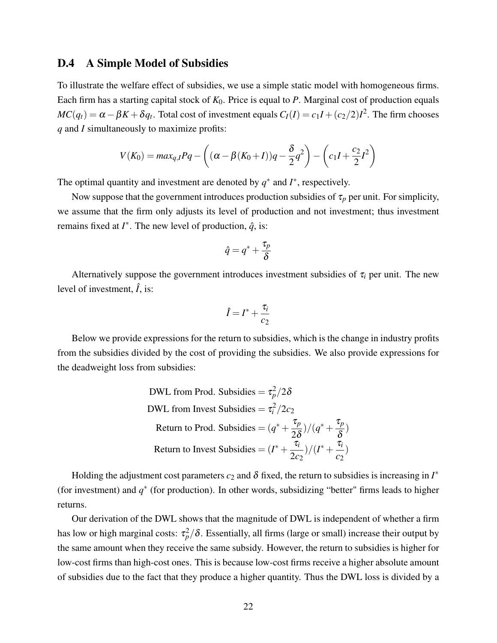#### D.4 A Simple Model of Subsidies

To illustrate the welfare effect of subsidies, we use a simple static model with homogeneous firms. Each firm has a starting capital stock of *K*0. Price is equal to *P*. Marginal cost of production equals  $MC(q_t) = \alpha - \beta K + \delta q_t$ . Total cost of investment equals  $C_I(I) = c_1 I + (c_2/2)I^2$ . The firm chooses *q* and *I* simultaneously to maximize profits:

$$
V(K_0) = max_{q,I} Pq - \left( (\alpha - \beta(K_0 + I))q - \frac{\delta}{2}q^2 \right) - \left( c_1 I + \frac{c_2}{2} I^2 \right)
$$

The optimal quantity and investment are denoted by  $q^*$  and  $I^*$ , respectively.

Now suppose that the government introduces production subsidies of  $\tau_p$  per unit. For simplicity, we assume that the firm only adjusts its level of production and not investment; thus investment remains fixed at  $I^*$ . The new level of production,  $\hat{q}$ , is:

$$
\hat{q}=q^*+\frac{\tau_p}{\delta}
$$

Alternatively suppose the government introduces investment subsidies of  $\tau_i$  per unit. The new level of investment,  $\hat{I}$ , is:

$$
\hat{I} = I^* + \frac{\tau_i}{c_2}
$$

Below we provide expressions for the return to subsidies, which is the change in industry profits from the subsidies divided by the cost of providing the subsidies. We also provide expressions for the deadweight loss from subsidies:

DWL from Prod. Subsidies = 
$$
\tau_p^2/2\delta
$$
  
DWL from Invest Subsidies =  $\tau_i^2/2c_2$   
Return to Prod. Subsidies =  $(q^* + \frac{\tau_p}{2\delta})/(q^* + \frac{\tau_p}{\delta})$   
Return to Invest Subsidies =  $(I^* + \frac{\tau_i}{2c_2})/(I^* + \frac{\tau_i}{c_2})$ 

Holding the adjustment cost parameters  $c_2$  and  $\delta$  fixed, the return to subsidies is increasing in  $I^*$ (for investment) and  $q^*$  (for production). In other words, subsidizing "better" firms leads to higher returns.

Our derivation of the DWL shows that the magnitude of DWL is independent of whether a firm has low or high marginal costs:  $\tau_p^2/\delta$ . Essentially, all firms (large or small) increase their output by the same amount when they receive the same subsidy. However, the return to subsidies is higher for low-cost firms than high-cost ones. This is because low-cost firms receive a higher absolute amount of subsidies due to the fact that they produce a higher quantity. Thus the DWL loss is divided by a